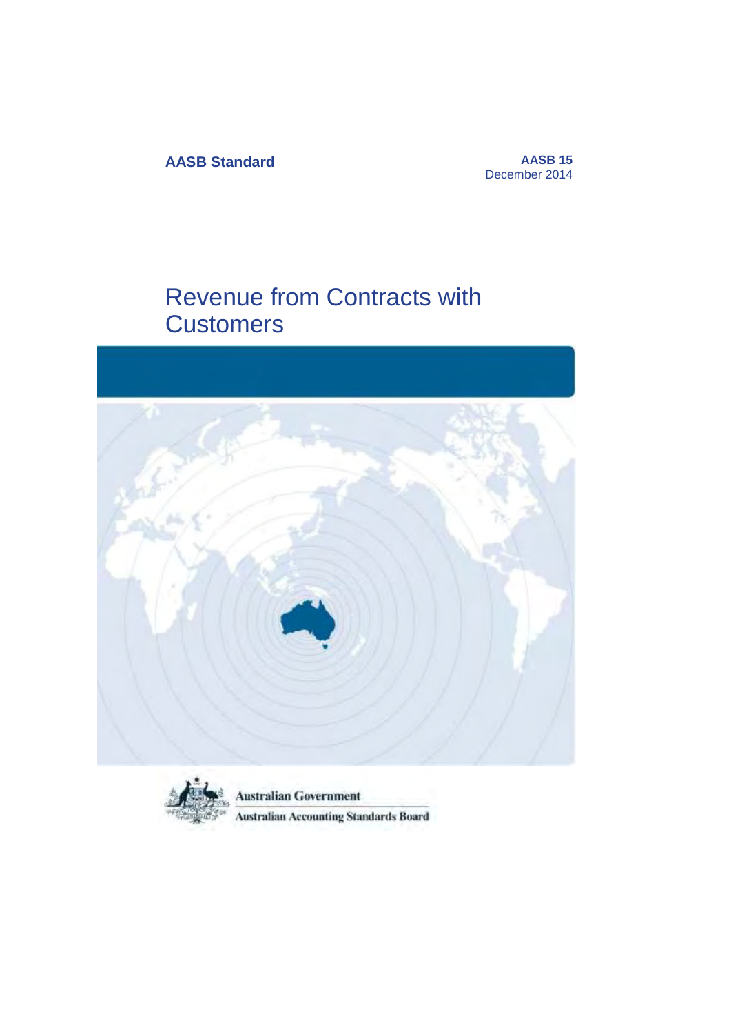December 2014

# Revenue from Contracts with **Customers**



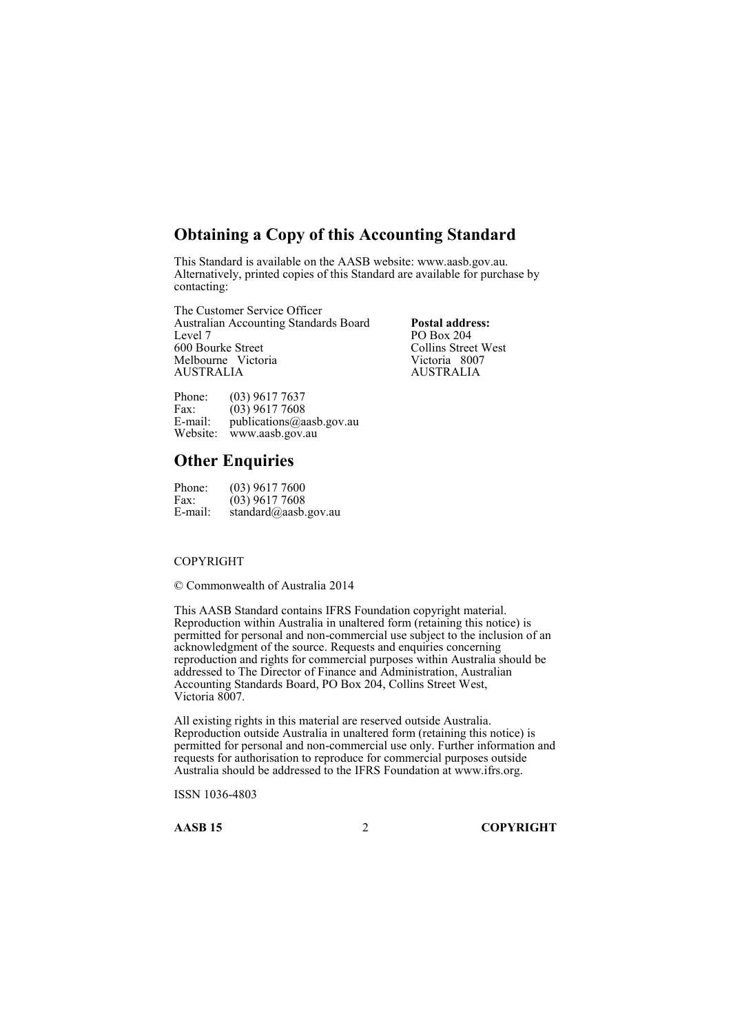# **Obtaining a Copy of this Accounting Standard**

This Standard is available on the AASB website: www.aasb.gov.au. Alternatively, printed copies of this Standard are available for purchase by contacting:

The Customer Service Officer Australian Accounting Standards Board Level 7 600 Bourke Street Melbourne Victoria AUSTRALIA

**Postal address:** PO Box 204 Collins Street West Victoria 8007 AUSTRALIA

Phone: (03) 9617 7637<br>Fax: (03) 9617 7608 Fax:  $(03)$  9617 7608<br>E-mail: publications@a publications@aasb.gov.au Website: www.aasb.gov.au

# **Other Enquiries**

Phone: (03) 9617 7600<br>Fax: (03) 9617 7608 Fax:  $(03)$  9617 7608<br>E-mail: standard@aasb. standard@aasb.gov.au

### COPYRIGHT

© Commonwealth of Australia 2014

This AASB Standard contains IFRS Foundation copyright material. Reproduction within Australia in unaltered form (retaining this notice) is permitted for personal and non-commercial use subject to the inclusion of an acknowledgment of the source. Requests and enquiries concerning reproduction and rights for commercial purposes within Australia should be addressed to The Director of Finance and Administration, Australian Accounting Standards Board, PO Box 204, Collins Street West, Victoria 8007.

All existing rights in this material are reserved outside Australia. Reproduction outside Australia in unaltered form (retaining this notice) is permitted for personal and non-commercial use only. Further information and requests for authorisation to reproduce for commercial purposes outside Australia should be addressed to the IFRS Foundation at www.ifrs.org.

ISSN 1036-4803

**AASB 15** 2 **COPYRIGHT**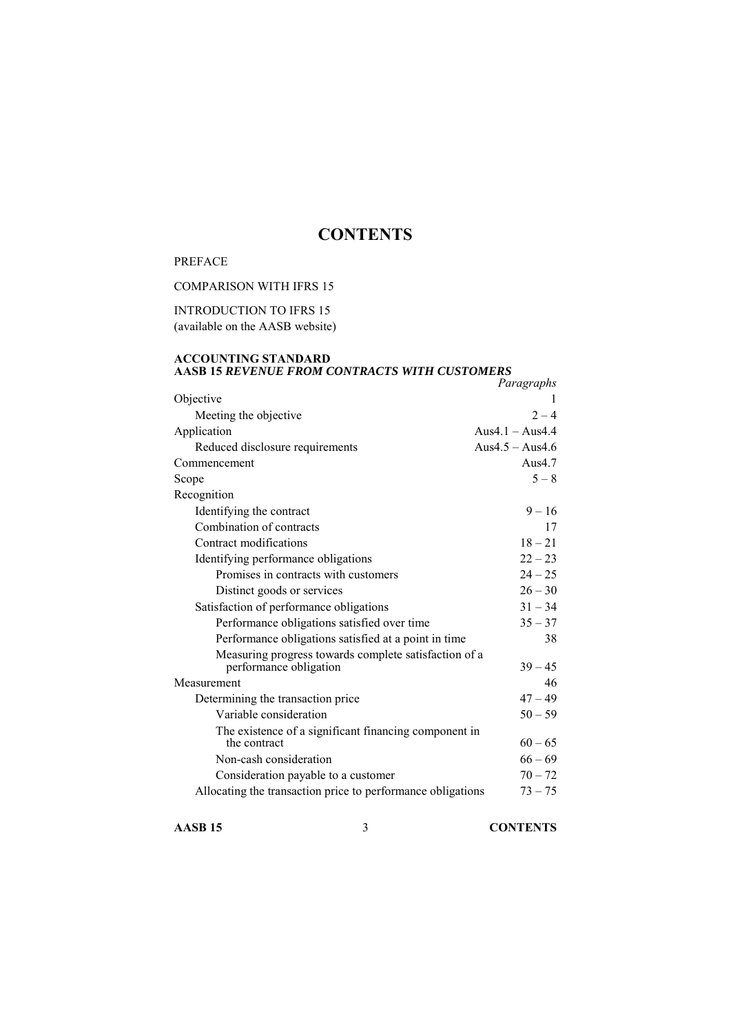# **CONTENTS**

### PREFACE

## COMPARISON WITH IFRS 15

INTRODUCTION TO IFRS 15 (available on the AASB website)

#### **ACCOUNTING STANDARD AASB 15** *REVENUE FROM CONTRACTS WITH CUSTOMERS*

|                                                                                 | Paragraphs            |
|---------------------------------------------------------------------------------|-----------------------|
| Objective                                                                       |                       |
| Meeting the objective.                                                          | $2 - 4$               |
| Application                                                                     | Aus $4.1 -$ Aus $4.4$ |
| Reduced disclosure requirements                                                 | Aus $4.5 -$ Aus $4.6$ |
| Commencement                                                                    | Aus $4.7$             |
| Scope                                                                           | $5 - 8$               |
| Recognition                                                                     |                       |
| Identifying the contract                                                        | $9 - 16$              |
| Combination of contracts                                                        | 17                    |
| Contract modifications                                                          | $18 - 21$             |
| Identifying performance obligations                                             | $22 - 23$             |
| Promises in contracts with customers                                            | $24 - 25$             |
| Distinct goods or services                                                      | $26 - 30$             |
| Satisfaction of performance obligations                                         | $31 - 34$             |
| Performance obligations satisfied over time                                     | $35 - 37$             |
| Performance obligations satisfied at a point in time                            | 38                    |
| Measuring progress towards complete satisfaction of a<br>performance obligation | $39 - 45$             |
| Measurement                                                                     | 46                    |
| Determining the transaction price                                               | $47 - 49$             |
| Variable consideration                                                          | $50 - 59$             |
| The existence of a significant financing component in<br>the contract           | $60 - 65$             |
| Non-cash consideration                                                          | $66 - 69$             |
| Consideration payable to a customer                                             | $70 - 72$             |
| Allocating the transaction price to performance obligations                     | $73 - 75$             |

**AASB 15** 3 **CONTENTS**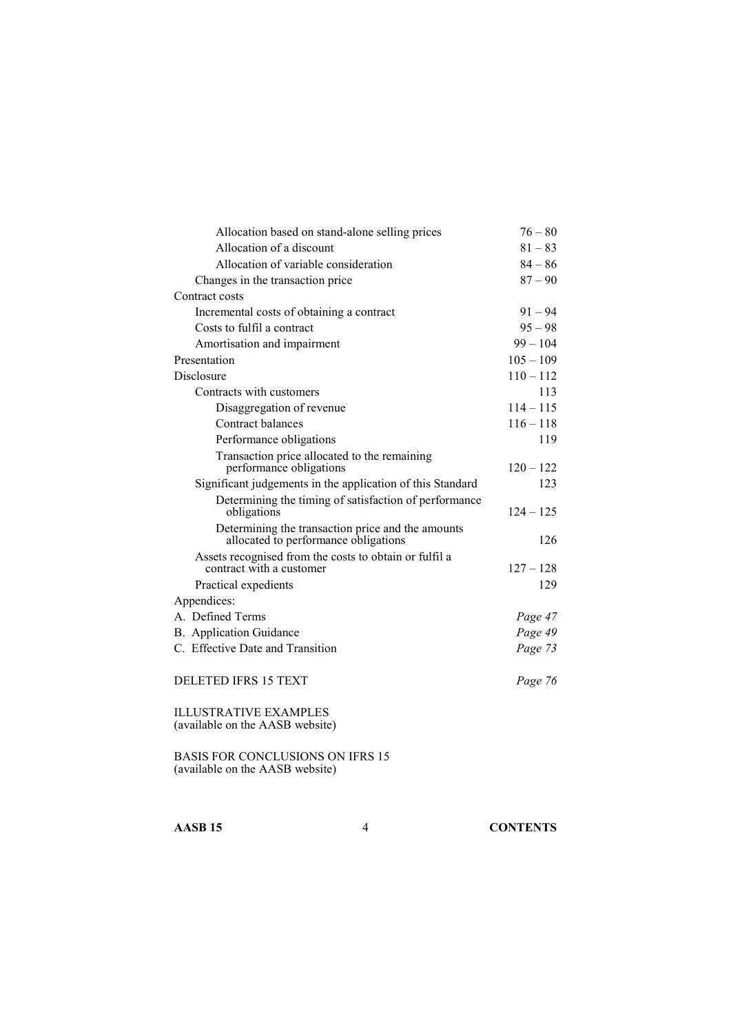| Allocation based on stand-alone selling prices                                            | $76 - 80$   |
|-------------------------------------------------------------------------------------------|-------------|
| Allocation of a discount                                                                  | $81 - 83$   |
| Allocation of variable consideration                                                      | $84 - 86$   |
| Changes in the transaction price                                                          | $87 - 90$   |
| Contract costs                                                                            |             |
| Incremental costs of obtaining a contract                                                 | $91 - 94$   |
| Costs to fulfil a contract                                                                | $95 - 98$   |
| Amortisation and impairment                                                               | $99 - 104$  |
| Presentation                                                                              | $105 - 109$ |
| Disclosure                                                                                | $110 - 112$ |
| Contracts with customers                                                                  | 113         |
| Disaggregation of revenue                                                                 | $114 - 115$ |
| Contract balances                                                                         | $116 - 118$ |
| Performance obligations                                                                   | 119         |
| Transaction price allocated to the remaining                                              |             |
| performance obligations                                                                   | $120 - 122$ |
| Significant judgements in the application of this Standard                                | 123         |
| Determining the timing of satisfaction of performance<br>obligations                      | $124 - 125$ |
| Determining the transaction price and the amounts<br>allocated to performance obligations | 126         |
| Assets recognised from the costs to obtain or fulfil a                                    |             |
| contract with a customer                                                                  | $127 - 128$ |
| Practical expedients                                                                      | 129         |
| Appendices:                                                                               |             |
| A. Defined Terms                                                                          | Page 47     |
| <b>B.</b> Application Guidance                                                            | Page 49     |
| C. Effective Date and Transition                                                          | Page 73     |
| DELETED IFRS 15 TEXT                                                                      | Page 76     |
| <b>ILLUSTRATIVE EXAMPLES</b><br>(available on the AASB website)                           |             |
| <b>BASIS FOR CONCLUSIONS ON IFRS 15</b><br>(available on the AASB website)                |             |

**AASB 15** 4 **CONTENTS**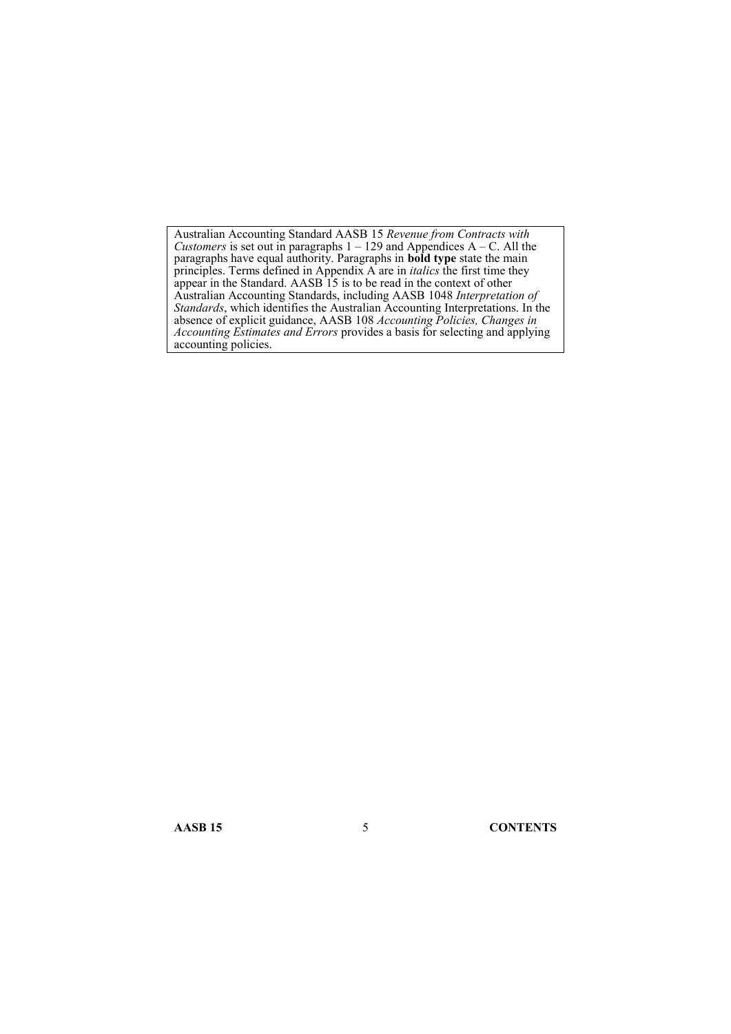Australian Accounting Standard AASB 15 *Revenue from Contracts with Customers* is set out in paragraphs  $1 - 129$  and Appendices  $A - C$ . All the paragraphs have equal authority. Paragraphs in **bold type** state the main principles. Terms defined in Appendix A are in *italics* the first time they appear in the Standard. AASB 15 is to be read in the context of other Australian Accounting Standards, including AASB 1048 *Interpretation of Standards*, which identifies the Australian Accounting Interpretations. In the absence of explicit guidance, AASB 108 *Accounting Policies, Changes in Accounting Estimates and Errors* provides a basis for selecting and applying accounting policies.

**AASB 15** 5 **CONTENTS**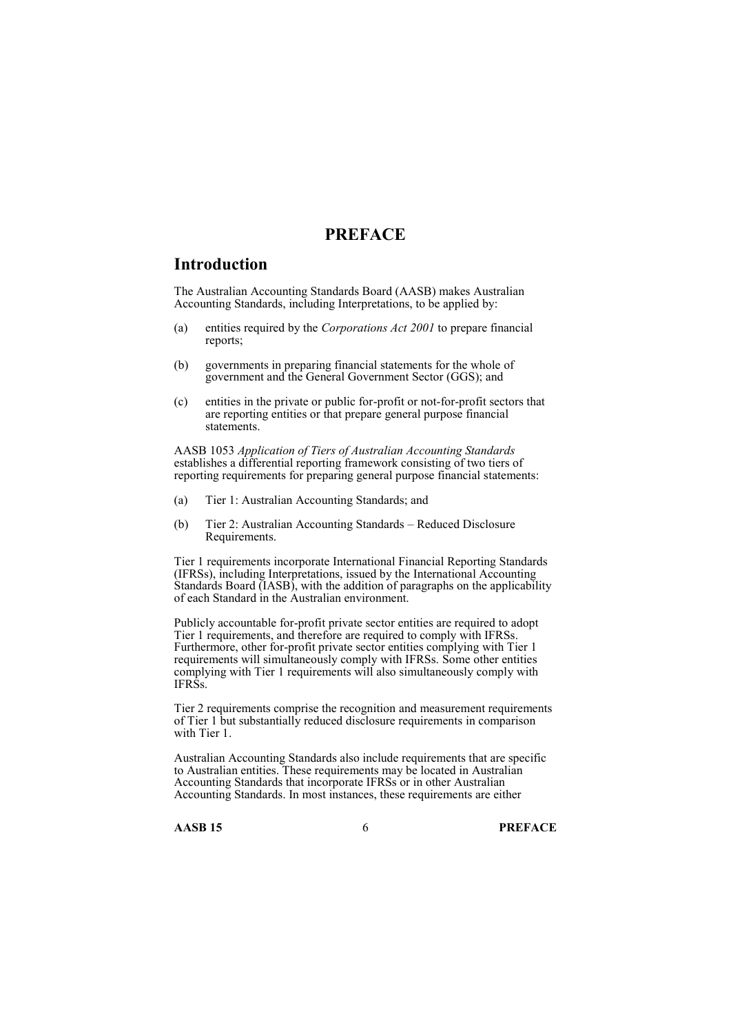# **PREFACE**

# **Introduction**

The Australian Accounting Standards Board (AASB) makes Australian Accounting Standards, including Interpretations, to be applied by:

- (a) entities required by the *Corporations Act 2001* to prepare financial reports;
- (b) governments in preparing financial statements for the whole of government and the General Government Sector (GGS); and
- (c) entities in the private or public for-profit or not-for-profit sectors that are reporting entities or that prepare general purpose financial statements.

AASB 1053 *Application of Tiers of Australian Accounting Standards* establishes a differential reporting framework consisting of two tiers of reporting requirements for preparing general purpose financial statements:

- (a) Tier 1: Australian Accounting Standards; and
- (b) Tier 2: Australian Accounting Standards Reduced Disclosure Requirements.

Tier 1 requirements incorporate International Financial Reporting Standards (IFRSs), including Interpretations, issued by the International Accounting Standards Board (IASB), with the addition of paragraphs on the applicability of each Standard in the Australian environment.

Publicly accountable for-profit private sector entities are required to adopt Tier 1 requirements, and therefore are required to comply with IFRSs. Furthermore, other for-profit private sector entities complying with Tier 1 requirements will simultaneously comply with IFRSs. Some other entities complying with Tier 1 requirements will also simultaneously comply with IFRSs.

Tier 2 requirements comprise the recognition and measurement requirements of Tier 1 but substantially reduced disclosure requirements in comparison with Tier 1.

Australian Accounting Standards also include requirements that are specific to Australian entities. These requirements may be located in Australian Accounting Standards that incorporate IFRSs or in other Australian Accounting Standards. In most instances, these requirements are either

**AASB 15** 6 **PREFACE**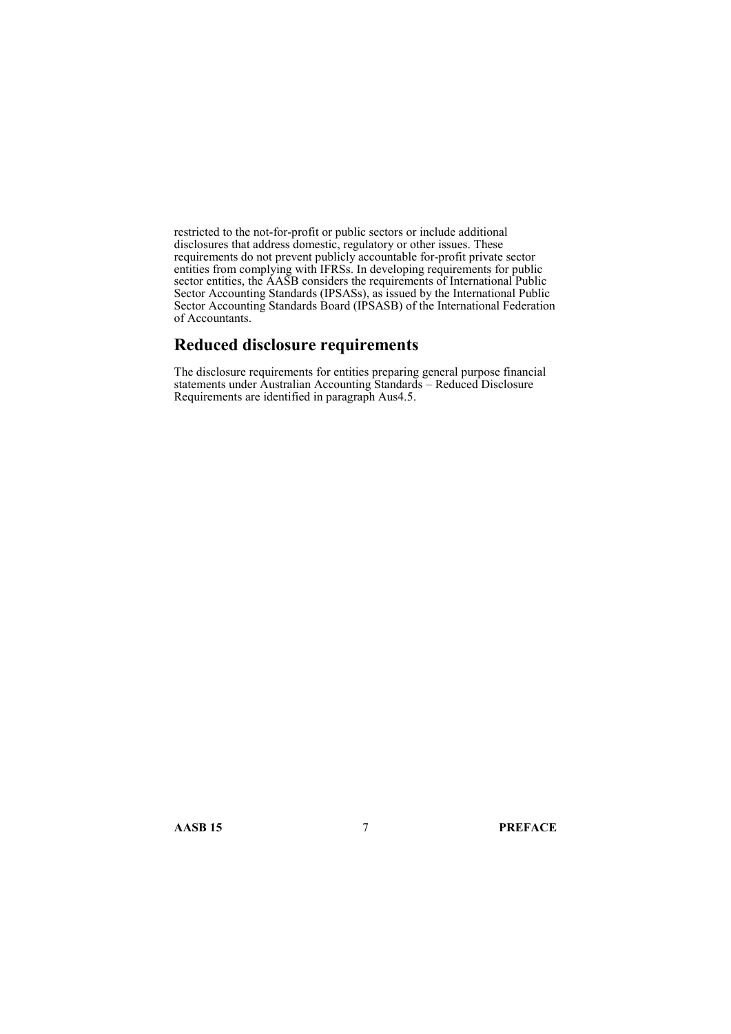restricted to the not-for-profit or public sectors or include additional disclosures that address domestic, regulatory or other issues. These requirements do not prevent publicly accountable for-profit private sector entities from complying with IFRSs. In developing requirements for public sector entities, the AASB considers the requirements of International Public Sector Accounting Standards (IPSASs), as issued by the International Public Sector Accounting Standards Board (IPSASB) of the International Federation of Accountants.

# **Reduced disclosure requirements**

The disclosure requirements for entities preparing general purpose financial statements under Australian Accounting Standards – Reduced Disclosure Requirements are identified in paragraph Aus4.5.

**AASB 15** 7 **PREFACE**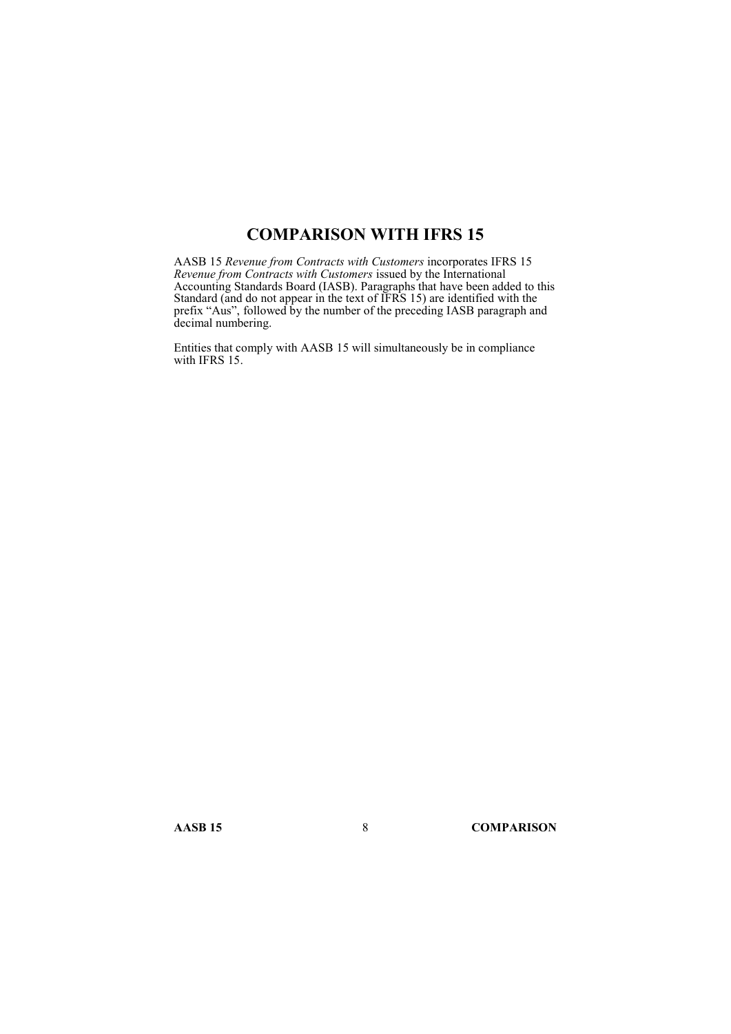# **COMPARISON WITH IFRS 15**

AASB 15 *Revenue from Contracts with Customers* incorporates IFRS 15 *Revenue from Contracts with Customers* issued by the International Accounting Standards Board (IASB). Paragraphs that have been added to this Standard (and do not appear in the text of IFRS 15) are identified with the prefix "Aus", followed by the number of the preceding IASB paragraph and decimal numbering.

Entities that comply with AASB 15 will simultaneously be in compliance with IFRS 15.

**AASB 15** 8 **COMPARISON**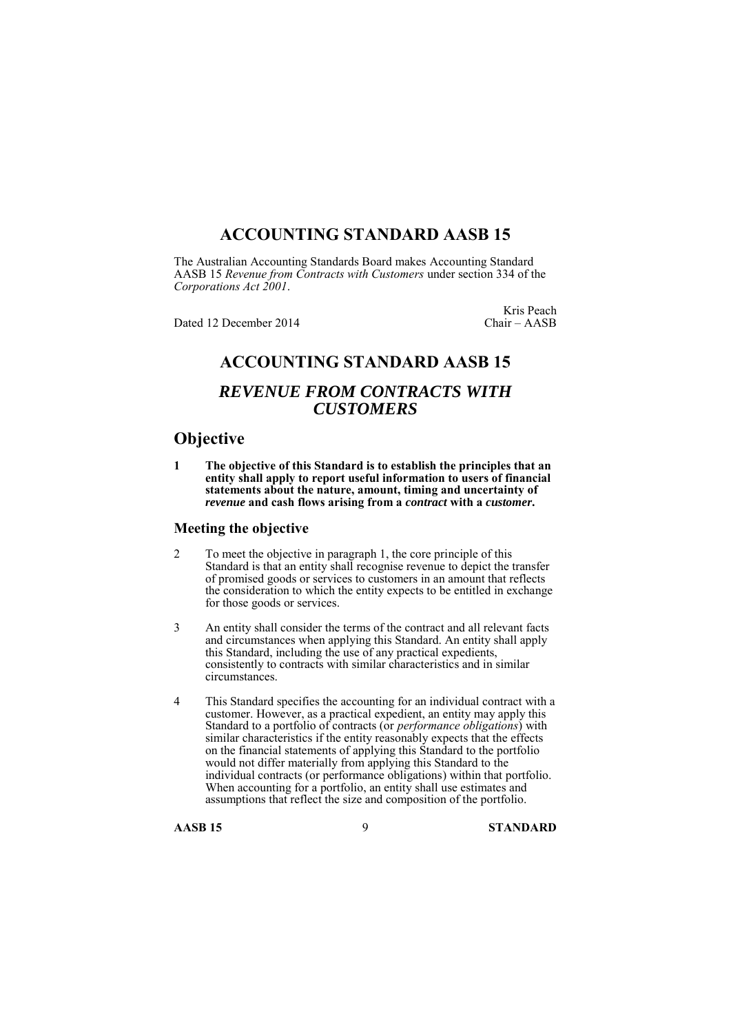# **ACCOUNTING STANDARD AASB 15**

The Australian Accounting Standards Board makes Accounting Standard AASB 15 *Revenue from Contracts with Customers* under section 334 of the *Corporations Act 2001*.

Dated 12 December 2014

Kris Peach<br>Chair – AASB

# **ACCOUNTING STANDARD AASB 15**

# *REVENUE FROM CONTRACTS WITH CUSTOMERS*

# **Objective**

**1 The objective of this Standard is to establish the principles that an entity shall apply to report useful information to users of financial statements about the nature, amount, timing and uncertainty of**  *revenue* **and cash flows arising from a** *contract* **with a** *customer***.** 

### **Meeting the objective**

- 2 To meet the objective in paragraph 1, the core principle of this Standard is that an entity shall recognise revenue to depict the transfer of promised goods or services to customers in an amount that reflects the consideration to which the entity expects to be entitled in exchange for those goods or services.
- 3 An entity shall consider the terms of the contract and all relevant facts and circumstances when applying this Standard. An entity shall apply this Standard, including the use of any practical expedients, consistently to contracts with similar characteristics and in similar circumstances.
- 4 This Standard specifies the accounting for an individual contract with a customer. However, as a practical expedient, an entity may apply this Standard to a portfolio of contracts (or *performance obligations*) with similar characteristics if the entity reasonably expects that the effects on the financial statements of applying this Standard to the portfolio would not differ materially from applying this Standard to the individual contracts (or performance obligations) within that portfolio. When accounting for a portfolio, an entity shall use estimates and assumptions that reflect the size and composition of the portfolio.

**AASB 15** 9 **STANDARD**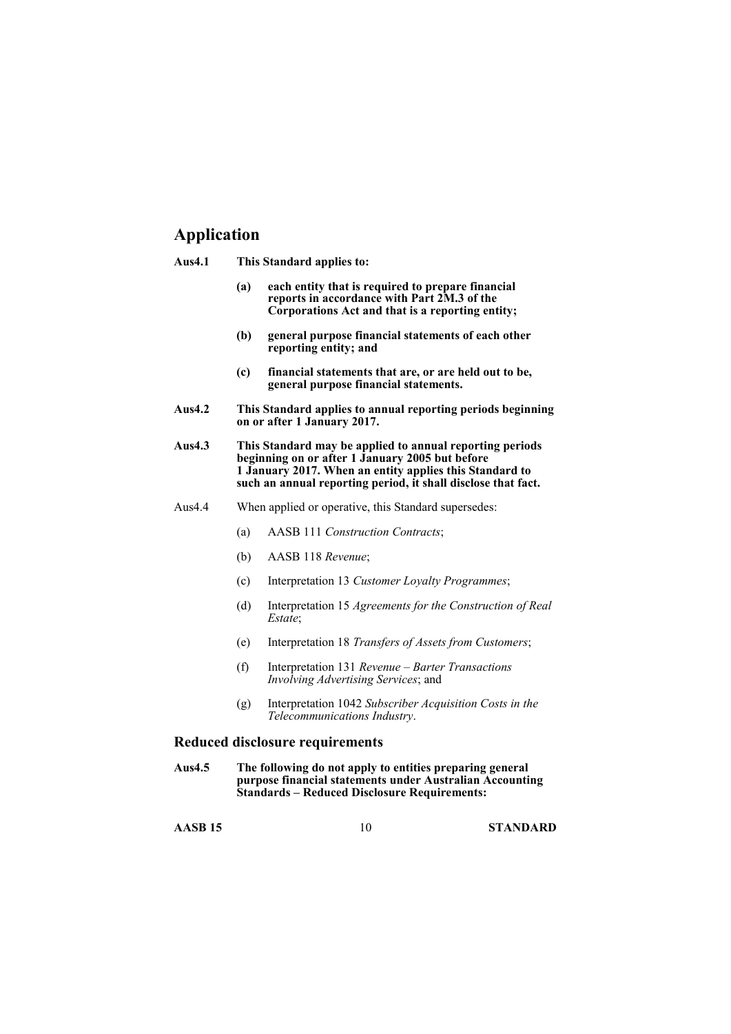# **Application**

#### **Aus4.1 This Standard applies to:**

- **(a) each entity that is required to prepare financial reports in accordance with Part 2M.3 of the Corporations Act and that is a reporting entity;**
- **(b) general purpose financial statements of each other reporting entity; and**
- **(c) financial statements that are, or are held out to be, general purpose financial statements.**
- **Aus4.2 This Standard applies to annual reporting periods beginning on or after 1 January 2017.**
- **Aus4.3 This Standard may be applied to annual reporting periods beginning on or after 1 January 2005 but before 1 January 2017. When an entity applies this Standard to such an annual reporting period, it shall disclose that fact.**
- Aus4.4 When applied or operative, this Standard supersedes:
	- (a) AASB 111 *Construction Contracts*;
	- (b) AASB 118 *Revenue*;
	- (c) Interpretation 13 *Customer Loyalty Programmes*;
	- (d) Interpretation 15 *Agreements for the Construction of Real Estate*;
	- (e) Interpretation 18 *Transfers of Assets from Customers*;
	- (f) Interpretation 131 *Revenue Barter Transactions Involving Advertising Services*; and
	- (g) Interpretation 1042 *Subscriber Acquisition Costs in the Telecommunications Industry*.

### **Reduced disclosure requirements**

**Aus4.5 The following do not apply to entities preparing general purpose financial statements under Australian Accounting Standards – Reduced Disclosure Requirements:** 

**AASB 15** 10 **STANDARD**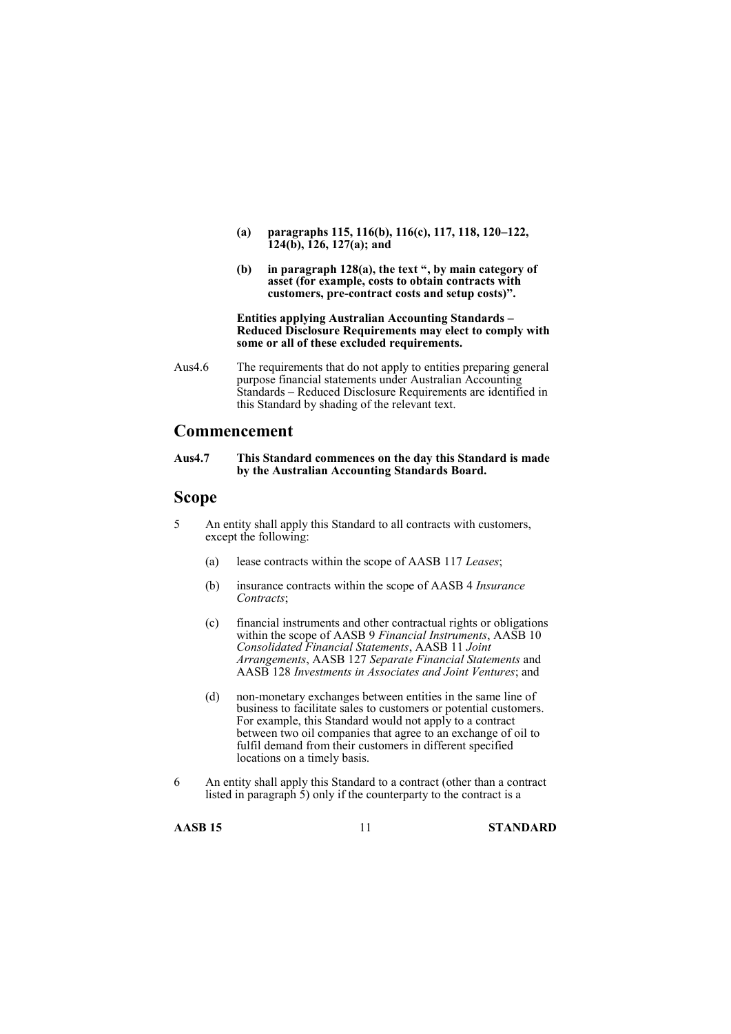- **(a) paragraphs 115, 116(b), 116(c), 117, 118, 120–122, 124(b), 126, 127(a); and**
- **(b) in paragraph 128(a), the text ", by main category of asset (for example, costs to obtain contracts with customers, pre-contract costs and setup costs)".**

**Entities applying Australian Accounting Standards – Reduced Disclosure Requirements may elect to comply with some or all of these excluded requirements.**

Aus4.6 The requirements that do not apply to entities preparing general purpose financial statements under Australian Accounting Standards – Reduced Disclosure Requirements are identified in this Standard by shading of the relevant text.

# **Commencement**

#### **Aus4.7 This Standard commences on the day this Standard is made by the Australian Accounting Standards Board.**

# **Scope**

- 5 An entity shall apply this Standard to all contracts with customers, except the following:
	- (a) lease contracts within the scope of AASB 117 *Leases*;
	- (b) insurance contracts within the scope of AASB 4 *Insurance Contracts*;
	- (c) financial instruments and other contractual rights or obligations within the scope of AASB 9 *Financial Instruments*, AASB 10 *Consolidated Financial Statements*, AASB 11 *Joint Arrangements*, AASB 127 *Separate Financial Statements* and AASB 128 *Investments in Associates and Joint Ventures*; and
	- (d) non-monetary exchanges between entities in the same line of business to facilitate sales to customers or potential customers. For example, this Standard would not apply to a contract between two oil companies that agree to an exchange of oil to fulfil demand from their customers in different specified locations on a timely basis.
- 6 An entity shall apply this Standard to a contract (other than a contract listed in paragraph 5) only if the counterparty to the contract is a

**AASB 15** 11 **STANDARD**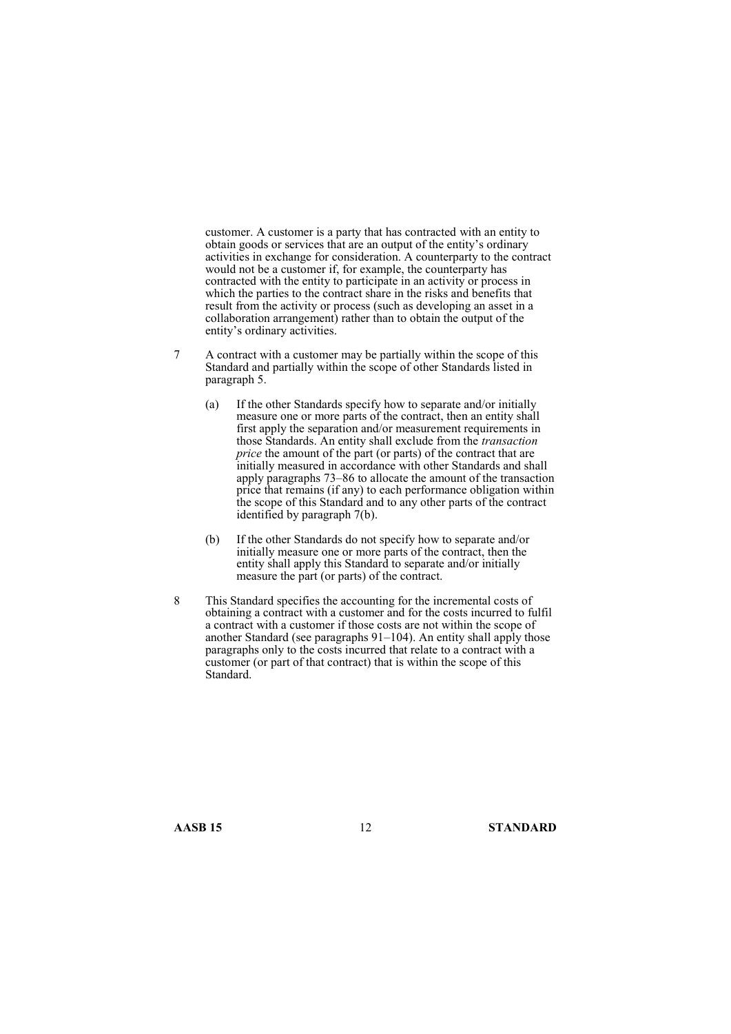customer. A customer is a party that has contracted with an entity to obtain goods or services that are an output of the entity's ordinary activities in exchange for consideration. A counterparty to the contract would not be a customer if, for example, the counterparty has contracted with the entity to participate in an activity or process in which the parties to the contract share in the risks and benefits that result from the activity or process (such as developing an asset in a collaboration arrangement) rather than to obtain the output of the entity's ordinary activities.

- 7 A contract with a customer may be partially within the scope of this Standard and partially within the scope of other Standards listed in paragraph 5.
	- (a) If the other Standards specify how to separate and/or initially measure one or more parts of the contract, then an entity shall first apply the separation and/or measurement requirements in those Standards. An entity shall exclude from the *transaction price* the amount of the part (or parts) of the contract that are initially measured in accordance with other Standards and shall apply paragraphs 73–86 to allocate the amount of the transaction price that remains (if any) to each performance obligation within the scope of this Standard and to any other parts of the contract identified by paragraph 7(b).
	- (b) If the other Standards do not specify how to separate and/or initially measure one or more parts of the contract, then the entity shall apply this Standard to separate and/or initially measure the part (or parts) of the contract.
- 8 This Standard specifies the accounting for the incremental costs of obtaining a contract with a customer and for the costs incurred to fulfil a contract with a customer if those costs are not within the scope of another Standard (see paragraphs 91–104). An entity shall apply those paragraphs only to the costs incurred that relate to a contract with a customer (or part of that contract) that is within the scope of this Standard.

**AASB 15** 12 **STANDARD**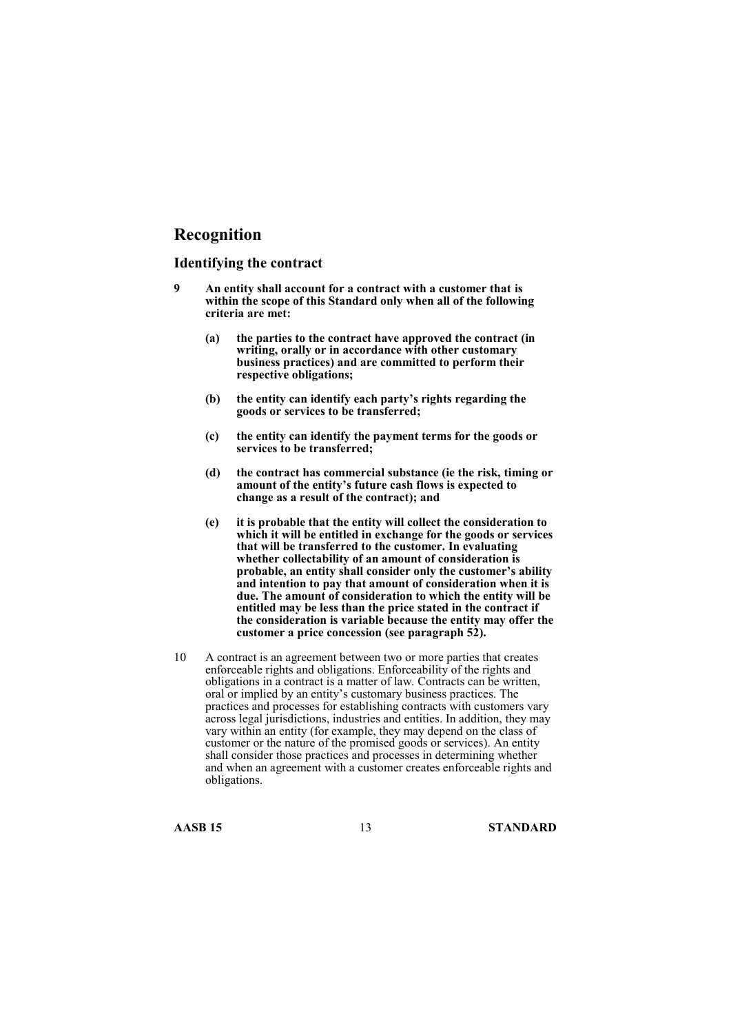# **Recognition**

### **Identifying the contract**

- **9 An entity shall account for a contract with a customer that is within the scope of this Standard only when all of the following criteria are met:**
	- **(a) the parties to the contract have approved the contract (in writing, orally or in accordance with other customary business practices) and are committed to perform their respective obligations;**
	- **(b) the entity can identify each party's rights regarding the goods or services to be transferred;**
	- **(c) the entity can identify the payment terms for the goods or services to be transferred;**
	- **(d) the contract has commercial substance (ie the risk, timing or amount of the entity's future cash flows is expected to change as a result of the contract); and**
	- **(e) it is probable that the entity will collect the consideration to which it will be entitled in exchange for the goods or services that will be transferred to the customer. In evaluating whether collectability of an amount of consideration is probable, an entity shall consider only the customer's ability and intention to pay that amount of consideration when it is due. The amount of consideration to which the entity will be entitled may be less than the price stated in the contract if the consideration is variable because the entity may offer the customer a price concession (see paragraph 52).**
- 10 A contract is an agreement between two or more parties that creates enforceable rights and obligations. Enforceability of the rights and obligations in a contract is a matter of law. Contracts can be written, oral or implied by an entity's customary business practices. The practices and processes for establishing contracts with customers vary across legal jurisdictions, industries and entities. In addition, they may vary within an entity (for example, they may depend on the class of customer or the nature of the promised goods or services). An entity shall consider those practices and processes in determining whether and when an agreement with a customer creates enforceable rights and obligations.

**AASB 15** 13 **STANDARD**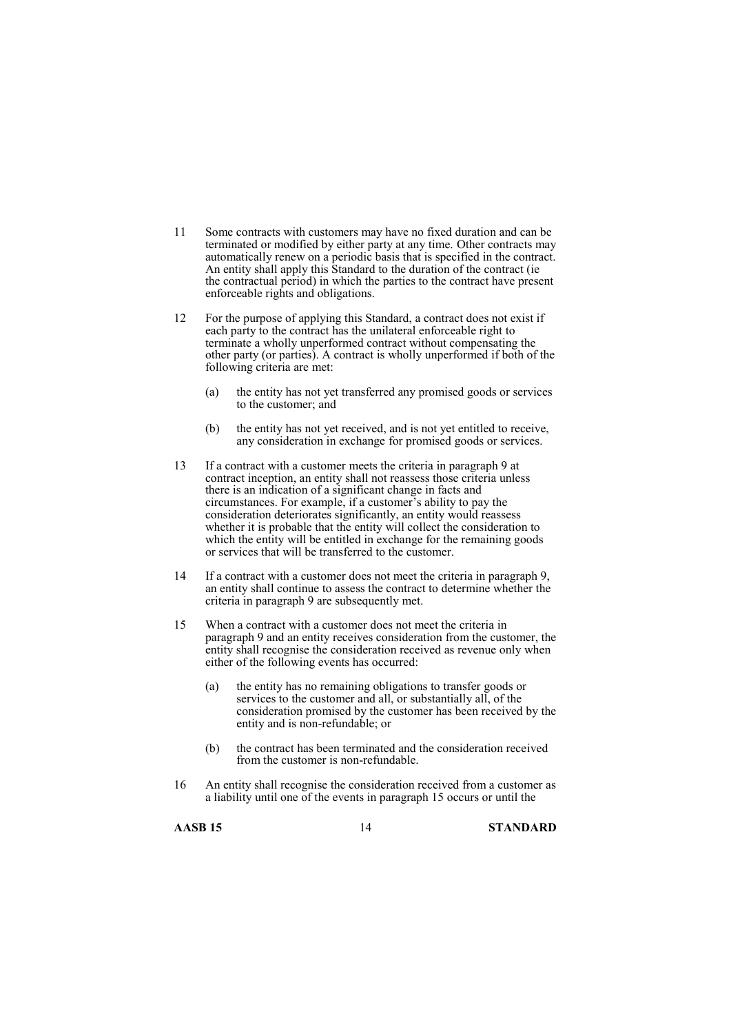- 11 Some contracts with customers may have no fixed duration and can be terminated or modified by either party at any time. Other contracts may automatically renew on a periodic basis that is specified in the contract. An entity shall apply this Standard to the duration of the contract (ie the contractual period) in which the parties to the contract have present enforceable rights and obligations.
- 12 For the purpose of applying this Standard, a contract does not exist if each party to the contract has the unilateral enforceable right to terminate a wholly unperformed contract without compensating the other party (or parties). A contract is wholly unperformed if both of the following criteria are met:
	- (a) the entity has not yet transferred any promised goods or services to the customer; and
	- (b) the entity has not yet received, and is not yet entitled to receive, any consideration in exchange for promised goods or services.
- 13 If a contract with a customer meets the criteria in paragraph 9 at contract inception, an entity shall not reassess those criteria unless there is an indication of a significant change in facts and circumstances. For example, if a customer's ability to pay the consideration deteriorates significantly, an entity would reassess whether it is probable that the entity will collect the consideration to which the entity will be entitled in exchange for the remaining goods or services that will be transferred to the customer.
- 14 If a contract with a customer does not meet the criteria in paragraph 9, an entity shall continue to assess the contract to determine whether the criteria in paragraph 9 are subsequently met.
- 15 When a contract with a customer does not meet the criteria in paragraph 9 and an entity receives consideration from the customer, the entity shall recognise the consideration received as revenue only when either of the following events has occurred:
	- (a) the entity has no remaining obligations to transfer goods or services to the customer and all, or substantially all, of the consideration promised by the customer has been received by the entity and is non-refundable; or
	- (b) the contract has been terminated and the consideration received from the customer is non-refundable.
- 16 An entity shall recognise the consideration received from a customer as a liability until one of the events in paragraph 15 occurs or until the

**AASB 15** 14 **STANDARD**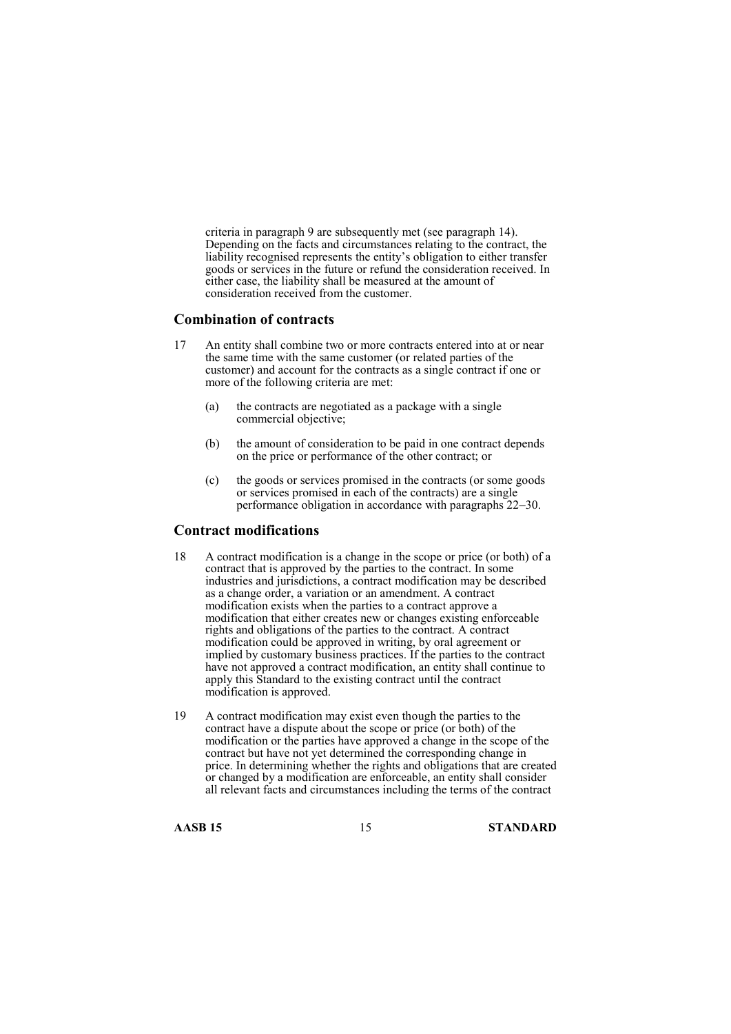criteria in paragraph 9 are subsequently met (see paragraph 14). Depending on the facts and circumstances relating to the contract, the liability recognised represents the entity's obligation to either transfer goods or services in the future or refund the consideration received. In either case, the liability shall be measured at the amount of consideration received from the customer.

### **Combination of contracts**

- 17 An entity shall combine two or more contracts entered into at or near the same time with the same customer (or related parties of the customer) and account for the contracts as a single contract if one or more of the following criteria are met:
	- (a) the contracts are negotiated as a package with a single commercial objective;
	- (b) the amount of consideration to be paid in one contract depends on the price or performance of the other contract; or
	- (c) the goods or services promised in the contracts (or some goods or services promised in each of the contracts) are a single performance obligation in accordance with paragraphs 22–30.

### **Contract modifications**

- 18 A contract modification is a change in the scope or price (or both) of a contract that is approved by the parties to the contract. In some industries and jurisdictions, a contract modification may be described as a change order, a variation or an amendment. A contract modification exists when the parties to a contract approve a modification that either creates new or changes existing enforceable rights and obligations of the parties to the contract. A contract modification could be approved in writing, by oral agreement or implied by customary business practices. If the parties to the contract have not approved a contract modification, an entity shall continue to apply this Standard to the existing contract until the contract modification is approved.
- 19 A contract modification may exist even though the parties to the contract have a dispute about the scope or price (or both) of the modification or the parties have approved a change in the scope of the contract but have not yet determined the corresponding change in price. In determining whether the rights and obligations that are created or changed by a modification are enforceable, an entity shall consider all relevant facts and circumstances including the terms of the contract

**AASB 15** 15 **STANDARD**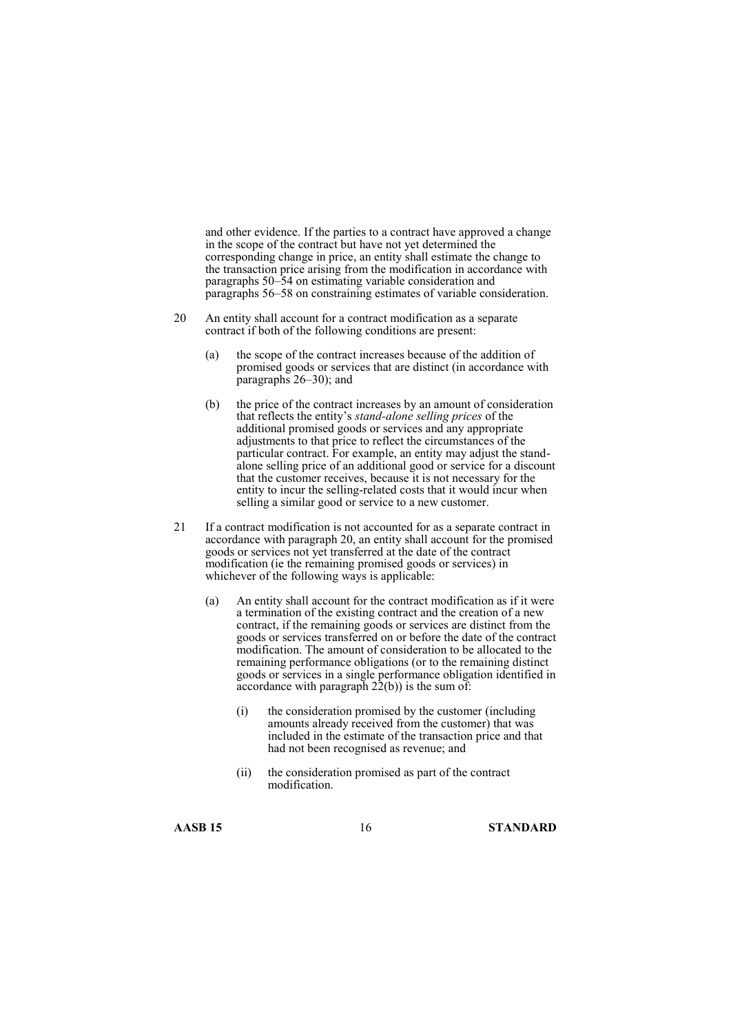and other evidence. If the parties to a contract have approved a change in the scope of the contract but have not yet determined the corresponding change in price, an entity shall estimate the change to the transaction price arising from the modification in accordance with paragraphs 50–54 on estimating variable consideration and paragraphs 56–58 on constraining estimates of variable consideration.

- 20 An entity shall account for a contract modification as a separate contract if both of the following conditions are present:
	- (a) the scope of the contract increases because of the addition of promised goods or services that are distinct (in accordance with paragraphs 26–30); and
	- (b) the price of the contract increases by an amount of consideration that reflects the entity's *stand-alone selling prices* of the additional promised goods or services and any appropriate adjustments to that price to reflect the circumstances of the particular contract. For example, an entity may adjust the standalone selling price of an additional good or service for a discount that the customer receives, because it is not necessary for the entity to incur the selling-related costs that it would incur when selling a similar good or service to a new customer.
- 21 If a contract modification is not accounted for as a separate contract in accordance with paragraph 20, an entity shall account for the promised goods or services not yet transferred at the date of the contract modification (ie the remaining promised goods or services) in whichever of the following ways is applicable:
	- (a) An entity shall account for the contract modification as if it were a termination of the existing contract and the creation of a new contract, if the remaining goods or services are distinct from the goods or services transferred on or before the date of the contract modification. The amount of consideration to be allocated to the remaining performance obligations (or to the remaining distinct goods or services in a single performance obligation identified in accordance with paragraph  $22(b)$ ) is the sum of:
		- (i) the consideration promised by the customer (including amounts already received from the customer) that was included in the estimate of the transaction price and that had not been recognised as revenue; and
		- (ii) the consideration promised as part of the contract modification.

**AASB 15** 16 **STANDARD**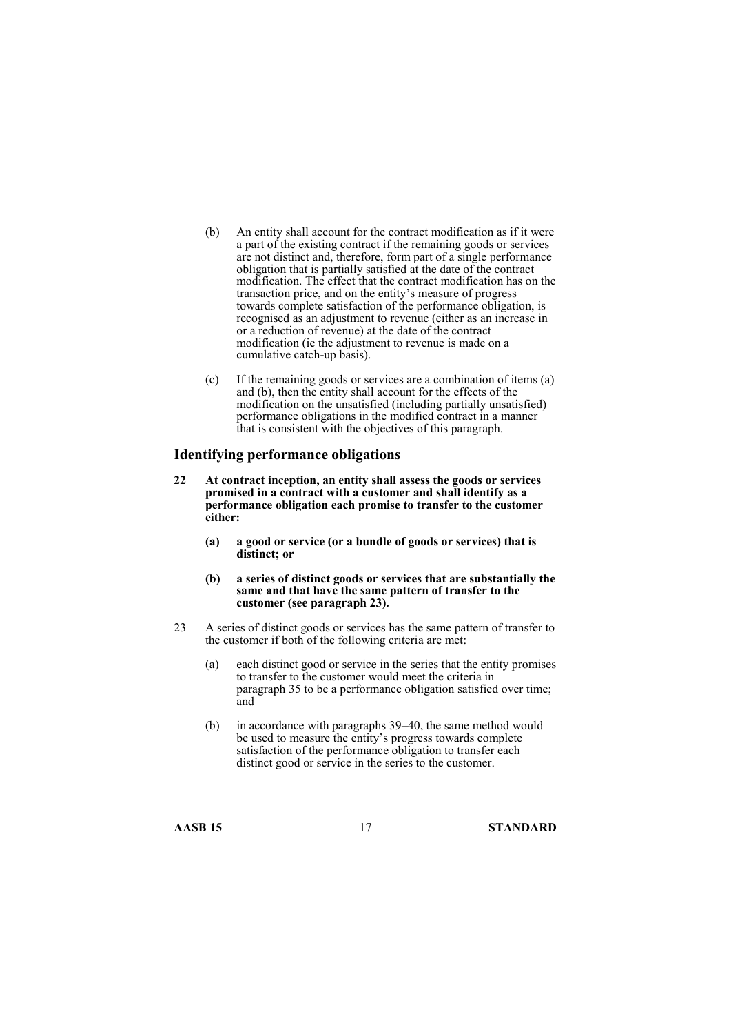- (b) An entity shall account for the contract modification as if it were a part of the existing contract if the remaining goods or services are not distinct and, therefore, form part of a single performance obligation that is partially satisfied at the date of the contract modification. The effect that the contract modification has on the transaction price, and on the entity's measure of progress towards complete satisfaction of the performance obligation, is recognised as an adjustment to revenue (either as an increase in or a reduction of revenue) at the date of the contract modification (ie the adjustment to revenue is made on a cumulative catch-up basis).
- (c) If the remaining goods or services are a combination of items (a) and (b), then the entity shall account for the effects of the modification on the unsatisfied (including partially unsatisfied) performance obligations in the modified contract in a manner that is consistent with the objectives of this paragraph.

### **Identifying performance obligations**

- **22 At contract inception, an entity shall assess the goods or services promised in a contract with a customer and shall identify as a performance obligation each promise to transfer to the customer either:**
	- **(a) a good or service (or a bundle of goods or services) that is distinct; or**
	- **(b) a series of distinct goods or services that are substantially the same and that have the same pattern of transfer to the customer (see paragraph 23).**
- 23 A series of distinct goods or services has the same pattern of transfer to the customer if both of the following criteria are met:
	- (a) each distinct good or service in the series that the entity promises to transfer to the customer would meet the criteria in paragraph 35 to be a performance obligation satisfied over time; and
	- (b) in accordance with paragraphs 39–40, the same method would be used to measure the entity's progress towards complete satisfaction of the performance obligation to transfer each distinct good or service in the series to the customer.

**AASB 15** 17 **STANDARD**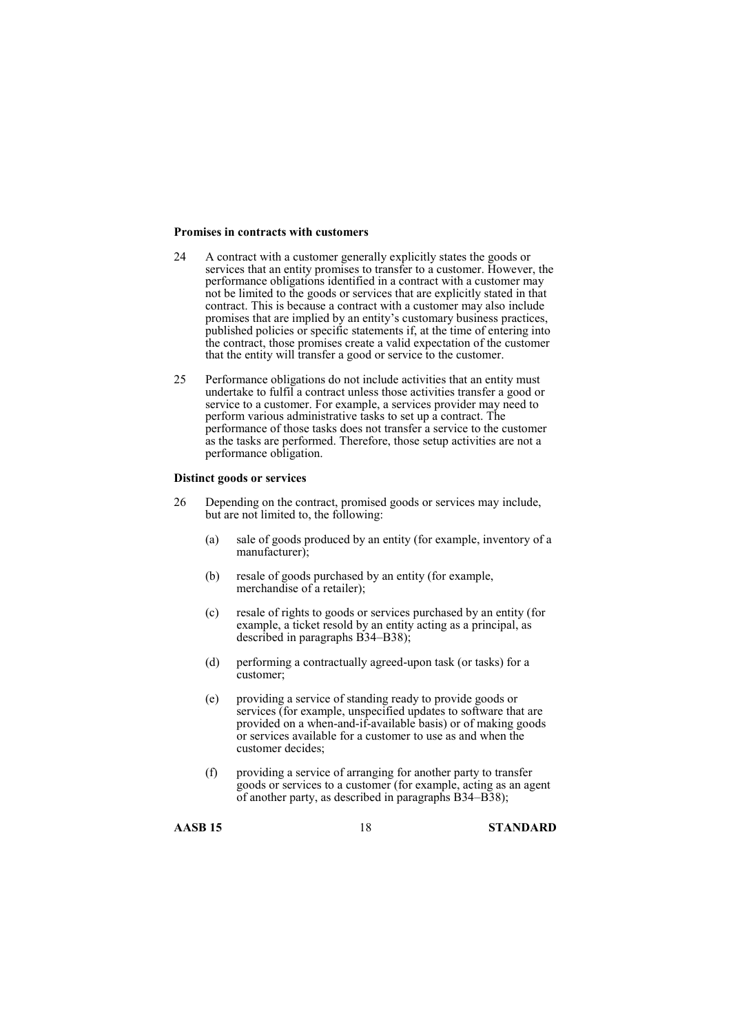#### **Promises in contracts with customers**

- 24 A contract with a customer generally explicitly states the goods or services that an entity promises to transfer to a customer. However, the performance obligations identified in a contract with a customer may not be limited to the goods or services that are explicitly stated in that contract. This is because a contract with a customer may also include promises that are implied by an entity's customary business practices, published policies or specific statements if, at the time of entering into the contract, those promises create a valid expectation of the customer that the entity will transfer a good or service to the customer.
- 25 Performance obligations do not include activities that an entity must undertake to fulfil a contract unless those activities transfer a good or service to a customer. For example, a services provider may need to perform various administrative tasks to set up a contract. The performance of those tasks does not transfer a service to the customer as the tasks are performed. Therefore, those setup activities are not a performance obligation.

### **Distinct goods or services**

- 26 Depending on the contract, promised goods or services may include, but are not limited to, the following:
	- (a) sale of goods produced by an entity (for example, inventory of a manufacturer);
	- (b) resale of goods purchased by an entity (for example, merchandise of a retailer);
	- (c) resale of rights to goods or services purchased by an entity (for example, a ticket resold by an entity acting as a principal, as described in paragraphs B34–B38);
	- (d) performing a contractually agreed-upon task (or tasks) for a customer;
	- (e) providing a service of standing ready to provide goods or services (for example, unspecified updates to software that are provided on a when-and-if-available basis) or of making goods or services available for a customer to use as and when the customer decides;
	- (f) providing a service of arranging for another party to transfer goods or services to a customer (for example, acting as an agent of another party, as described in paragraphs B34–B38);

**AASB 15** 18 **STANDARD**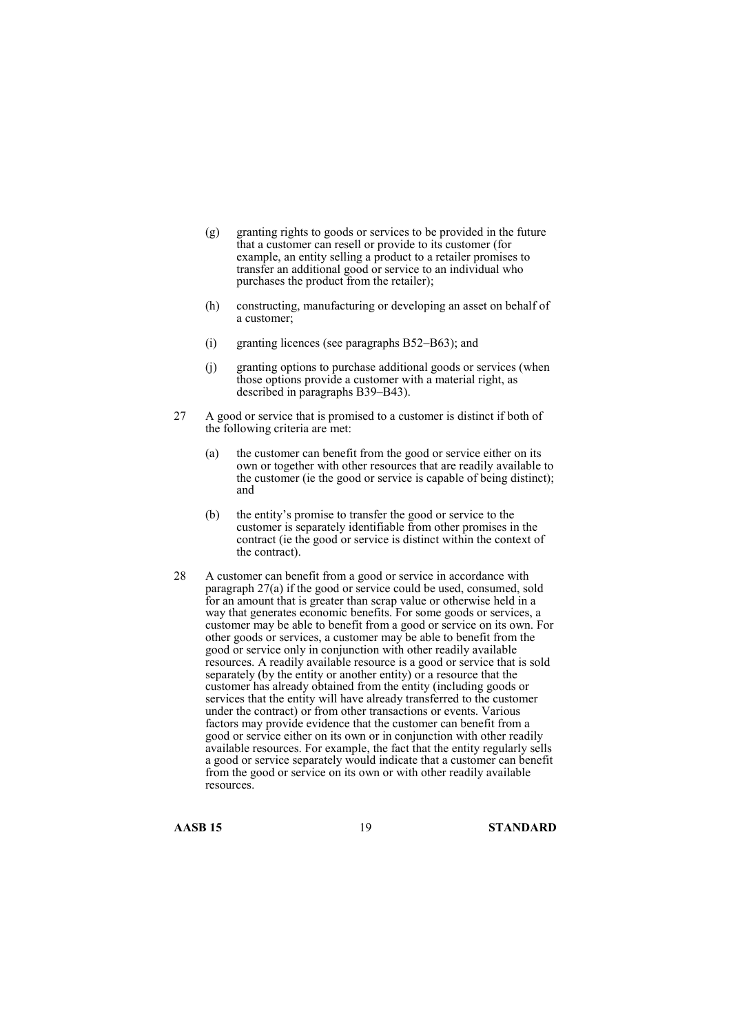- (g) granting rights to goods or services to be provided in the future that a customer can resell or provide to its customer (for example, an entity selling a product to a retailer promises to transfer an additional good or service to an individual who purchases the product from the retailer);
- (h) constructing, manufacturing or developing an asset on behalf of a customer;
- (i) granting licences (see paragraphs B52–B63); and
- (j) granting options to purchase additional goods or services (when those options provide a customer with a material right, as described in paragraphs B39–B43).
- 27 A good or service that is promised to a customer is distinct if both of the following criteria are met:
	- (a) the customer can benefit from the good or service either on its own or together with other resources that are readily available to the customer (ie the good or service is capable of being distinct); and
	- (b) the entity's promise to transfer the good or service to the customer is separately identifiable from other promises in the contract (ie the good or service is distinct within the context of the contract).
- 28 A customer can benefit from a good or service in accordance with paragraph 27(a) if the good or service could be used, consumed, sold for an amount that is greater than scrap value or otherwise held in a way that generates economic benefits. For some goods or services, a customer may be able to benefit from a good or service on its own. For other goods or services, a customer may be able to benefit from the good or service only in conjunction with other readily available resources. A readily available resource is a good or service that is sold separately (by the entity or another entity) or a resource that the customer has already obtained from the entity (including goods or services that the entity will have already transferred to the customer under the contract) or from other transactions or events. Various factors may provide evidence that the customer can benefit from a good or service either on its own or in conjunction with other readily available resources. For example, the fact that the entity regularly sells a good or service separately would indicate that a customer can benefit from the good or service on its own or with other readily available resources.

**AASB 15** 19 **STANDARD**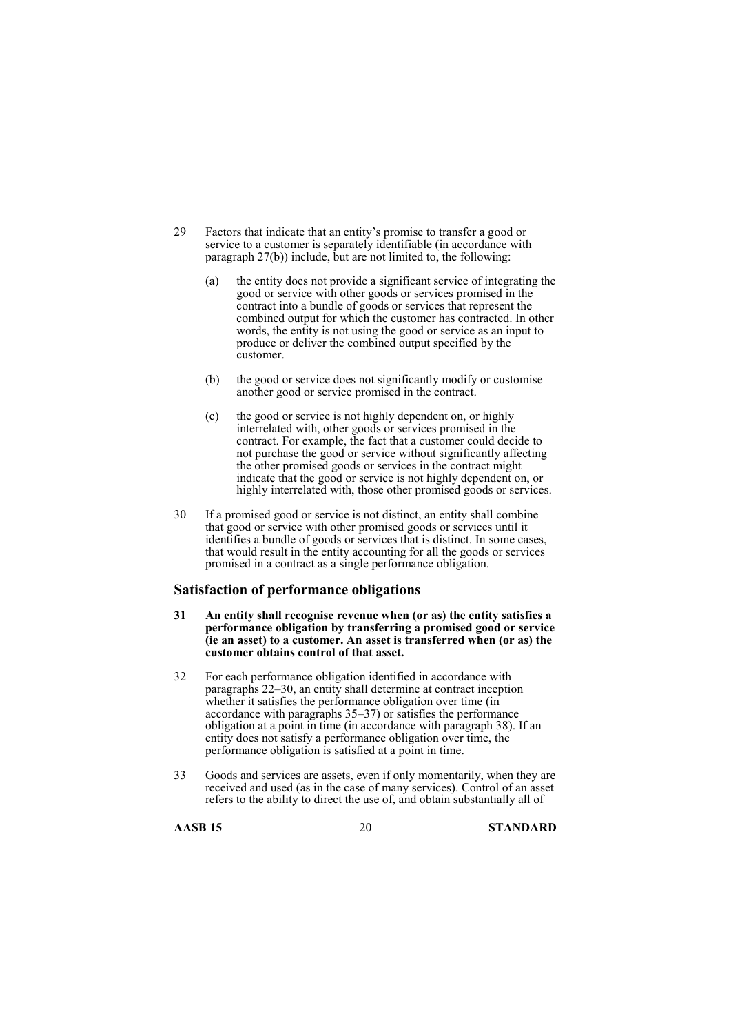- 29 Factors that indicate that an entity's promise to transfer a good or service to a customer is separately identifiable (in accordance with paragraph 27(b)) include, but are not limited to, the following:
	- (a) the entity does not provide a significant service of integrating the good or service with other goods or services promised in the contract into a bundle of goods or services that represent the combined output for which the customer has contracted. In other words, the entity is not using the good or service as an input to produce or deliver the combined output specified by the customer.
	- (b) the good or service does not significantly modify or customise another good or service promised in the contract.
	- (c) the good or service is not highly dependent on, or highly interrelated with, other goods or services promised in the contract. For example, the fact that a customer could decide to not purchase the good or service without significantly affecting the other promised goods or services in the contract might indicate that the good or service is not highly dependent on, or highly interrelated with, those other promised goods or services.
- 30 If a promised good or service is not distinct, an entity shall combine that good or service with other promised goods or services until it identifies a bundle of goods or services that is distinct. In some cases, that would result in the entity accounting for all the goods or services promised in a contract as a single performance obligation.

# **Satisfaction of performance obligations**

- **31 An entity shall recognise revenue when (or as) the entity satisfies a performance obligation by transferring a promised good or service (ie an asset) to a customer. An asset is transferred when (or as) the customer obtains control of that asset.**
- 32 For each performance obligation identified in accordance with paragraphs 22–30, an entity shall determine at contract inception whether it satisfies the performance obligation over time (in accordance with paragraphs 35–37) or satisfies the performance obligation at a point in time (in accordance with paragraph 38). If an entity does not satisfy a performance obligation over time, the performance obligation is satisfied at a point in time.
- 33 Goods and services are assets, even if only momentarily, when they are received and used (as in the case of many services). Control of an asset refers to the ability to direct the use of, and obtain substantially all of

**AASB 15** 20 **STANDARD**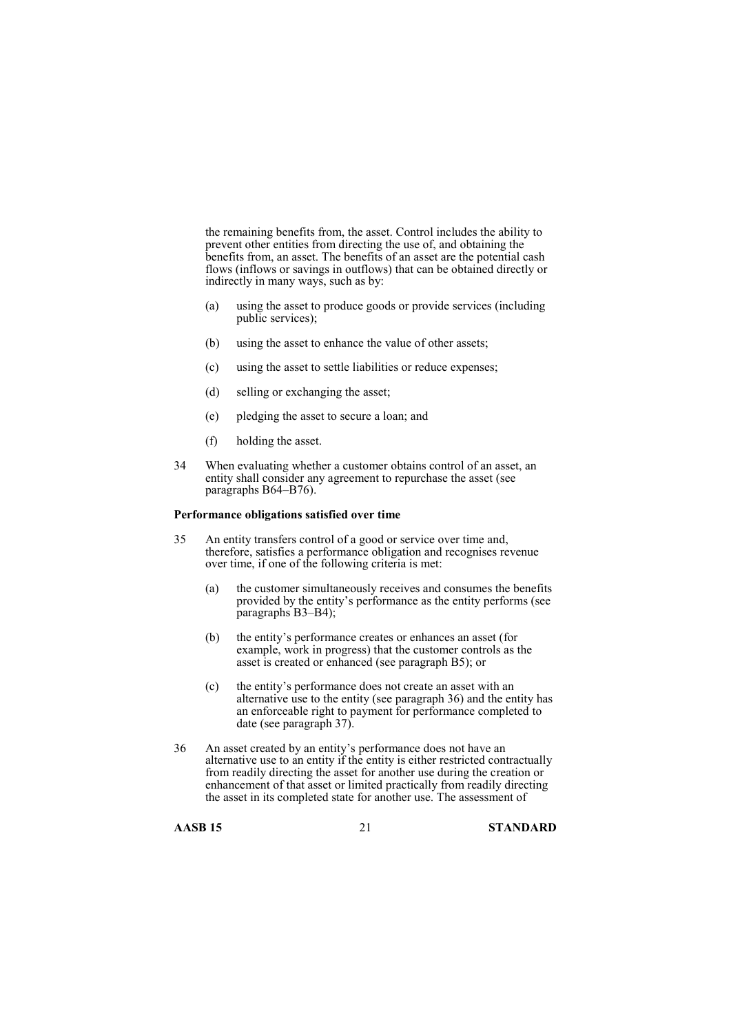the remaining benefits from, the asset. Control includes the ability to prevent other entities from directing the use of, and obtaining the benefits from, an asset. The benefits of an asset are the potential cash flows (inflows or savings in outflows) that can be obtained directly or indirectly in many ways, such as by:

- (a) using the asset to produce goods or provide services (including public services);
- (b) using the asset to enhance the value of other assets;
- (c) using the asset to settle liabilities or reduce expenses;
- (d) selling or exchanging the asset;
- (e) pledging the asset to secure a loan; and
- (f) holding the asset.
- 34 When evaluating whether a customer obtains control of an asset, an entity shall consider any agreement to repurchase the asset (see paragraphs B64–B76).

#### **Performance obligations satisfied over time**

- 35 An entity transfers control of a good or service over time and, therefore, satisfies a performance obligation and recognises revenue over time, if one of the following criteria is met:
	- (a) the customer simultaneously receives and consumes the benefits provided by the entity's performance as the entity performs (see paragraphs B3–B4);
	- (b) the entity's performance creates or enhances an asset (for example, work in progress) that the customer controls as the asset is created or enhanced (see paragraph B5); or
	- (c) the entity's performance does not create an asset with an alternative use to the entity (see paragraph 36) and the entity has an enforceable right to payment for performance completed to date (see paragraph 37).
- 36 An asset created by an entity's performance does not have an alternative use to an entity if the entity is either restricted contractually from readily directing the asset for another use during the creation or enhancement of that asset or limited practically from readily directing the asset in its completed state for another use. The assessment of

**AASB 15** 21 **STANDARD**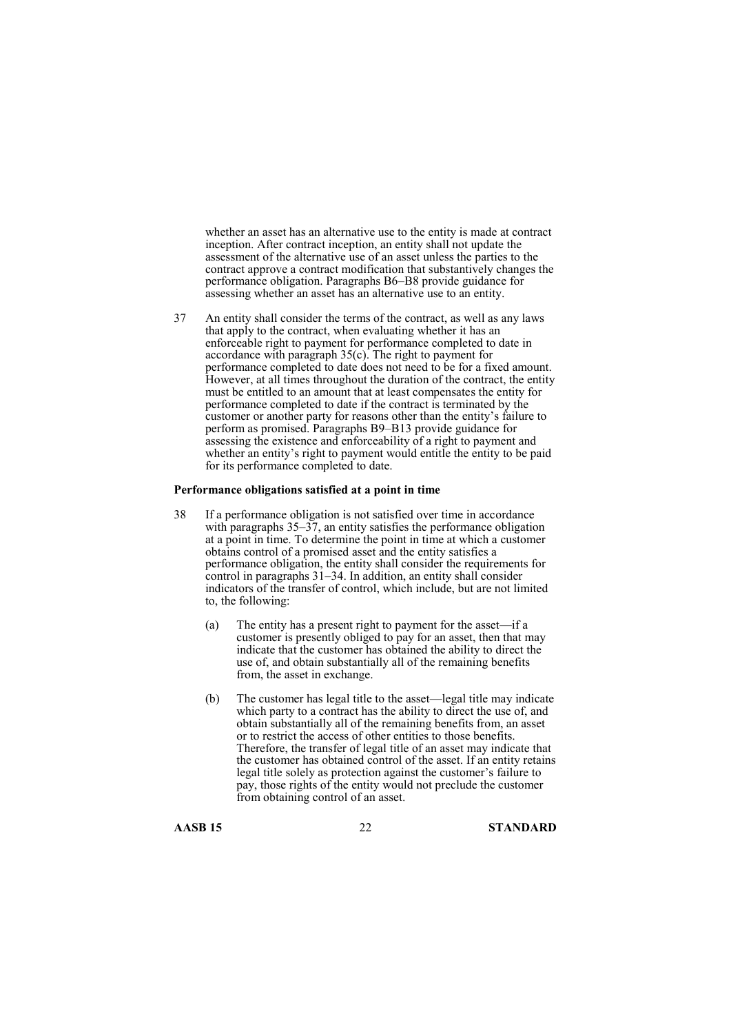whether an asset has an alternative use to the entity is made at contract inception. After contract inception, an entity shall not update the assessment of the alternative use of an asset unless the parties to the contract approve a contract modification that substantively changes the performance obligation. Paragraphs B6–B8 provide guidance for assessing whether an asset has an alternative use to an entity.

37 An entity shall consider the terms of the contract, as well as any laws that apply to the contract, when evaluating whether it has an enforceable right to payment for performance completed to date in accordance with paragraph 35(c). The right to payment for performance completed to date does not need to be for a fixed amount. However, at all times throughout the duration of the contract, the entity must be entitled to an amount that at least compensates the entity for performance completed to date if the contract is terminated by the customer or another party for reasons other than the entity's failure to perform as promised. Paragraphs B9–B13 provide guidance for assessing the existence and enforceability of a right to payment and whether an entity's right to payment would entitle the entity to be paid for its performance completed to date.

#### **Performance obligations satisfied at a point in time**

- 38 If a performance obligation is not satisfied over time in accordance with paragraphs 35–37, an entity satisfies the performance obligation at a point in time. To determine the point in time at which a customer obtains control of a promised asset and the entity satisfies a performance obligation, the entity shall consider the requirements for control in paragraphs 31–34. In addition, an entity shall consider indicators of the transfer of control, which include, but are not limited to, the following:
	- (a) The entity has a present right to payment for the asset—if a customer is presently obliged to pay for an asset, then that may indicate that the customer has obtained the ability to direct the use of, and obtain substantially all of the remaining benefits from, the asset in exchange.
	- (b) The customer has legal title to the asset—legal title may indicate which party to a contract has the ability to direct the use of, and obtain substantially all of the remaining benefits from, an asset or to restrict the access of other entities to those benefits. Therefore, the transfer of legal title of an asset may indicate that the customer has obtained control of the asset. If an entity retains legal title solely as protection against the customer's failure to pay, those rights of the entity would not preclude the customer from obtaining control of an asset.

**AASB 15** 22 **STANDARD**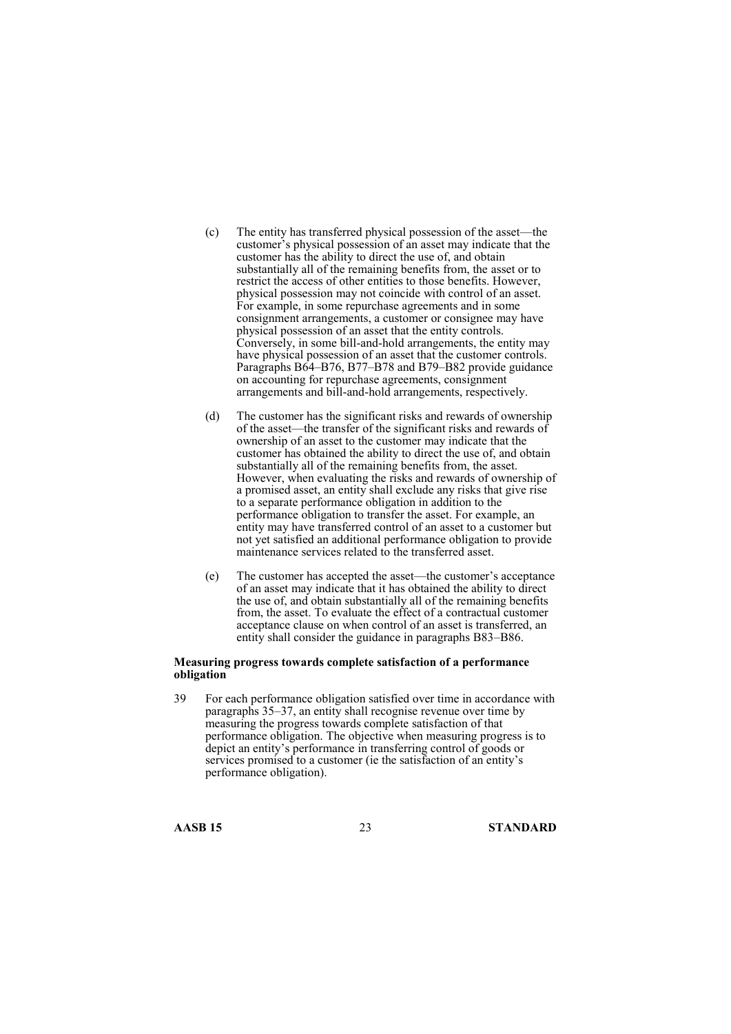- (c) The entity has transferred physical possession of the asset—the customer's physical possession of an asset may indicate that the customer has the ability to direct the use of, and obtain substantially all of the remaining benefits from, the asset or to restrict the access of other entities to those benefits. However, physical possession may not coincide with control of an asset. For example, in some repurchase agreements and in some consignment arrangements, a customer or consignee may have physical possession of an asset that the entity controls. Conversely, in some bill-and-hold arrangements, the entity may have physical possession of an asset that the customer controls. Paragraphs B64–B76, B77–B78 and B79–B82 provide guidance on accounting for repurchase agreements, consignment arrangements and bill-and-hold arrangements, respectively.
- (d) The customer has the significant risks and rewards of ownership of the asset—the transfer of the significant risks and rewards of ownership of an asset to the customer may indicate that the customer has obtained the ability to direct the use of, and obtain substantially all of the remaining benefits from, the asset. However, when evaluating the risks and rewards of ownership of a promised asset, an entity shall exclude any risks that give rise to a separate performance obligation in addition to the performance obligation to transfer the asset. For example, an entity may have transferred control of an asset to a customer but not yet satisfied an additional performance obligation to provide maintenance services related to the transferred asset.
- (e) The customer has accepted the asset—the customer's acceptance of an asset may indicate that it has obtained the ability to direct the use of, and obtain substantially all of the remaining benefits from, the asset. To evaluate the effect of a contractual customer acceptance clause on when control of an asset is transferred, an entity shall consider the guidance in paragraphs B83–B86.

#### **Measuring progress towards complete satisfaction of a performance obligation**

39 For each performance obligation satisfied over time in accordance with paragraphs 35–37, an entity shall recognise revenue over time by measuring the progress towards complete satisfaction of that performance obligation. The objective when measuring progress is to depict an entity's performance in transferring control of goods or services promised to a customer (ie the satisfaction of an entity's performance obligation).

**AASB 15** 23 **STANDARD**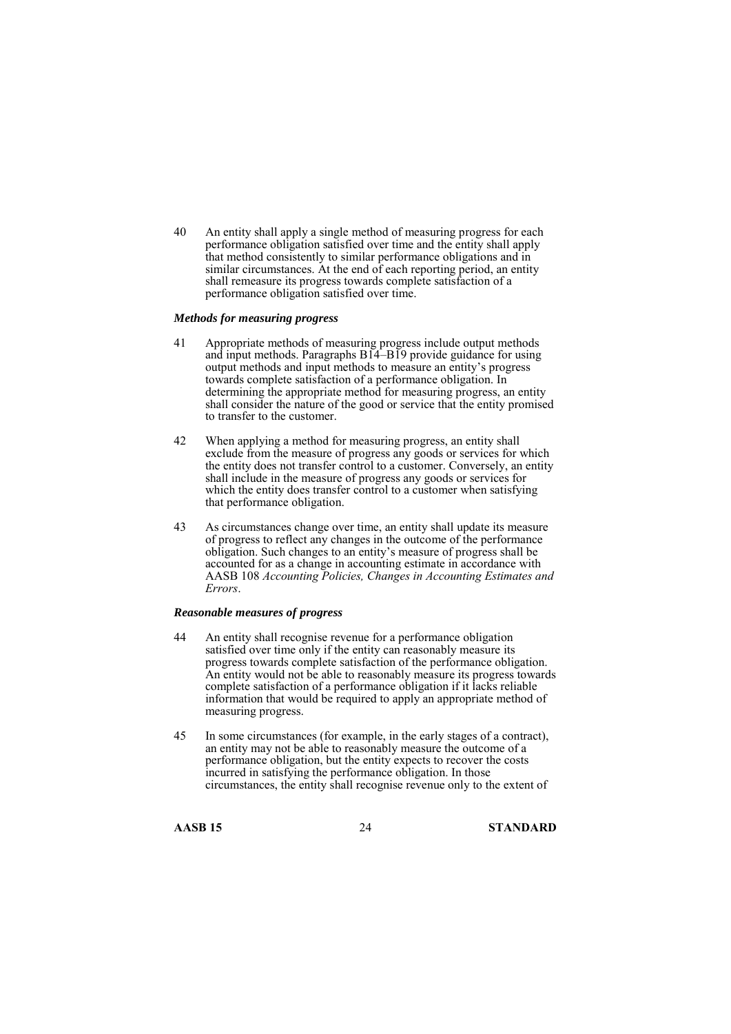40 An entity shall apply a single method of measuring progress for each performance obligation satisfied over time and the entity shall apply that method consistently to similar performance obligations and in similar circumstances. At the end of each reporting period, an entity shall remeasure its progress towards complete satisfaction of a performance obligation satisfied over time.

### *Methods for measuring progress*

- 41 Appropriate methods of measuring progress include output methods and input methods. Paragraphs B14–B19 provide guidance for using output methods and input methods to measure an entity's progress towards complete satisfaction of a performance obligation. In determining the appropriate method for measuring progress, an entity shall consider the nature of the good or service that the entity promised to transfer to the customer.
- 42 When applying a method for measuring progress, an entity shall exclude from the measure of progress any goods or services for which the entity does not transfer control to a customer. Conversely, an entity shall include in the measure of progress any goods or services for which the entity does transfer control to a customer when satisfying that performance obligation.
- 43 As circumstances change over time, an entity shall update its measure of progress to reflect any changes in the outcome of the performance obligation. Such changes to an entity's measure of progress shall be accounted for as a change in accounting estimate in accordance with AASB 108 *Accounting Policies, Changes in Accounting Estimates and Errors*.

#### *Reasonable measures of progress*

- 44 An entity shall recognise revenue for a performance obligation satisfied over time only if the entity can reasonably measure its progress towards complete satisfaction of the performance obligation. An entity would not be able to reasonably measure its progress towards complete satisfaction of a performance obligation if it lacks reliable information that would be required to apply an appropriate method of measuring progress.
- 45 In some circumstances (for example, in the early stages of a contract), an entity may not be able to reasonably measure the outcome of a performance obligation, but the entity expects to recover the costs incurred in satisfying the performance obligation. In those circumstances, the entity shall recognise revenue only to the extent of

**AASB 15** 24 **STANDARD**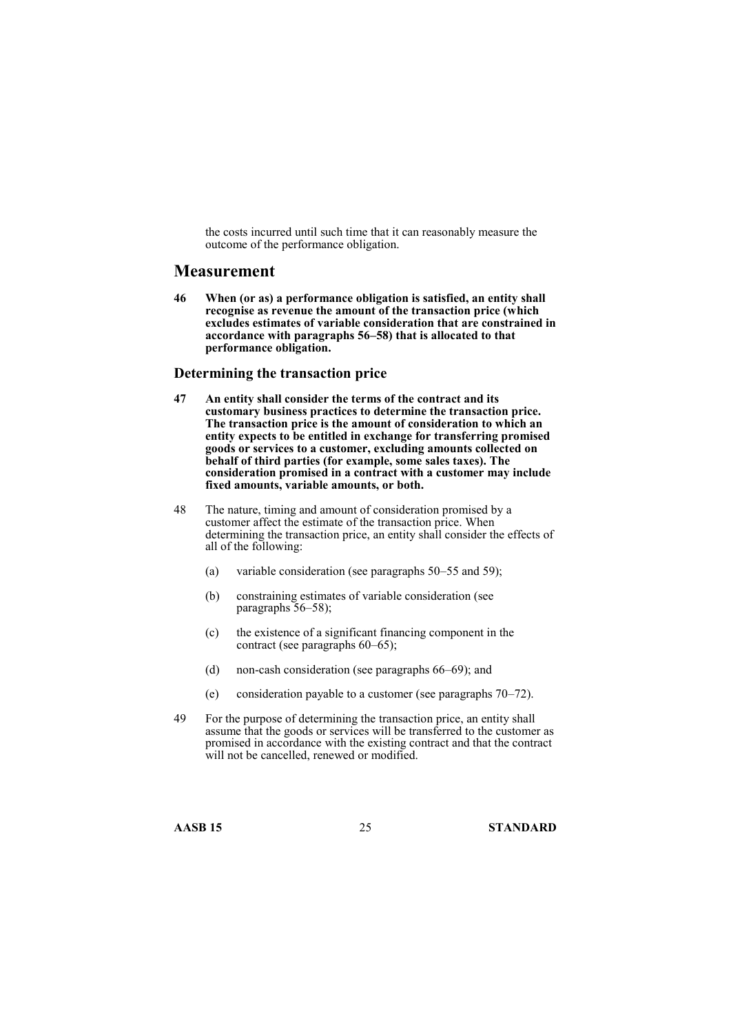the costs incurred until such time that it can reasonably measure the outcome of the performance obligation.

# **Measurement**

**46 When (or as) a performance obligation is satisfied, an entity shall recognise as revenue the amount of the transaction price (which excludes estimates of variable consideration that are constrained in accordance with paragraphs 56–58) that is allocated to that performance obligation.**

# **Determining the transaction price**

- **47 An entity shall consider the terms of the contract and its customary business practices to determine the transaction price. The transaction price is the amount of consideration to which an entity expects to be entitled in exchange for transferring promised goods or services to a customer, excluding amounts collected on behalf of third parties (for example, some sales taxes). The consideration promised in a contract with a customer may include fixed amounts, variable amounts, or both.**
- 48 The nature, timing and amount of consideration promised by a customer affect the estimate of the transaction price. When determining the transaction price, an entity shall consider the effects of all of the following:
	- (a) variable consideration (see paragraphs 50–55 and 59);
	- (b) constraining estimates of variable consideration (see paragraphs 56–58);
	- (c) the existence of a significant financing component in the contract (see paragraphs 60–65);
	- (d) non-cash consideration (see paragraphs 66–69); and
	- (e) consideration payable to a customer (see paragraphs 70–72).
- 49 For the purpose of determining the transaction price, an entity shall assume that the goods or services will be transferred to the customer as promised in accordance with the existing contract and that the contract will not be cancelled, renewed or modified.

**AASB 15** 25 **STANDARD**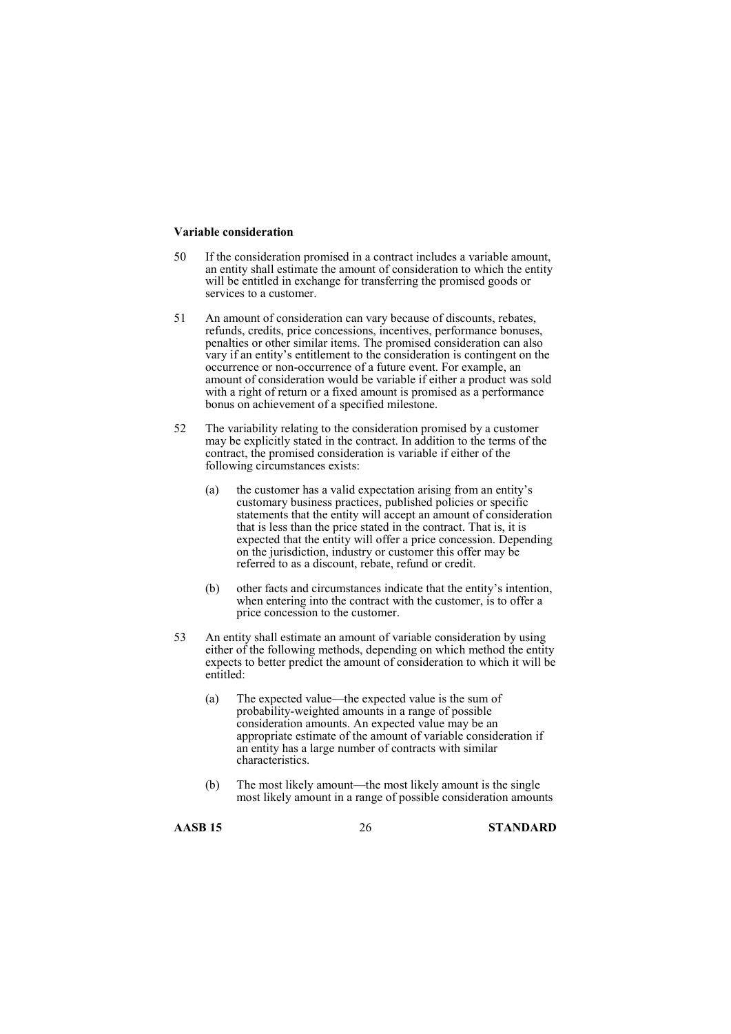#### **Variable consideration**

- 50 If the consideration promised in a contract includes a variable amount, an entity shall estimate the amount of consideration to which the entity will be entitled in exchange for transferring the promised goods or services to a customer.
- 51 An amount of consideration can vary because of discounts, rebates, refunds, credits, price concessions, incentives, performance bonuses, penalties or other similar items. The promised consideration can also vary if an entity's entitlement to the consideration is contingent on the occurrence or non-occurrence of a future event. For example, an amount of consideration would be variable if either a product was sold with a right of return or a fixed amount is promised as a performance bonus on achievement of a specified milestone.
- 52 The variability relating to the consideration promised by a customer may be explicitly stated in the contract. In addition to the terms of the contract, the promised consideration is variable if either of the following circumstances exists:
	- (a) the customer has a valid expectation arising from an entity's customary business practices, published policies or specific statements that the entity will accept an amount of consideration that is less than the price stated in the contract. That is, it is expected that the entity will offer a price concession. Depending on the jurisdiction, industry or customer this offer may be referred to as a discount, rebate, refund or credit.
	- (b) other facts and circumstances indicate that the entity's intention, when entering into the contract with the customer, is to offer a price concession to the customer.
- 53 An entity shall estimate an amount of variable consideration by using either of the following methods, depending on which method the entity expects to better predict the amount of consideration to which it will be entitled:
	- (a) The expected value—the expected value is the sum of probability-weighted amounts in a range of possible consideration amounts. An expected value may be an appropriate estimate of the amount of variable consideration if an entity has a large number of contracts with similar characteristics.
	- (b) The most likely amount—the most likely amount is the single most likely amount in a range of possible consideration amounts

**AASB 15** 26 **STANDARD**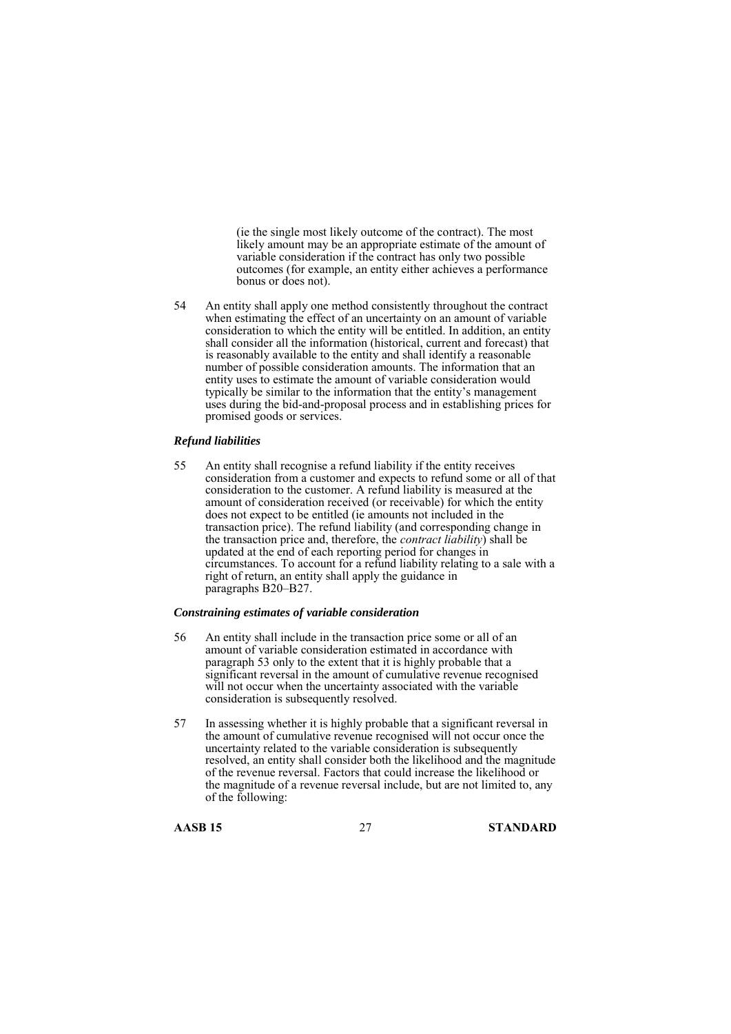(ie the single most likely outcome of the contract). The most likely amount may be an appropriate estimate of the amount of variable consideration if the contract has only two possible outcomes (for example, an entity either achieves a performance bonus or does not).

54 An entity shall apply one method consistently throughout the contract when estimating the effect of an uncertainty on an amount of variable consideration to which the entity will be entitled. In addition, an entity shall consider all the information (historical, current and forecast) that is reasonably available to the entity and shall identify a reasonable number of possible consideration amounts. The information that an entity uses to estimate the amount of variable consideration would typically be similar to the information that the entity's management uses during the bid-and-proposal process and in establishing prices for promised goods or services.

#### *Refund liabilities*

55 An entity shall recognise a refund liability if the entity receives consideration from a customer and expects to refund some or all of that consideration to the customer. A refund liability is measured at the amount of consideration received (or receivable) for which the entity does not expect to be entitled (ie amounts not included in the transaction price). The refund liability (and corresponding change in the transaction price and, therefore, the *contract liability*) shall be updated at the end of each reporting period for changes in circumstances. To account for a refund liability relating to a sale with a right of return, an entity shall apply the guidance in paragraphs B20–B27.

#### *Constraining estimates of variable consideration*

- 56 An entity shall include in the transaction price some or all of an amount of variable consideration estimated in accordance with paragraph 53 only to the extent that it is highly probable that a significant reversal in the amount of cumulative revenue recognised will not occur when the uncertainty associated with the variable consideration is subsequently resolved.
- 57 In assessing whether it is highly probable that a significant reversal in the amount of cumulative revenue recognised will not occur once the uncertainty related to the variable consideration is subsequently resolved, an entity shall consider both the likelihood and the magnitude of the revenue reversal. Factors that could increase the likelihood or the magnitude of a revenue reversal include, but are not limited to, any of the following:

**AASB 15** 27 **STANDARD**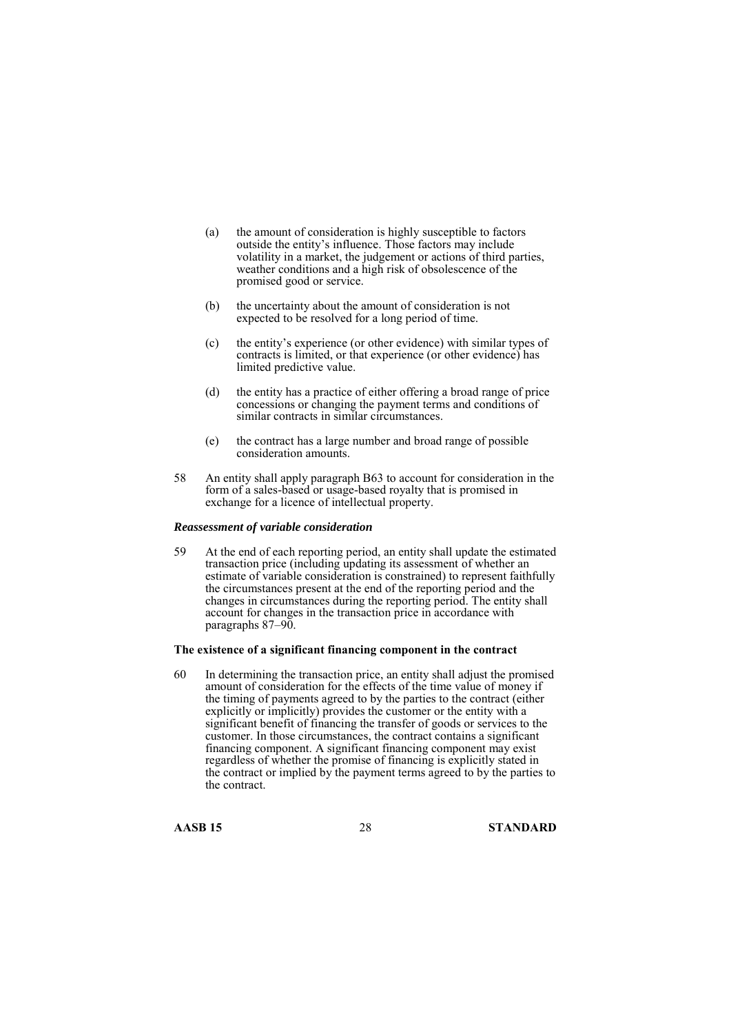- (a) the amount of consideration is highly susceptible to factors outside the entity's influence. Those factors may include volatility in a market, the judgement or actions of third parties, weather conditions and a high risk of obsolescence of the promised good or service.
- (b) the uncertainty about the amount of consideration is not expected to be resolved for a long period of time.
- (c) the entity's experience (or other evidence) with similar types of contracts is limited, or that experience (or other evidence) has limited predictive value.
- (d) the entity has a practice of either offering a broad range of price concessions or changing the payment terms and conditions of similar contracts in similar circumstances.
- (e) the contract has a large number and broad range of possible consideration amounts.
- 58 An entity shall apply paragraph B63 to account for consideration in the form of a sales-based or usage-based royalty that is promised in exchange for a licence of intellectual property.

#### *Reassessment of variable consideration*

59 At the end of each reporting period, an entity shall update the estimated transaction price (including updating its assessment of whether an estimate of variable consideration is constrained) to represent faithfully the circumstances present at the end of the reporting period and the changes in circumstances during the reporting period. The entity shall account for changes in the transaction price in accordance with paragraphs 87–90.

#### **The existence of a significant financing component in the contract**

60 In determining the transaction price, an entity shall adjust the promised amount of consideration for the effects of the time value of money if the timing of payments agreed to by the parties to the contract (either explicitly or implicitly) provides the customer or the entity with a significant benefit of financing the transfer of goods or services to the customer. In those circumstances, the contract contains a significant financing component. A significant financing component may exist regardless of whether the promise of financing is explicitly stated in the contract or implied by the payment terms agreed to by the parties to the contract.

**AASB 15** 28 **STANDARD**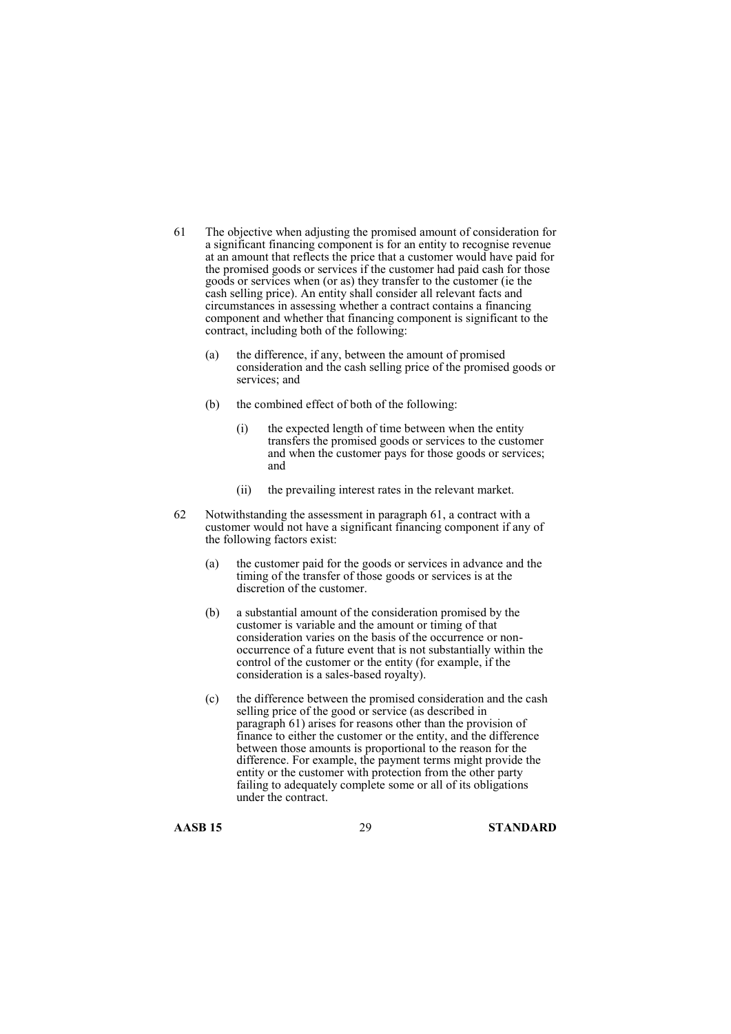- 61 The objective when adjusting the promised amount of consideration for a significant financing component is for an entity to recognise revenue at an amount that reflects the price that a customer would have paid for the promised goods or services if the customer had paid cash for those goods or services when (or as) they transfer to the customer (ie the cash selling price). An entity shall consider all relevant facts and circumstances in assessing whether a contract contains a financing component and whether that financing component is significant to the contract, including both of the following:
	- (a) the difference, if any, between the amount of promised consideration and the cash selling price of the promised goods or services; and
	- (b) the combined effect of both of the following:
		- (i) the expected length of time between when the entity transfers the promised goods or services to the customer and when the customer pays for those goods or services; and
		- (ii) the prevailing interest rates in the relevant market.
- 62 Notwithstanding the assessment in paragraph 61, a contract with a customer would not have a significant financing component if any of the following factors exist:
	- (a) the customer paid for the goods or services in advance and the timing of the transfer of those goods or services is at the discretion of the customer.
	- (b) a substantial amount of the consideration promised by the customer is variable and the amount or timing of that consideration varies on the basis of the occurrence or nonoccurrence of a future event that is not substantially within the control of the customer or the entity (for example, if the consideration is a sales-based royalty).
	- (c) the difference between the promised consideration and the cash selling price of the good or service (as described in paragraph 61) arises for reasons other than the provision of finance to either the customer or the entity, and the difference between those amounts is proportional to the reason for the difference. For example, the payment terms might provide the entity or the customer with protection from the other party failing to adequately complete some or all of its obligations under the contract.

**AASB 15** 29 **STANDARD**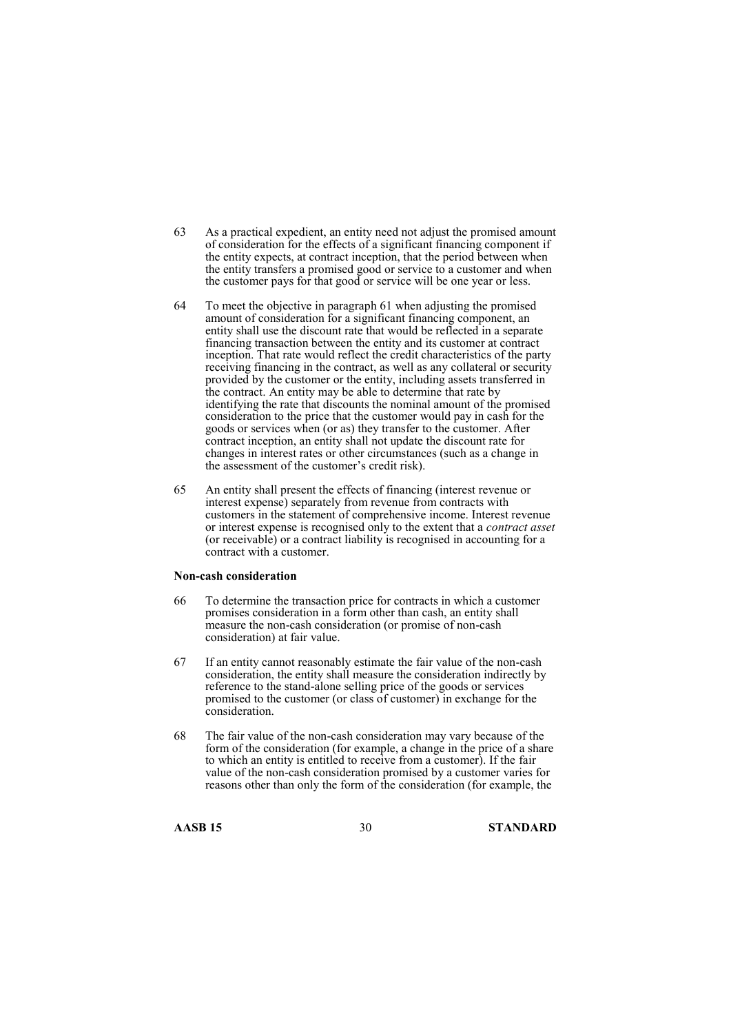- 63 As a practical expedient, an entity need not adjust the promised amount of consideration for the effects of a significant financing component if the entity expects, at contract inception, that the period between when the entity transfers a promised good or service to a customer and when the customer pays for that good or service will be one year or less.
- 64 To meet the objective in paragraph 61 when adjusting the promised amount of consideration for a significant financing component, an entity shall use the discount rate that would be reflected in a separate financing transaction between the entity and its customer at contract inception. That rate would reflect the credit characteristics of the party receiving financing in the contract, as well as any collateral or security provided by the customer or the entity, including assets transferred in the contract. An entity may be able to determine that rate by identifying the rate that discounts the nominal amount of the promised consideration to the price that the customer would pay in cash for the goods or services when (or as) they transfer to the customer. After contract inception, an entity shall not update the discount rate for changes in interest rates or other circumstances (such as a change in the assessment of the customer's credit risk).
- 65 An entity shall present the effects of financing (interest revenue or interest expense) separately from revenue from contracts with customers in the statement of comprehensive income. Interest revenue or interest expense is recognised only to the extent that a *contract asset* (or receivable) or a contract liability is recognised in accounting for a contract with a customer.

#### **Non-cash consideration**

- 66 To determine the transaction price for contracts in which a customer promises consideration in a form other than cash, an entity shall measure the non-cash consideration (or promise of non-cash consideration) at fair value.
- 67 If an entity cannot reasonably estimate the fair value of the non-cash consideration, the entity shall measure the consideration indirectly by reference to the stand-alone selling price of the goods or services promised to the customer (or class of customer) in exchange for the consideration.
- 68 The fair value of the non-cash consideration may vary because of the form of the consideration (for example, a change in the price of a share to which an entity is entitled to receive from a customer). If the fair value of the non-cash consideration promised by a customer varies for reasons other than only the form of the consideration (for example, the

**AASB 15** 30 **STANDARD**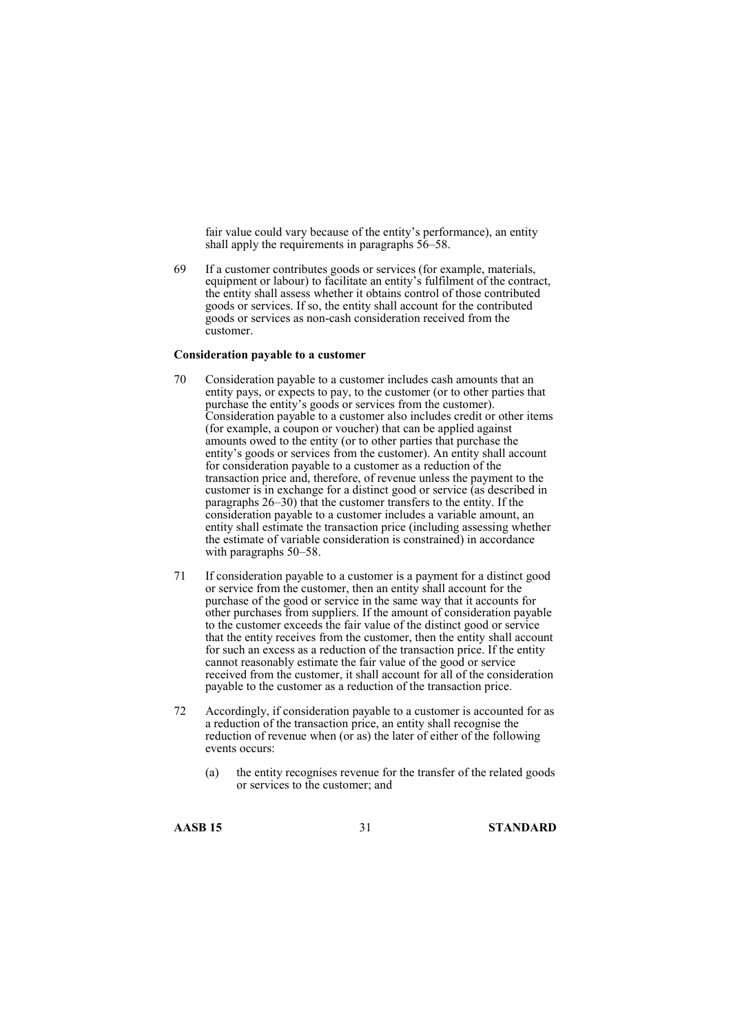fair value could vary because of the entity's performance), an entity shall apply the requirements in paragraphs 56–58.

69 If a customer contributes goods or services (for example, materials, equipment or labour) to facilitate an entity's fulfilment of the contract, the entity shall assess whether it obtains control of those contributed goods or services. If so, the entity shall account for the contributed goods or services as non-cash consideration received from the customer.

### **Consideration payable to a customer**

- 70 Consideration payable to a customer includes cash amounts that an entity pays, or expects to pay, to the customer (or to other parties that purchase the entity's goods or services from the customer). Consideration payable to a customer also includes credit or other items (for example, a coupon or voucher) that can be applied against amounts owed to the entity (or to other parties that purchase the entity's goods or services from the customer). An entity shall account for consideration payable to a customer as a reduction of the transaction price and, therefore, of revenue unless the payment to the customer is in exchange for a distinct good or service (as described in paragraphs 26–30) that the customer transfers to the entity. If the consideration payable to a customer includes a variable amount, an entity shall estimate the transaction price (including assessing whether the estimate of variable consideration is constrained) in accordance with paragraphs 50–58.
- 71 If consideration payable to a customer is a payment for a distinct good or service from the customer, then an entity shall account for the purchase of the good or service in the same way that it accounts for other purchases from suppliers. If the amount of consideration payable to the customer exceeds the fair value of the distinct good or service that the entity receives from the customer, then the entity shall account for such an excess as a reduction of the transaction price. If the entity cannot reasonably estimate the fair value of the good or service received from the customer, it shall account for all of the consideration payable to the customer as a reduction of the transaction price.
- 72 Accordingly, if consideration payable to a customer is accounted for as a reduction of the transaction price, an entity shall recognise the reduction of revenue when (or as) the later of either of the following events occurs:
	- (a) the entity recognises revenue for the transfer of the related goods or services to the customer; and

**AASB 15** 31 **STANDARD**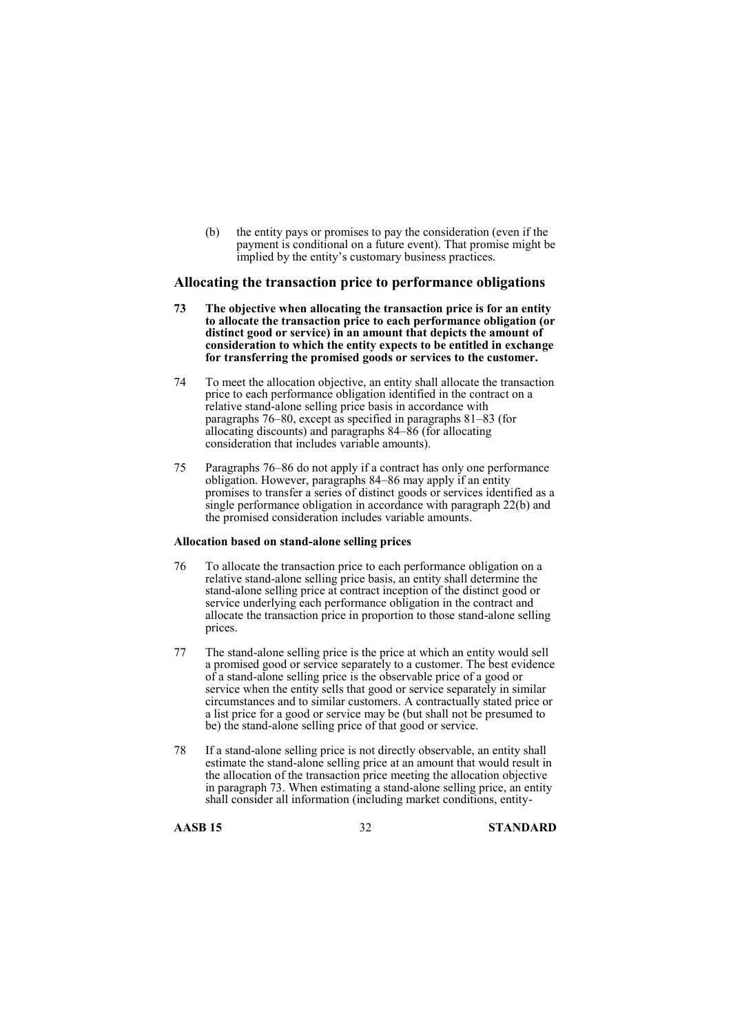(b) the entity pays or promises to pay the consideration (even if the payment is conditional on a future event). That promise might be implied by the entity's customary business practices.

### **Allocating the transaction price to performance obligations**

- **73 The objective when allocating the transaction price is for an entity to allocate the transaction price to each performance obligation (or distinct good or service) in an amount that depicts the amount of consideration to which the entity expects to be entitled in exchange for transferring the promised goods or services to the customer.**
- 74 To meet the allocation objective, an entity shall allocate the transaction price to each performance obligation identified in the contract on a relative stand-alone selling price basis in accordance with paragraphs 76–80, except as specified in paragraphs 81–83 (for allocating discounts) and paragraphs 84–86 (for allocating consideration that includes variable amounts).
- 75 Paragraphs 76–86 do not apply if a contract has only one performance obligation. However, paragraphs 84–86 may apply if an entity promises to transfer a series of distinct goods or services identified as a single performance obligation in accordance with paragraph 22(b) and the promised consideration includes variable amounts.

#### **Allocation based on stand-alone selling prices**

- 76 To allocate the transaction price to each performance obligation on a relative stand-alone selling price basis, an entity shall determine the stand-alone selling price at contract inception of the distinct good or service underlying each performance obligation in the contract and allocate the transaction price in proportion to those stand-alone selling prices.
- 77 The stand-alone selling price is the price at which an entity would sell a promised good or service separately to a customer. The best evidence of a stand-alone selling price is the observable price of a good or service when the entity sells that good or service separately in similar circumstances and to similar customers. A contractually stated price or a list price for a good or service may be (but shall not be presumed to be) the stand-alone selling price of that good or service.
- 78 If a stand-alone selling price is not directly observable, an entity shall estimate the stand-alone selling price at an amount that would result in the allocation of the transaction price meeting the allocation objective in paragraph 73. When estimating a stand-alone selling price, an entity shall consider all information (including market conditions, entity-

**AASB 15** 32 **STANDARD**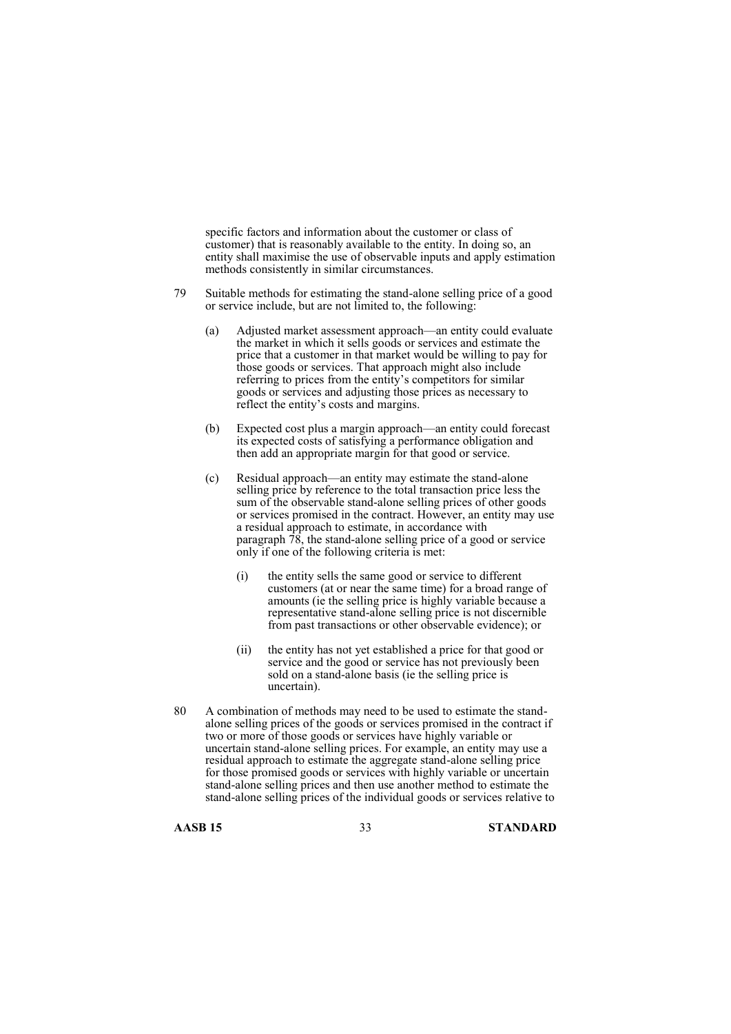specific factors and information about the customer or class of customer) that is reasonably available to the entity. In doing so, an entity shall maximise the use of observable inputs and apply estimation methods consistently in similar circumstances.

- 79 Suitable methods for estimating the stand-alone selling price of a good or service include, but are not limited to, the following:
	- (a) Adjusted market assessment approach—an entity could evaluate the market in which it sells goods or services and estimate the price that a customer in that market would be willing to pay for those goods or services. That approach might also include referring to prices from the entity's competitors for similar goods or services and adjusting those prices as necessary to reflect the entity's costs and margins.
	- (b) Expected cost plus a margin approach—an entity could forecast its expected costs of satisfying a performance obligation and then add an appropriate margin for that good or service.
	- (c) Residual approach—an entity may estimate the stand-alone selling price by reference to the total transaction price less the sum of the observable stand-alone selling prices of other goods or services promised in the contract. However, an entity may use a residual approach to estimate, in accordance with paragraph 78, the stand-alone selling price of a good or service only if one of the following criteria is met:
		- (i) the entity sells the same good or service to different customers (at or near the same time) for a broad range of amounts (ie the selling price is highly variable because a representative stand-alone selling price is not discernible from past transactions or other observable evidence); or
		- (ii) the entity has not yet established a price for that good or service and the good or service has not previously been sold on a stand-alone basis (ie the selling price is uncertain).
- 80 A combination of methods may need to be used to estimate the standalone selling prices of the goods or services promised in the contract if two or more of those goods or services have highly variable or uncertain stand-alone selling prices. For example, an entity may use a residual approach to estimate the aggregate stand-alone selling price for those promised goods or services with highly variable or uncertain stand-alone selling prices and then use another method to estimate the stand-alone selling prices of the individual goods or services relative to

**AASB 15** 33 **STANDARD**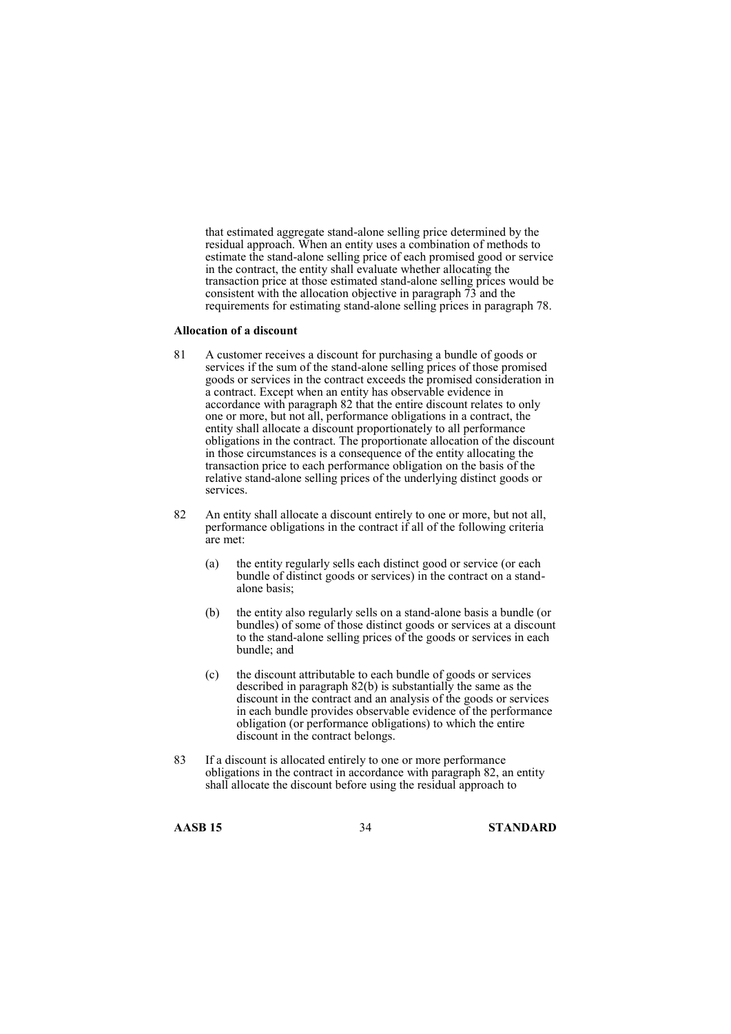that estimated aggregate stand-alone selling price determined by the residual approach. When an entity uses a combination of methods to estimate the stand-alone selling price of each promised good or service in the contract, the entity shall evaluate whether allocating the transaction price at those estimated stand-alone selling prices would be consistent with the allocation objective in paragraph 73 and the requirements for estimating stand-alone selling prices in paragraph 78.

#### **Allocation of a discount**

- 81 A customer receives a discount for purchasing a bundle of goods or services if the sum of the stand-alone selling prices of those promised goods or services in the contract exceeds the promised consideration in a contract. Except when an entity has observable evidence in accordance with paragraph 82 that the entire discount relates to only one or more, but not all, performance obligations in a contract, the entity shall allocate a discount proportionately to all performance obligations in the contract. The proportionate allocation of the discount in those circumstances is a consequence of the entity allocating the transaction price to each performance obligation on the basis of the relative stand-alone selling prices of the underlying distinct goods or services.
- 82 An entity shall allocate a discount entirely to one or more, but not all, performance obligations in the contract if all of the following criteria are met:
	- (a) the entity regularly sells each distinct good or service (or each bundle of distinct goods or services) in the contract on a standalone basis;
	- (b) the entity also regularly sells on a stand-alone basis a bundle (or bundles) of some of those distinct goods or services at a discount to the stand-alone selling prices of the goods or services in each bundle; and
	- (c) the discount attributable to each bundle of goods or services described in paragraph 82(b) is substantially the same as the discount in the contract and an analysis of the goods or services in each bundle provides observable evidence of the performance obligation (or performance obligations) to which the entire discount in the contract belongs.
- 83 If a discount is allocated entirely to one or more performance obligations in the contract in accordance with paragraph 82, an entity shall allocate the discount before using the residual approach to

**AASB 15** 34 **STANDARD**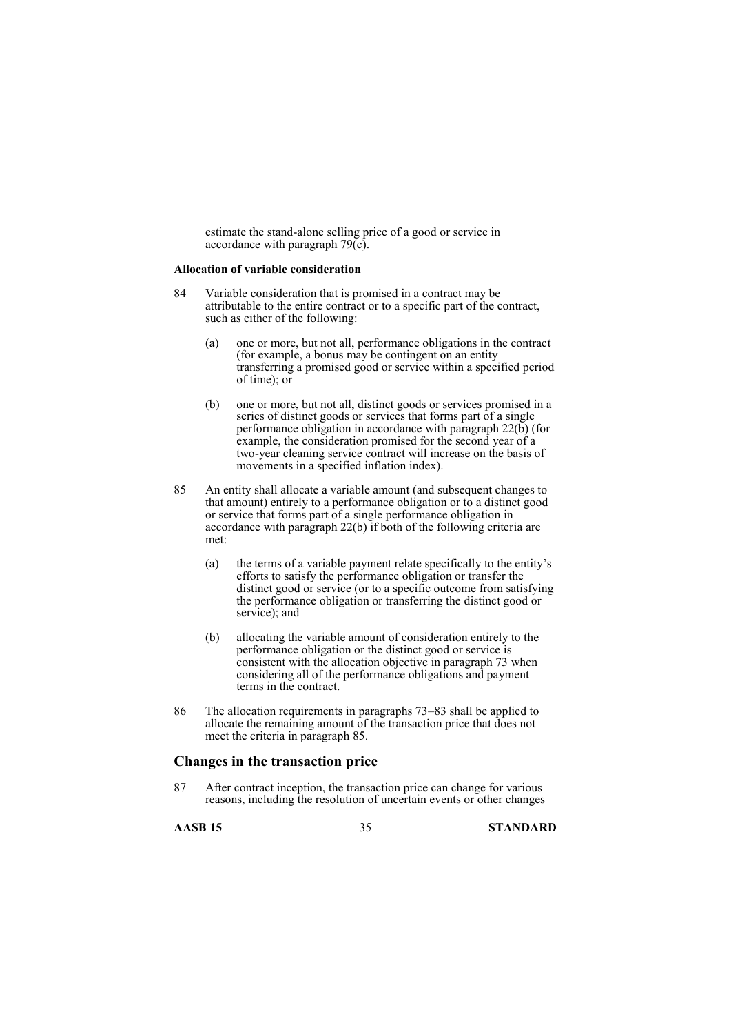estimate the stand-alone selling price of a good or service in accordance with paragraph  $79(c)$ .

#### **Allocation of variable consideration**

- 84 Variable consideration that is promised in a contract may be attributable to the entire contract or to a specific part of the contract, such as either of the following:
	- (a) one or more, but not all, performance obligations in the contract (for example, a bonus may be contingent on an entity transferring a promised good or service within a specified period of time); or
	- (b) one or more, but not all, distinct goods or services promised in a series of distinct goods or services that forms part of a single performance obligation in accordance with paragraph  $22(b)$  (for example, the consideration promised for the second year of a two-year cleaning service contract will increase on the basis of movements in a specified inflation index).
- 85 An entity shall allocate a variable amount (and subsequent changes to that amount) entirely to a performance obligation or to a distinct good or service that forms part of a single performance obligation in accordance with paragraph 22(b) if both of the following criteria are met:
	- (a) the terms of a variable payment relate specifically to the entity's efforts to satisfy the performance obligation or transfer the distinct good or service (or to a specific outcome from satisfying the performance obligation or transferring the distinct good or service); and
	- (b) allocating the variable amount of consideration entirely to the performance obligation or the distinct good or service is consistent with the allocation objective in paragraph 73 when considering all of the performance obligations and payment terms in the contract.
- 86 The allocation requirements in paragraphs 73–83 shall be applied to allocate the remaining amount of the transaction price that does not meet the criteria in paragraph 85.

### **Changes in the transaction price**

87 After contract inception, the transaction price can change for various reasons, including the resolution of uncertain events or other changes

**AASB 15** 35 **STANDARD**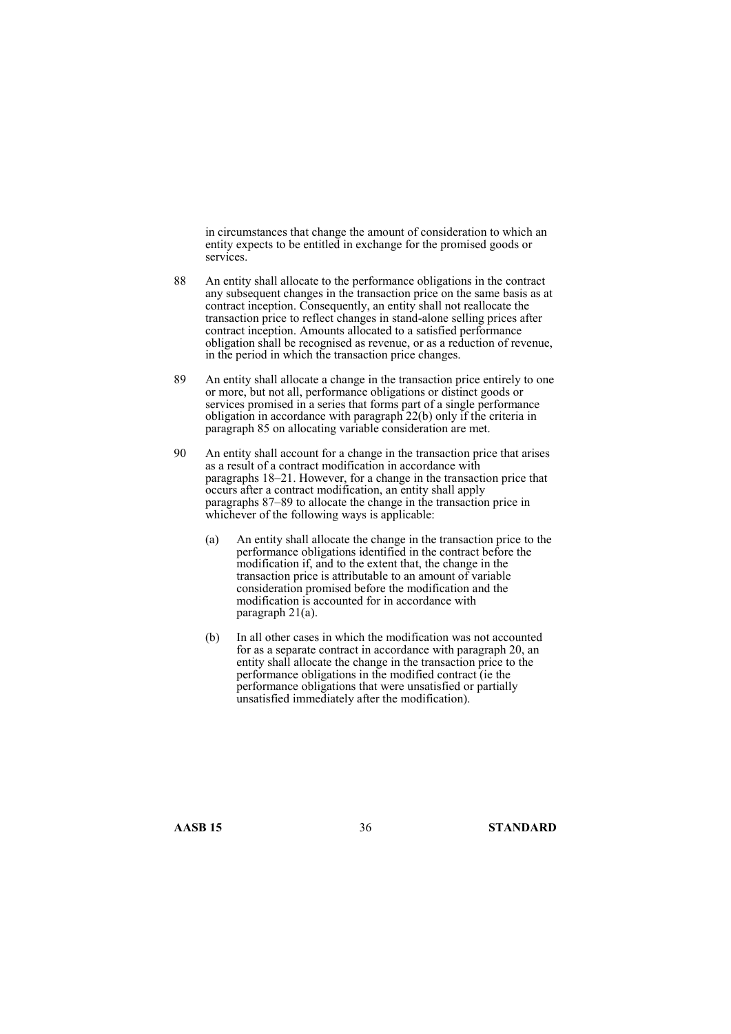in circumstances that change the amount of consideration to which an entity expects to be entitled in exchange for the promised goods or services.

- 88 An entity shall allocate to the performance obligations in the contract any subsequent changes in the transaction price on the same basis as at contract inception. Consequently, an entity shall not reallocate the transaction price to reflect changes in stand-alone selling prices after contract inception. Amounts allocated to a satisfied performance obligation shall be recognised as revenue, or as a reduction of revenue, in the period in which the transaction price changes.
- 89 An entity shall allocate a change in the transaction price entirely to one or more, but not all, performance obligations or distinct goods or services promised in a series that forms part of a single performance obligation in accordance with paragraph 22(b) only if the criteria in paragraph 85 on allocating variable consideration are met.
- 90 An entity shall account for a change in the transaction price that arises as a result of a contract modification in accordance with paragraphs 18–21. However, for a change in the transaction price that occurs after a contract modification, an entity shall apply paragraphs 87–89 to allocate the change in the transaction price in whichever of the following ways is applicable:
	- (a) An entity shall allocate the change in the transaction price to the performance obligations identified in the contract before the modification if, and to the extent that, the change in the transaction price is attributable to an amount of variable consideration promised before the modification and the modification is accounted for in accordance with paragraph 21(a).
	- (b) In all other cases in which the modification was not accounted for as a separate contract in accordance with paragraph 20, an entity shall allocate the change in the transaction price to the performance obligations in the modified contract (ie the performance obligations that were unsatisfied or partially unsatisfied immediately after the modification).

**AASB 15** 36 **STANDARD**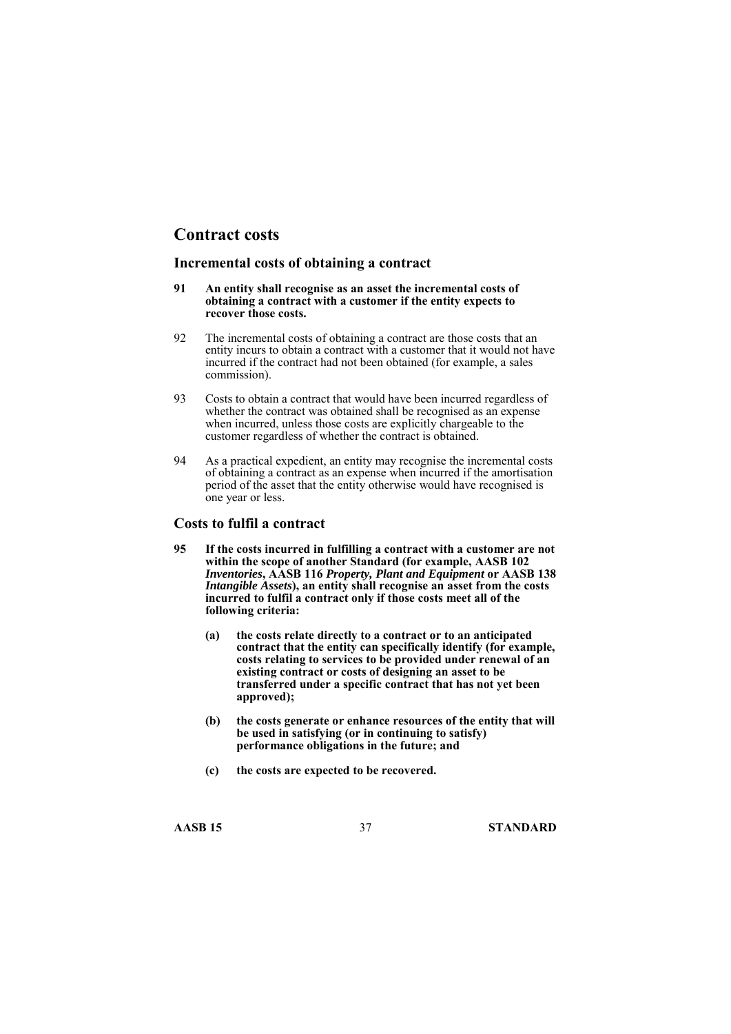# **Contract costs**

## **Incremental costs of obtaining a contract**

- **91 An entity shall recognise as an asset the incremental costs of obtaining a contract with a customer if the entity expects to recover those costs.**
- 92 The incremental costs of obtaining a contract are those costs that an entity incurs to obtain a contract with a customer that it would not have incurred if the contract had not been obtained (for example, a sales commission).
- 93 Costs to obtain a contract that would have been incurred regardless of whether the contract was obtained shall be recognised as an expense when incurred, unless those costs are explicitly chargeable to the customer regardless of whether the contract is obtained.
- 94 As a practical expedient, an entity may recognise the incremental costs of obtaining a contract as an expense when incurred if the amortisation period of the asset that the entity otherwise would have recognised is one year or less.

#### **Costs to fulfil a contract**

- **95 If the costs incurred in fulfilling a contract with a customer are not within the scope of another Standard (for example, AASB 102** *Inventories***, AASB 116** *Property, Plant and Equipment* **or AASB 138** *Intangible Assets***), an entity shall recognise an asset from the costs incurred to fulfil a contract only if those costs meet all of the following criteria:**
	- **(a) the costs relate directly to a contract or to an anticipated contract that the entity can specifically identify (for example, costs relating to services to be provided under renewal of an existing contract or costs of designing an asset to be transferred under a specific contract that has not yet been approved);**
	- **(b) the costs generate or enhance resources of the entity that will be used in satisfying (or in continuing to satisfy) performance obligations in the future; and**
	- **(c) the costs are expected to be recovered.**

**AASB 15** 37 **STANDARD**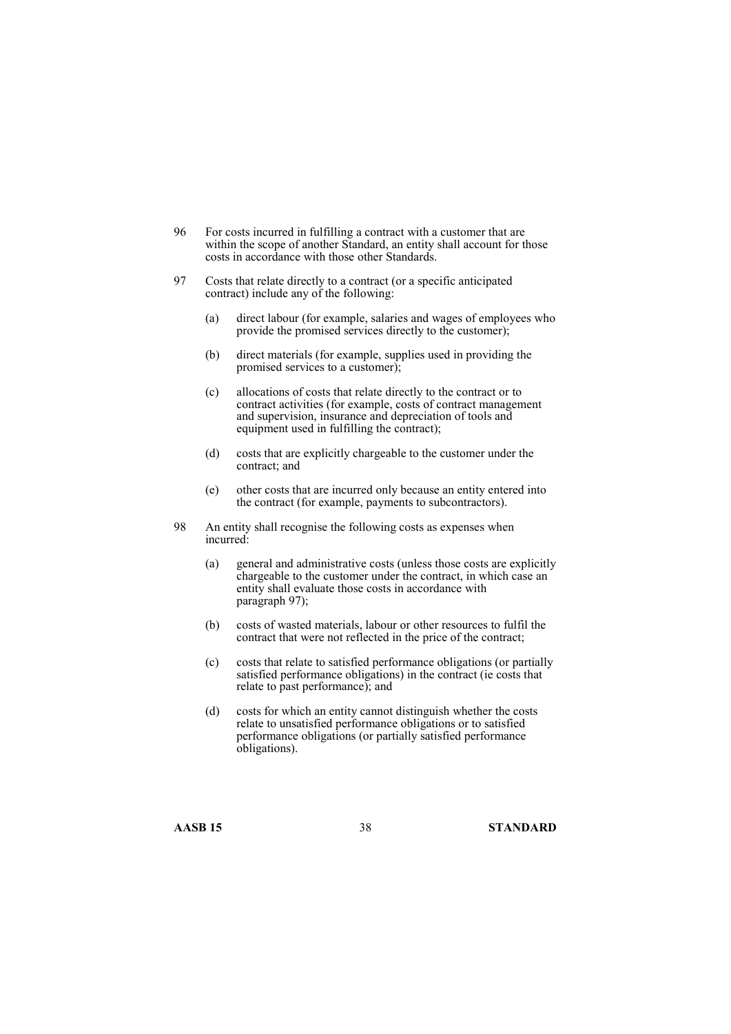- 96 For costs incurred in fulfilling a contract with a customer that are within the scope of another Standard, an entity shall account for those costs in accordance with those other Standards.
- 97 Costs that relate directly to a contract (or a specific anticipated contract) include any of the following:
	- (a) direct labour (for example, salaries and wages of employees who provide the promised services directly to the customer);
	- (b) direct materials (for example, supplies used in providing the promised services to a customer);
	- (c) allocations of costs that relate directly to the contract or to contract activities (for example, costs of contract management and supervision, insurance and depreciation of tools and equipment used in fulfilling the contract);
	- (d) costs that are explicitly chargeable to the customer under the contract; and
	- (e) other costs that are incurred only because an entity entered into the contract (for example, payments to subcontractors).
- 98 An entity shall recognise the following costs as expenses when incurred:
	- (a) general and administrative costs (unless those costs are explicitly chargeable to the customer under the contract, in which case an entity shall evaluate those costs in accordance with paragraph 97);
	- (b) costs of wasted materials, labour or other resources to fulfil the contract that were not reflected in the price of the contract;
	- (c) costs that relate to satisfied performance obligations (or partially satisfied performance obligations) in the contract (ie costs that relate to past performance); and
	- (d) costs for which an entity cannot distinguish whether the costs relate to unsatisfied performance obligations or to satisfied performance obligations (or partially satisfied performance obligations).

**AASB 15** 38 **STANDARD**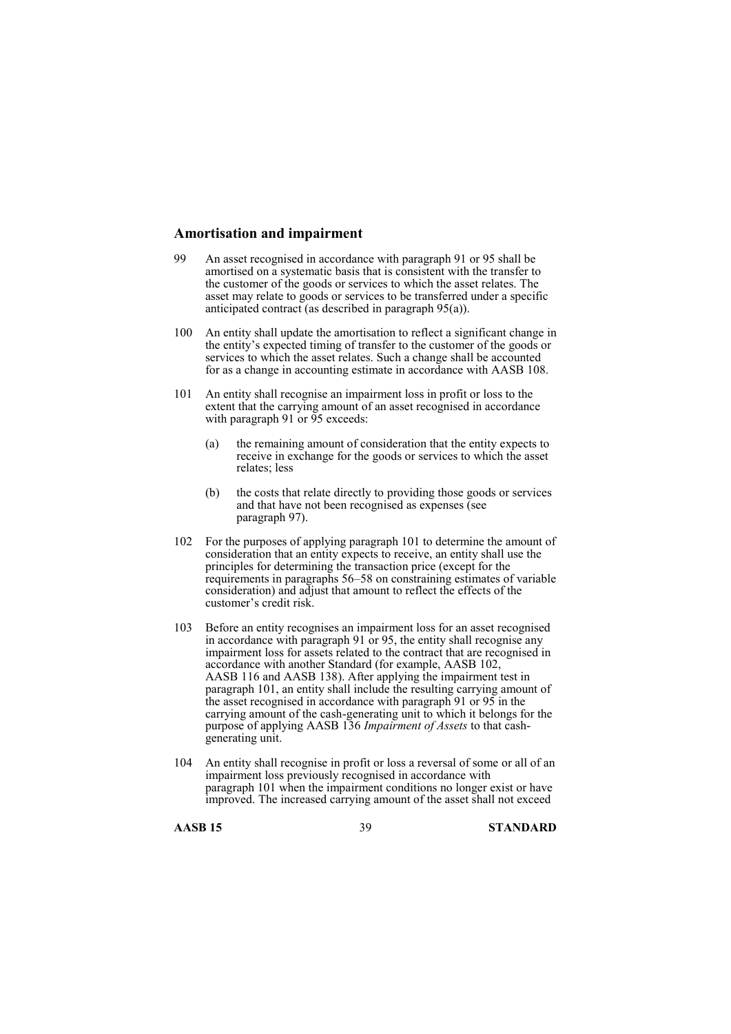#### **Amortisation and impairment**

- 99 An asset recognised in accordance with paragraph 91 or 95 shall be amortised on a systematic basis that is consistent with the transfer to the customer of the goods or services to which the asset relates. The asset may relate to goods or services to be transferred under a specific anticipated contract (as described in paragraph 95(a)).
- 100 An entity shall update the amortisation to reflect a significant change in the entity's expected timing of transfer to the customer of the goods or services to which the asset relates. Such a change shall be accounted for as a change in accounting estimate in accordance with AASB 108.
- 101 An entity shall recognise an impairment loss in profit or loss to the extent that the carrying amount of an asset recognised in accordance with paragraph 91 or 95 exceeds:
	- (a) the remaining amount of consideration that the entity expects to receive in exchange for the goods or services to which the asset relates; less
	- (b) the costs that relate directly to providing those goods or services and that have not been recognised as expenses (see paragraph 97).
- 102 For the purposes of applying paragraph 101 to determine the amount of consideration that an entity expects to receive, an entity shall use the principles for determining the transaction price (except for the requirements in paragraphs 56–58 on constraining estimates of variable consideration) and adjust that amount to reflect the effects of the customer's credit risk.
- 103 Before an entity recognises an impairment loss for an asset recognised in accordance with paragraph 91 or 95, the entity shall recognise any impairment loss for assets related to the contract that are recognised in accordance with another Standard (for example, AASB 102, AASB 116 and AASB 138). After applying the impairment test in paragraph 101, an entity shall include the resulting carrying amount of the asset recognised in accordance with paragraph 91 or 95 in the carrying amount of the cash-generating unit to which it belongs for the purpose of applying AASB 136 *Impairment of Assets* to that cashgenerating unit.
- 104 An entity shall recognise in profit or loss a reversal of some or all of an impairment loss previously recognised in accordance with paragraph 101 when the impairment conditions no longer exist or have improved. The increased carrying amount of the asset shall not exceed

**AASB 15** 39 **STANDARD**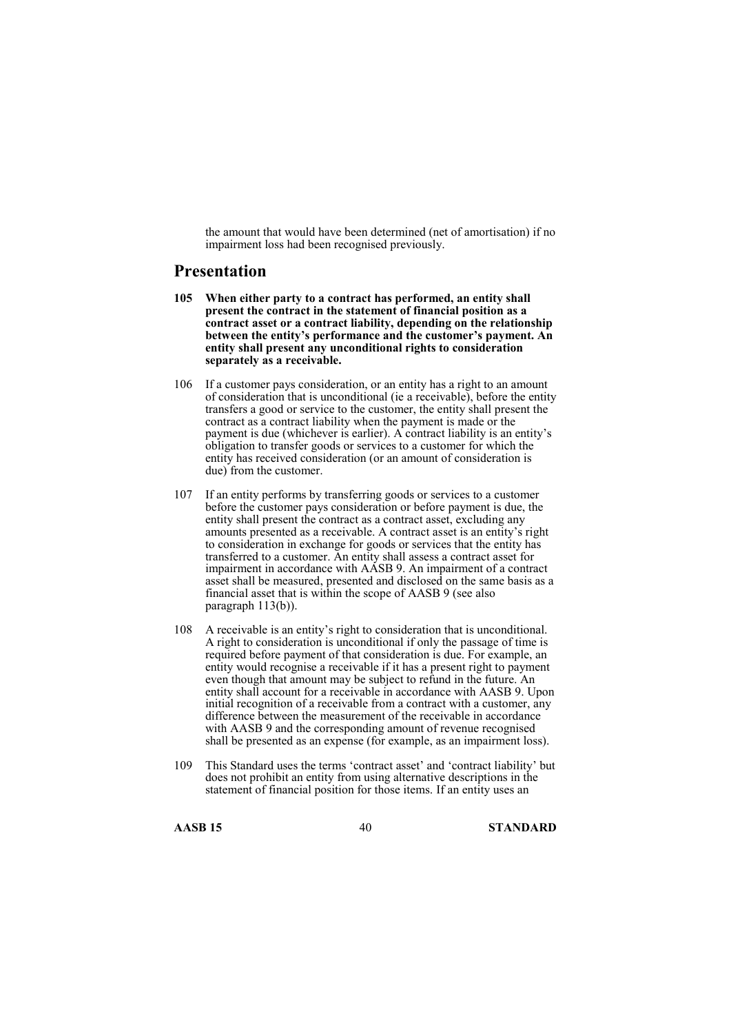the amount that would have been determined (net of amortisation) if no impairment loss had been recognised previously.

## **Presentation**

- **105 When either party to a contract has performed, an entity shall present the contract in the statement of financial position as a contract asset or a contract liability, depending on the relationship between the entity's performance and the customer's payment. An entity shall present any unconditional rights to consideration separately as a receivable.**
- 106 If a customer pays consideration, or an entity has a right to an amount of consideration that is unconditional (ie a receivable), before the entity transfers a good or service to the customer, the entity shall present the contract as a contract liability when the payment is made or the payment is due (whichever is earlier). A contract liability is an entity's obligation to transfer goods or services to a customer for which the entity has received consideration (or an amount of consideration is due) from the customer.
- 107 If an entity performs by transferring goods or services to a customer before the customer pays consideration or before payment is due, the entity shall present the contract as a contract asset, excluding any amounts presented as a receivable. A contract asset is an entity's right to consideration in exchange for goods or services that the entity has transferred to a customer. An entity shall assess a contract asset for impairment in accordance with AASB 9. An impairment of a contract asset shall be measured, presented and disclosed on the same basis as a financial asset that is within the scope of AASB 9 (see also paragraph 113(b)).
- 108 A receivable is an entity's right to consideration that is unconditional. A right to consideration is unconditional if only the passage of time is required before payment of that consideration is due. For example, an entity would recognise a receivable if it has a present right to payment even though that amount may be subject to refund in the future. An entity shall account for a receivable in accordance with AASB 9. Upon initial recognition of a receivable from a contract with a customer, any difference between the measurement of the receivable in accordance with AASB 9 and the corresponding amount of revenue recognised shall be presented as an expense (for example, as an impairment loss).
- 109 This Standard uses the terms 'contract asset' and 'contract liability' but does not prohibit an entity from using alternative descriptions in the statement of financial position for those items. If an entity uses an

**AASB 15** 40 **STANDARD**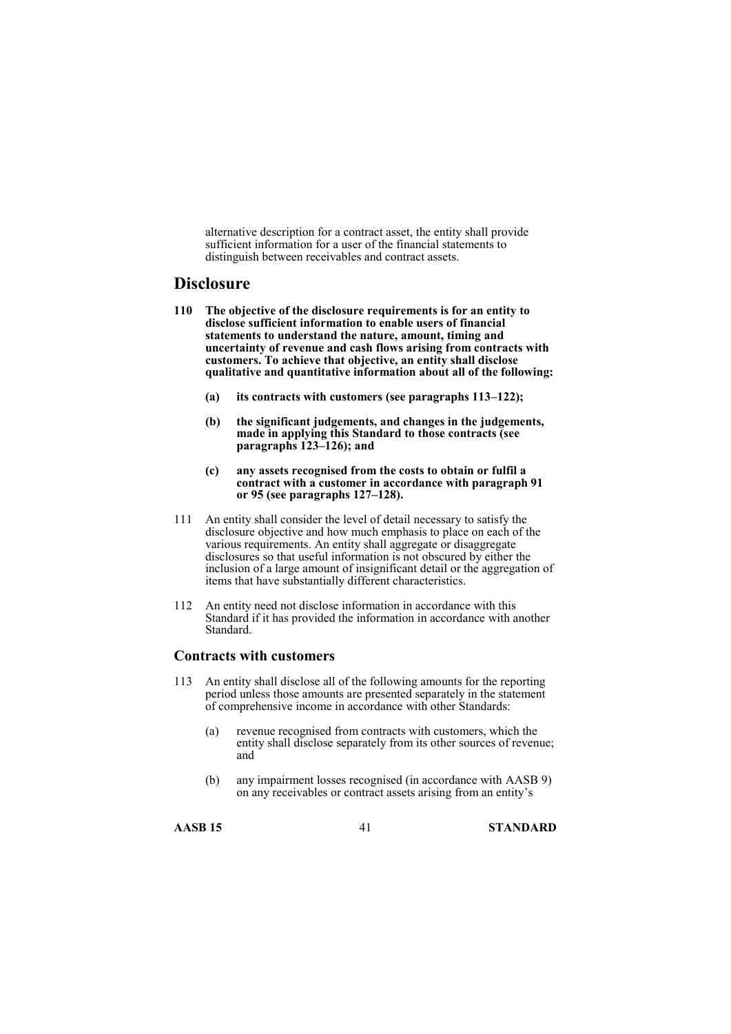alternative description for a contract asset, the entity shall provide sufficient information for a user of the financial statements to distinguish between receivables and contract assets.

## **Disclosure**

- **110 The objective of the disclosure requirements is for an entity to disclose sufficient information to enable users of financial statements to understand the nature, amount, timing and uncertainty of revenue and cash flows arising from contracts with customers. To achieve that objective, an entity shall disclose qualitative and quantitative information about all of the following:**
	- **(a) its contracts with customers (see paragraphs 113–122);**
	- **(b) the significant judgements, and changes in the judgements, made in applying this Standard to those contracts (see paragraphs 123–126); and**
	- **(c) any assets recognised from the costs to obtain or fulfil a contract with a customer in accordance with paragraph 91 or 95 (see paragraphs 127–128).**
- 111 An entity shall consider the level of detail necessary to satisfy the disclosure objective and how much emphasis to place on each of the various requirements. An entity shall aggregate or disaggregate disclosures so that useful information is not obscured by either the inclusion of a large amount of insignificant detail or the aggregation of items that have substantially different characteristics.
- 112 An entity need not disclose information in accordance with this Standard if it has provided the information in accordance with another Standard.

### **Contracts with customers**

- 113 An entity shall disclose all of the following amounts for the reporting period unless those amounts are presented separately in the statement of comprehensive income in accordance with other Standards:
	- (a) revenue recognised from contracts with customers, which the entity shall disclose separately from its other sources of revenue; and
	- (b) any impairment losses recognised (in accordance with AASB 9) on any receivables or contract assets arising from an entity's

**AASB 15** 41 **STANDARD**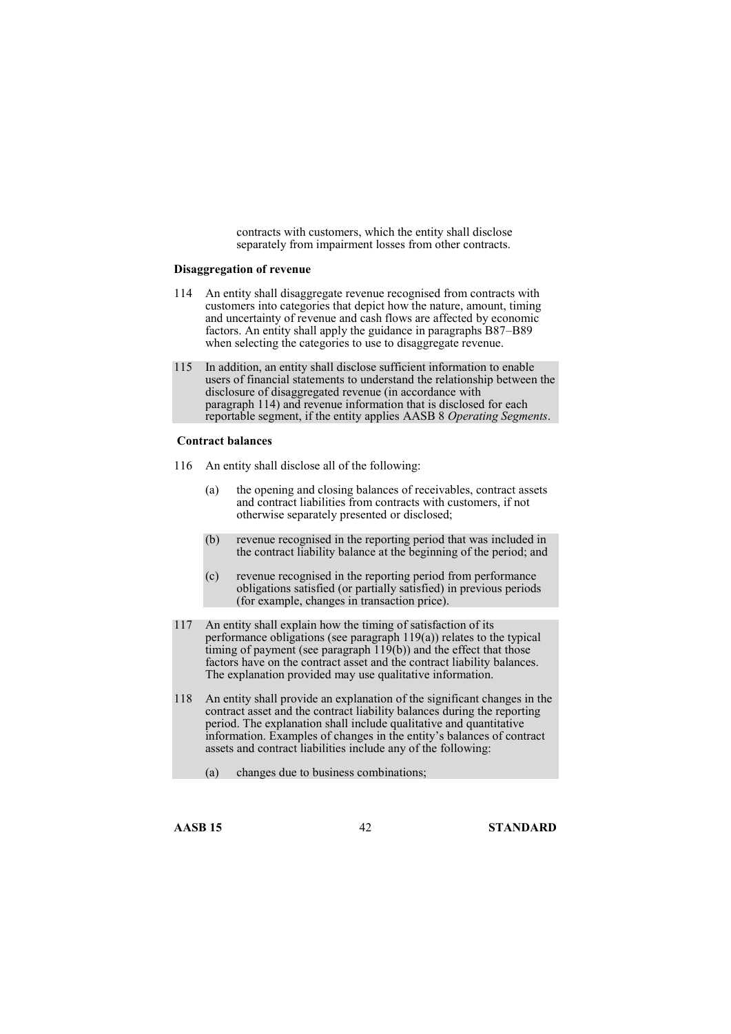contracts with customers, which the entity shall disclose separately from impairment losses from other contracts.

#### **Disaggregation of revenue**

- 114 An entity shall disaggregate revenue recognised from contracts with customers into categories that depict how the nature, amount, timing and uncertainty of revenue and cash flows are affected by economic factors. An entity shall apply the guidance in paragraphs B87–B89 when selecting the categories to use to disaggregate revenue.
- 115 In addition, an entity shall disclose sufficient information to enable users of financial statements to understand the relationship between the disclosure of disaggregated revenue (in accordance with paragraph 114) and revenue information that is disclosed for each reportable segment, if the entity applies AASB 8 *Operating Segments*.

#### **Contract balances**

- 116 An entity shall disclose all of the following:
	- (a) the opening and closing balances of receivables, contract assets and contract liabilities from contracts with customers, if not otherwise separately presented or disclosed;
	- (b) revenue recognised in the reporting period that was included in the contract liability balance at the beginning of the period; and
	- (c) revenue recognised in the reporting period from performance obligations satisfied (or partially satisfied) in previous periods (for example, changes in transaction price).
- 117 An entity shall explain how the timing of satisfaction of its performance obligations (see paragraph 119(a)) relates to the typical timing of payment (see paragraph  $119(b)$ ) and the effect that those factors have on the contract asset and the contract liability balances. The explanation provided may use qualitative information.
- 118 An entity shall provide an explanation of the significant changes in the contract asset and the contract liability balances during the reporting period. The explanation shall include qualitative and quantitative information. Examples of changes in the entity's balances of contract assets and contract liabilities include any of the following:
	- (a) changes due to business combinations;

**AASB 15** 42 **STANDARD**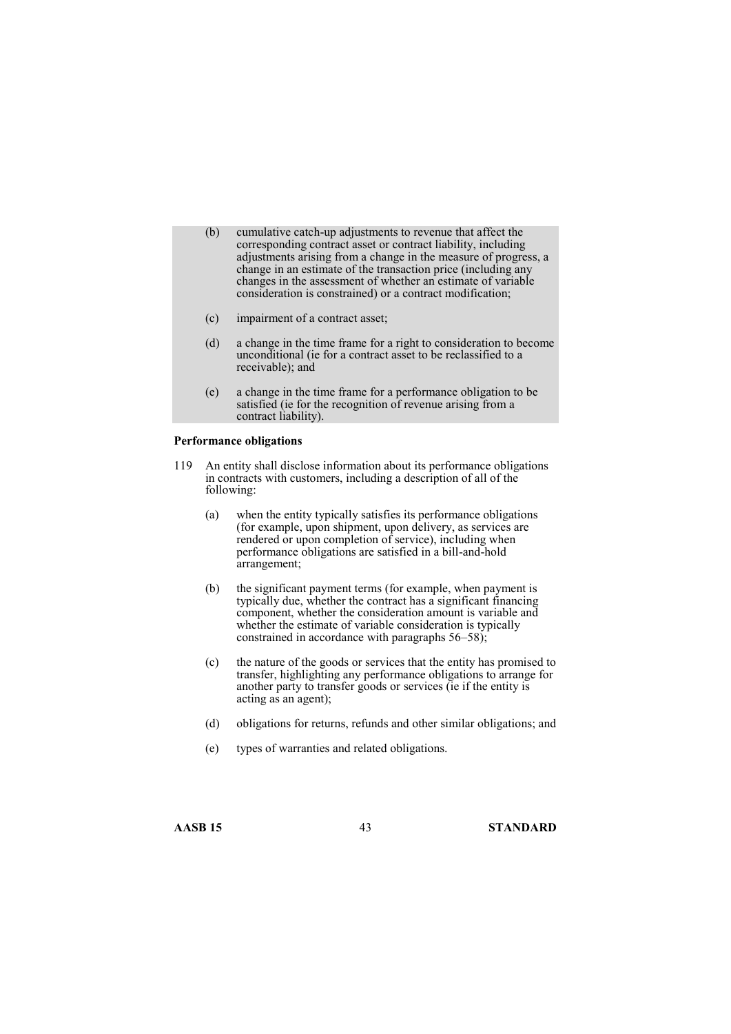- (b) cumulative catch-up adjustments to revenue that affect the corresponding contract asset or contract liability, including adjustments arising from a change in the measure of progress, a change in an estimate of the transaction price (including any changes in the assessment of whether an estimate of variable consideration is constrained) or a contract modification;
- (c) impairment of a contract asset;
- (d) a change in the time frame for a right to consideration to become unconditional (ie for a contract asset to be reclassified to a receivable); and
- (e) a change in the time frame for a performance obligation to be satisfied (ie for the recognition of revenue arising from a contract liability).

#### **Performance obligations**

- 119 An entity shall disclose information about its performance obligations in contracts with customers, including a description of all of the following:
	- (a) when the entity typically satisfies its performance obligations (for example, upon shipment, upon delivery, as services are rendered or upon completion of service), including when performance obligations are satisfied in a bill-and-hold arrangement;
	- (b) the significant payment terms (for example, when payment is typically due, whether the contract has a significant financing component, whether the consideration amount is variable and whether the estimate of variable consideration is typically constrained in accordance with paragraphs 56–58);
	- (c) the nature of the goods or services that the entity has promised to transfer, highlighting any performance obligations to arrange for another party to transfer goods or services (ie if the entity is acting as an agent);
	- (d) obligations for returns, refunds and other similar obligations; and
	- (e) types of warranties and related obligations.

**AASB 15** 43 **STANDARD**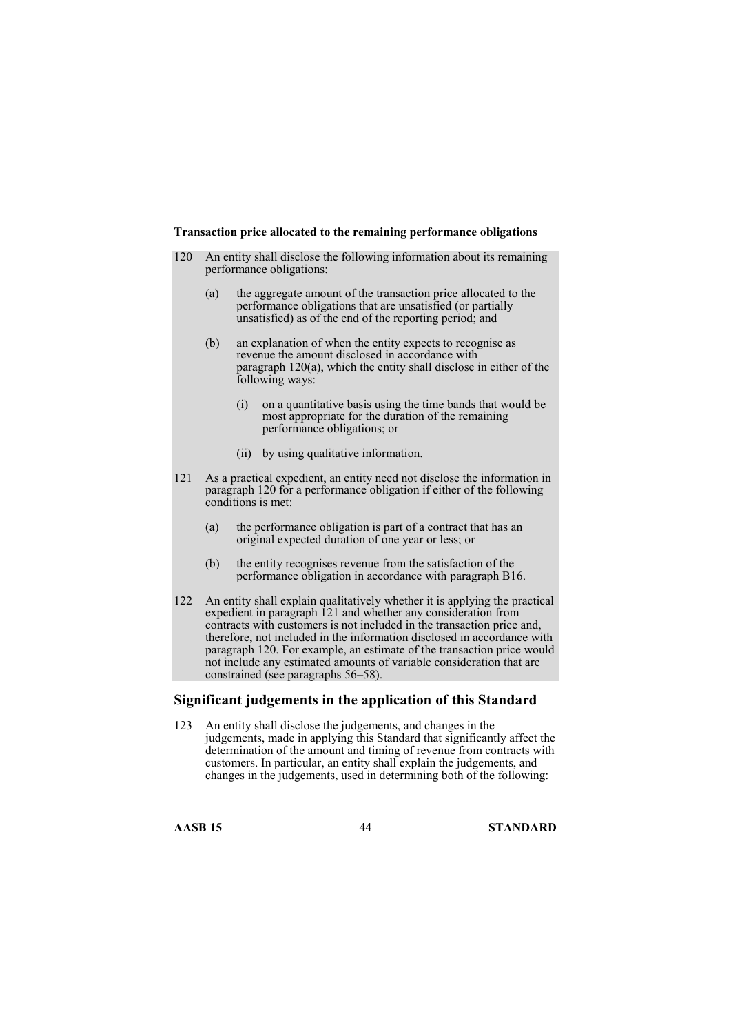#### **Transaction price allocated to the remaining performance obligations**

- 120 An entity shall disclose the following information about its remaining performance obligations:
	- (a) the aggregate amount of the transaction price allocated to the performance obligations that are unsatisfied (or partially unsatisfied) as of the end of the reporting period; and
	- (b) an explanation of when the entity expects to recognise as revenue the amount disclosed in accordance with paragraph 120(a), which the entity shall disclose in either of the following ways:
		- (i) on a quantitative basis using the time bands that would be most appropriate for the duration of the remaining performance obligations; or
		- (ii) by using qualitative information.
- 121 As a practical expedient, an entity need not disclose the information in paragraph 120 for a performance obligation if either of the following conditions is met:
	- (a) the performance obligation is part of a contract that has an original expected duration of one year or less; or
	- (b) the entity recognises revenue from the satisfaction of the performance obligation in accordance with paragraph B16.
- 122 An entity shall explain qualitatively whether it is applying the practical expedient in paragraph 121 and whether any consideration from contracts with customers is not included in the transaction price and, therefore, not included in the information disclosed in accordance with paragraph 120. For example, an estimate of the transaction price would not include any estimated amounts of variable consideration that are constrained (see paragraphs 56–58).

#### **Significant judgements in the application of this Standard**

123 An entity shall disclose the judgements, and changes in the judgements, made in applying this Standard that significantly affect the determination of the amount and timing of revenue from contracts with customers. In particular, an entity shall explain the judgements, and changes in the judgements, used in determining both of the following:

**AASB 15** 44 **STANDARD**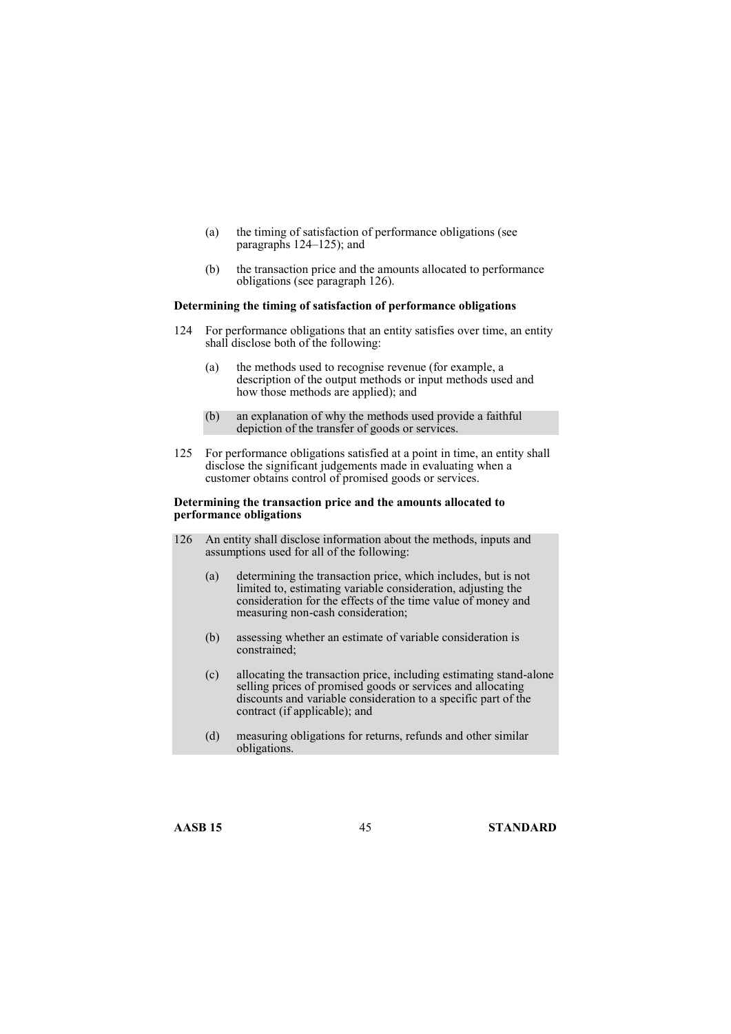- (a) the timing of satisfaction of performance obligations (see paragraphs 124–125); and
- (b) the transaction price and the amounts allocated to performance obligations (see paragraph 126).

#### **Determining the timing of satisfaction of performance obligations**

- 124 For performance obligations that an entity satisfies over time, an entity shall disclose both of the following:
	- (a) the methods used to recognise revenue (for example, a description of the output methods or input methods used and how those methods are applied); and
	- (b) an explanation of why the methods used provide a faithful depiction of the transfer of goods or services.
- 125 For performance obligations satisfied at a point in time, an entity shall disclose the significant judgements made in evaluating when a customer obtains control of promised goods or services.

#### **Determining the transaction price and the amounts allocated to performance obligations**

- 126 An entity shall disclose information about the methods, inputs and assumptions used for all of the following:
	- (a) determining the transaction price, which includes, but is not limited to, estimating variable consideration, adjusting the consideration for the effects of the time value of money and measuring non-cash consideration;
	- (b) assessing whether an estimate of variable consideration is constrained;
	- (c) allocating the transaction price, including estimating stand-alone selling prices of promised goods or services and allocating discounts and variable consideration to a specific part of the contract (if applicable); and
	- (d) measuring obligations for returns, refunds and other similar obligations.

**AASB 15** 45 **STANDARD**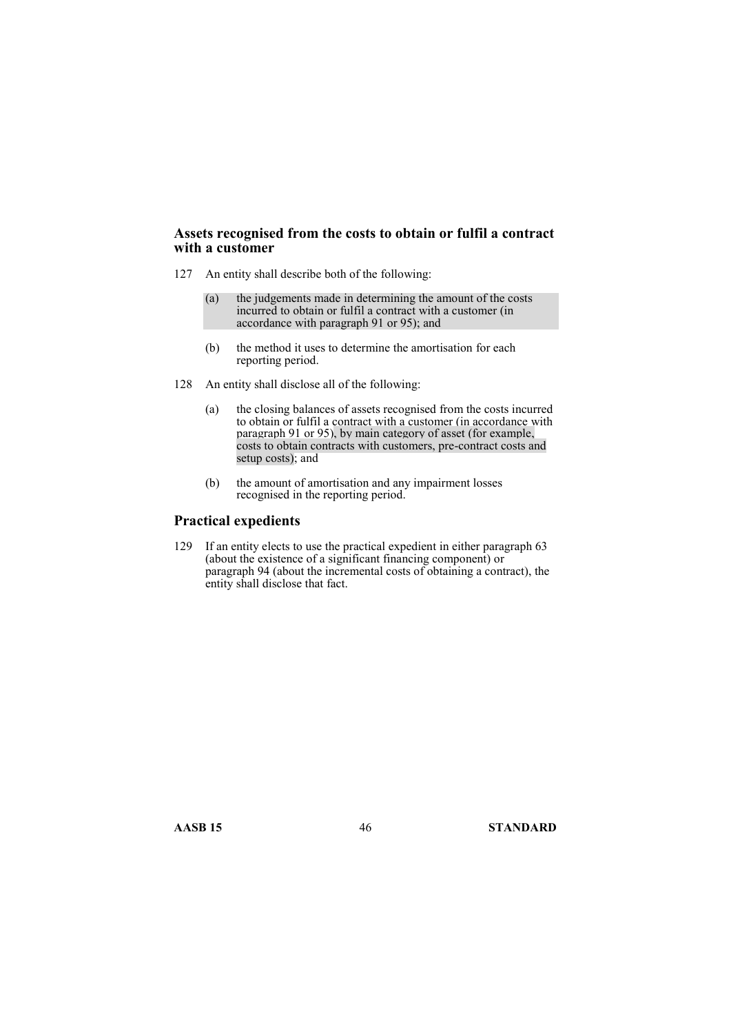#### **Assets recognised from the costs to obtain or fulfil a contract with a customer**

- 127 An entity shall describe both of the following:
	- (a) the judgements made in determining the amount of the costs incurred to obtain or fulfil a contract with a customer (in accordance with paragraph 91 or 95); and
	- (b) the method it uses to determine the amortisation for each reporting period.
- 128 An entity shall disclose all of the following:
	- (a) the closing balances of assets recognised from the costs incurred to obtain or fulfil a contract with a customer (in accordance with paragraph 91 or 95), by main category of asset (for example, costs to obtain contracts with customers, pre-contract costs and setup costs); and
	- (b) the amount of amortisation and any impairment losses recognised in the reporting period.

## **Practical expedients**

129 If an entity elects to use the practical expedient in either paragraph 63 (about the existence of a significant financing component) or paragraph 94 (about the incremental costs of obtaining a contract), the entity shall disclose that fact.

**AASB 15** 46 **STANDARD**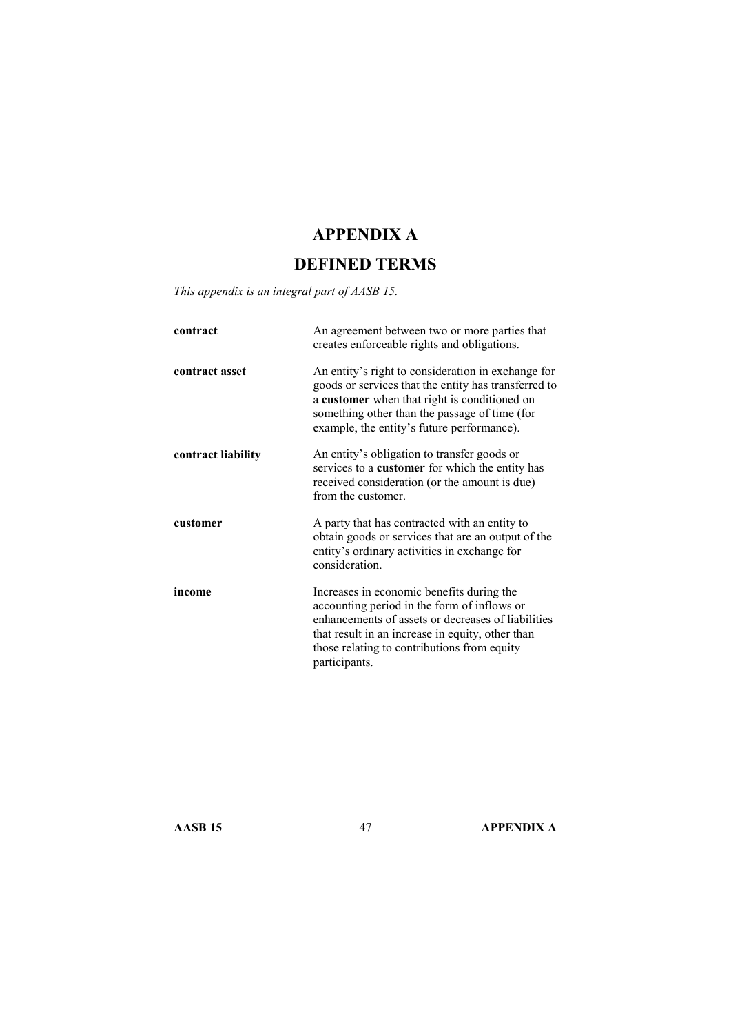# **APPENDIX A DEFINED TERMS**

*This appendix is an integral part of AASB 15.* 

| contract           | An agreement between two or more parties that<br>creates enforceable rights and obligations.                                                                                                                                                                       |
|--------------------|--------------------------------------------------------------------------------------------------------------------------------------------------------------------------------------------------------------------------------------------------------------------|
| contract asset     | An entity's right to consideration in exchange for<br>goods or services that the entity has transferred to<br>a customer when that right is conditioned on<br>something other than the passage of time (for<br>example, the entity's future performance).          |
| contract liability | An entity's obligation to transfer goods or<br>services to a customer for which the entity has<br>received consideration (or the amount is due)<br>from the customer.                                                                                              |
| customer           | A party that has contracted with an entity to<br>obtain goods or services that are an output of the<br>entity's ordinary activities in exchange for<br>consideration.                                                                                              |
| income             | Increases in economic benefits during the<br>accounting period in the form of inflows or<br>enhancements of assets or decreases of liabilities<br>that result in an increase in equity, other than<br>those relating to contributions from equity<br>participants. |

**AASB 15** 47 **APPENDIX A**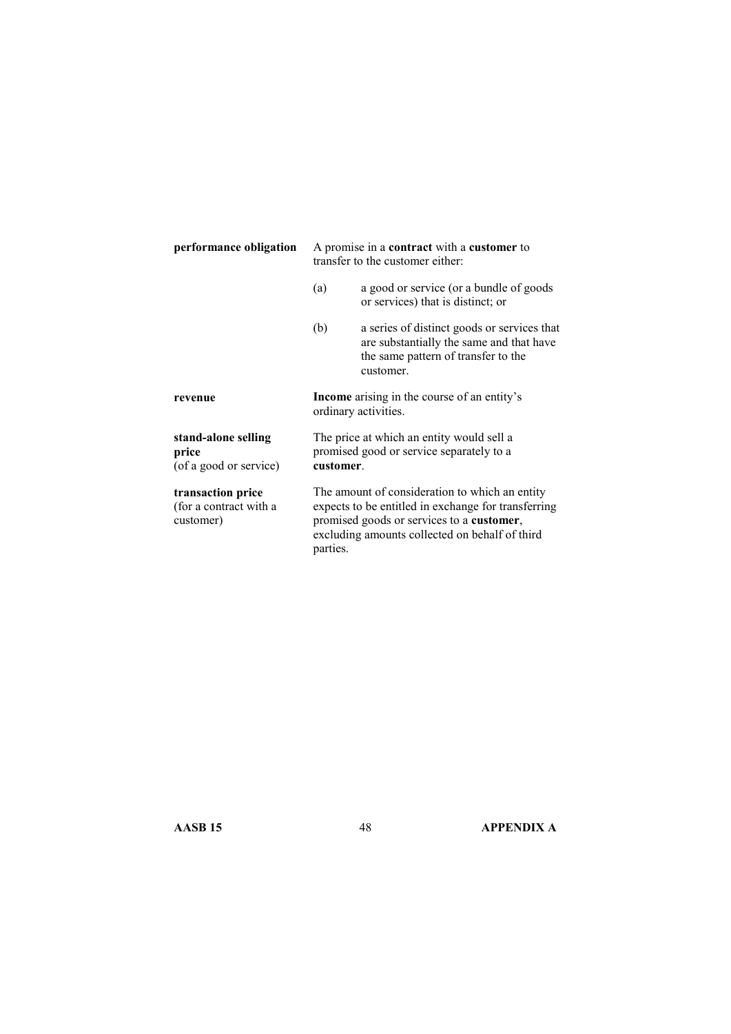| performance obligation                                   | A promise in a contract with a customer to<br>transfer to the customer either:                                                                                                                                   |                                                                                                                                             |  |
|----------------------------------------------------------|------------------------------------------------------------------------------------------------------------------------------------------------------------------------------------------------------------------|---------------------------------------------------------------------------------------------------------------------------------------------|--|
|                                                          | (a)                                                                                                                                                                                                              | a good or service (or a bundle of goods<br>or services) that is distinct; or                                                                |  |
|                                                          | (b)                                                                                                                                                                                                              | a series of distinct goods or services that<br>are substantially the same and that have<br>the same pattern of transfer to the<br>customer. |  |
| revenue                                                  | <b>Income</b> arising in the course of an entity's<br>ordinary activities.                                                                                                                                       |                                                                                                                                             |  |
| stand-alone selling<br>price<br>(of a good or service)   | The price at which an entity would sell a<br>promised good or service separately to a<br>customer.                                                                                                               |                                                                                                                                             |  |
| transaction price<br>(for a contract with a<br>customer) | The amount of consideration to which an entity<br>expects to be entitled in exchange for transferring<br>promised goods or services to a customer,<br>excluding amounts collected on behalf of third<br>parties. |                                                                                                                                             |  |

**AASB 15** 48 **APPENDIX A**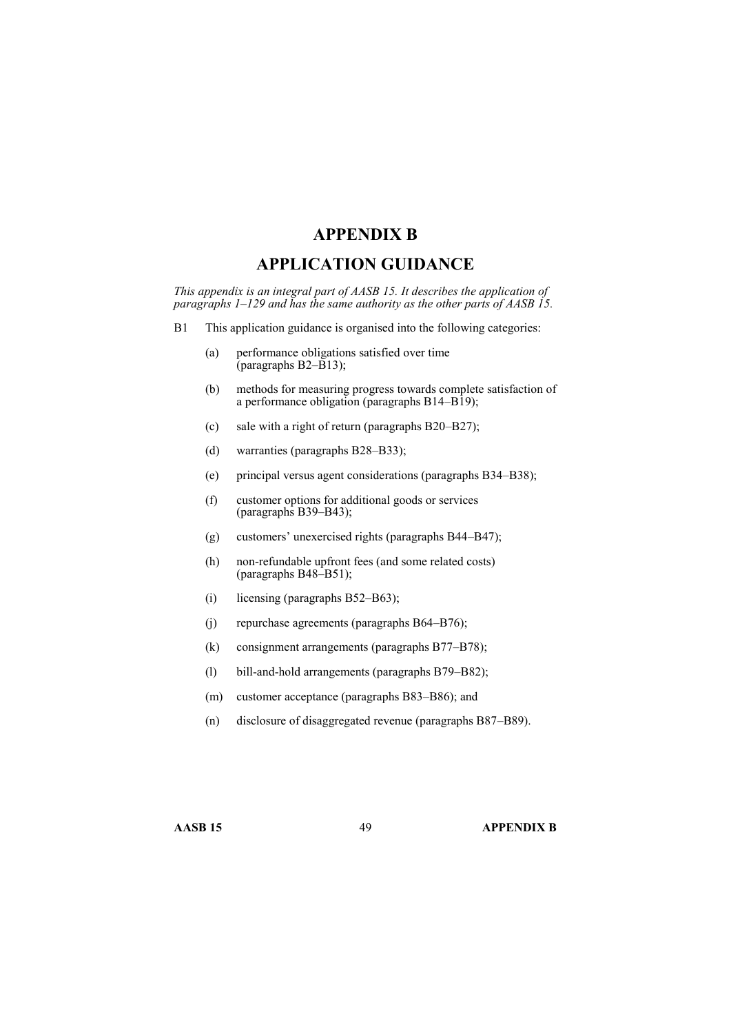# **APPENDIX B**

# **APPLICATION GUIDANCE**

*This appendix is an integral part of AASB 15. It describes the application of paragraphs 1–129 and has the same authority as the other parts of AASB 15.* 

- B1 This application guidance is organised into the following categories:
	- (a) performance obligations satisfied over time (paragraphs B2–B13);
	- (b) methods for measuring progress towards complete satisfaction of a performance obligation (paragraphs B14–B19);
	- (c) sale with a right of return (paragraphs B20–B27);
	- (d) warranties (paragraphs B28–B33);
	- (e) principal versus agent considerations (paragraphs B34–B38);
	- (f) customer options for additional goods or services (paragraphs B39–B43);
	- (g) customers' unexercised rights (paragraphs B44–B47);
	- (h) non-refundable upfront fees (and some related costs) (paragraphs B48–B51);
	- (i) licensing (paragraphs B52–B63);
	- (j) repurchase agreements (paragraphs B64–B76);
	- (k) consignment arrangements (paragraphs B77–B78);
	- (l) bill-and-hold arrangements (paragraphs B79–B82);
	- (m) customer acceptance (paragraphs B83–B86); and
	- (n) disclosure of disaggregated revenue (paragraphs B87–B89).

**AASB 15** 49 **APPENDIX B**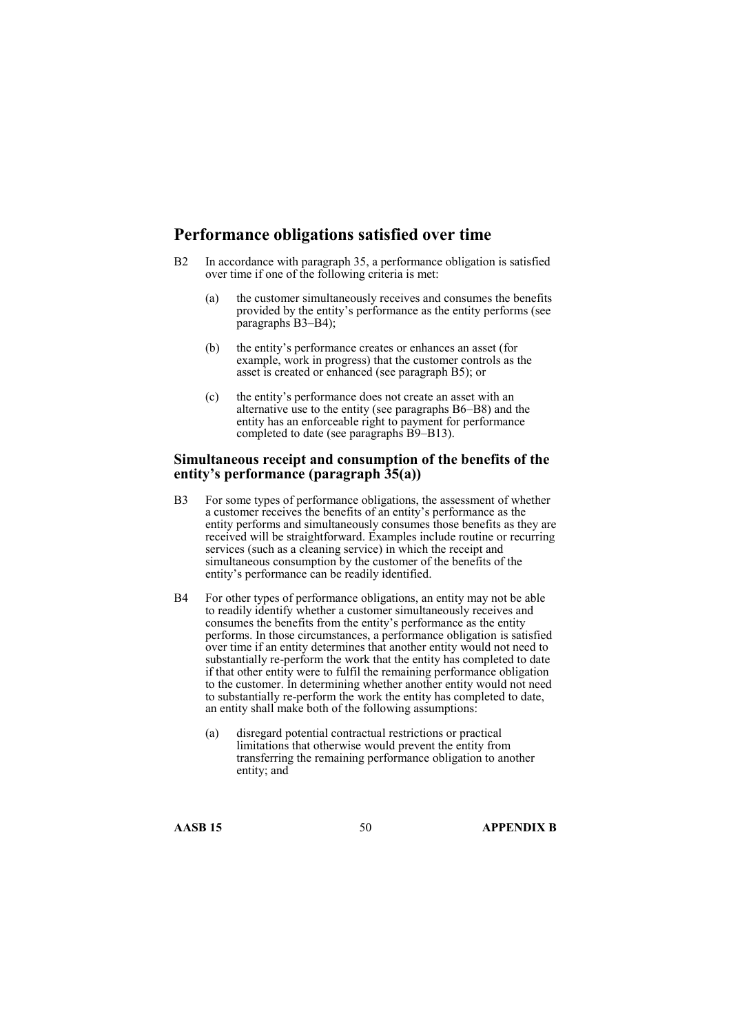# **Performance obligations satisfied over time**

- B2 In accordance with paragraph 35, a performance obligation is satisfied over time if one of the following criteria is met:
	- (a) the customer simultaneously receives and consumes the benefits provided by the entity's performance as the entity performs (see paragraphs B3–B4);
	- (b) the entity's performance creates or enhances an asset (for example, work in progress) that the customer controls as the asset is created or enhanced (see paragraph B5); or
	- (c) the entity's performance does not create an asset with an alternative use to the entity (see paragraphs B6–B8) and the entity has an enforceable right to payment for performance completed to date (see paragraphs B9–B13).

#### **Simultaneous receipt and consumption of the benefits of the entity's performance (paragraph 35(a))**

- B3 For some types of performance obligations, the assessment of whether a customer receives the benefits of an entity's performance as the entity performs and simultaneously consumes those benefits as they are received will be straightforward. Examples include routine or recurring services (such as a cleaning service) in which the receipt and simultaneous consumption by the customer of the benefits of the entity's performance can be readily identified.
- B4 For other types of performance obligations, an entity may not be able to readily identify whether a customer simultaneously receives and consumes the benefits from the entity's performance as the entity performs. In those circumstances, a performance obligation is satisfied over time if an entity determines that another entity would not need to substantially re-perform the work that the entity has completed to date if that other entity were to fulfil the remaining performance obligation to the customer. In determining whether another entity would not need to substantially re-perform the work the entity has completed to date, an entity shall make both of the following assumptions:
	- (a) disregard potential contractual restrictions or practical limitations that otherwise would prevent the entity from transferring the remaining performance obligation to another entity; and

**AASB 15** 50 **APPENDIX B**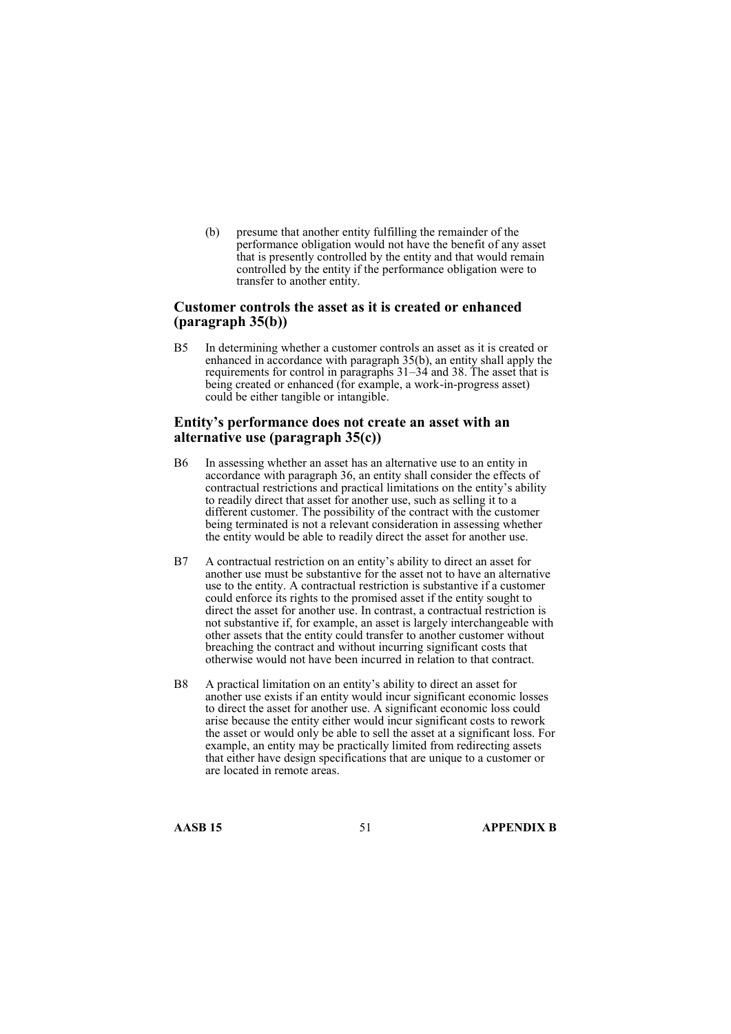(b) presume that another entity fulfilling the remainder of the performance obligation would not have the benefit of any asset that is presently controlled by the entity and that would remain controlled by the entity if the performance obligation were to transfer to another entity.

## **Customer controls the asset as it is created or enhanced (paragraph 35(b))**

B5 In determining whether a customer controls an asset as it is created or enhanced in accordance with paragraph 35(b), an entity shall apply the requirements for control in paragraphs 31–34 and 38. The asset that is being created or enhanced (for example, a work-in-progress asset) could be either tangible or intangible.

## **Entity's performance does not create an asset with an alternative use (paragraph 35(c))**

- B6 In assessing whether an asset has an alternative use to an entity in accordance with paragraph 36, an entity shall consider the effects of contractual restrictions and practical limitations on the entity's ability to readily direct that asset for another use, such as selling it to a different customer. The possibility of the contract with the customer being terminated is not a relevant consideration in assessing whether the entity would be able to readily direct the asset for another use.
- B7 A contractual restriction on an entity's ability to direct an asset for another use must be substantive for the asset not to have an alternative use to the entity. A contractual restriction is substantive if a customer could enforce its rights to the promised asset if the entity sought to direct the asset for another use. In contrast, a contractual restriction is not substantive if, for example, an asset is largely interchangeable with other assets that the entity could transfer to another customer without breaching the contract and without incurring significant costs that otherwise would not have been incurred in relation to that contract.
- B8 A practical limitation on an entity's ability to direct an asset for another use exists if an entity would incur significant economic losses to direct the asset for another use. A significant economic loss could arise because the entity either would incur significant costs to rework the asset or would only be able to sell the asset at a significant loss. For example, an entity may be practically limited from redirecting assets that either have design specifications that are unique to a customer or are located in remote areas.

**AASB 15** 51 **APPENDIX B**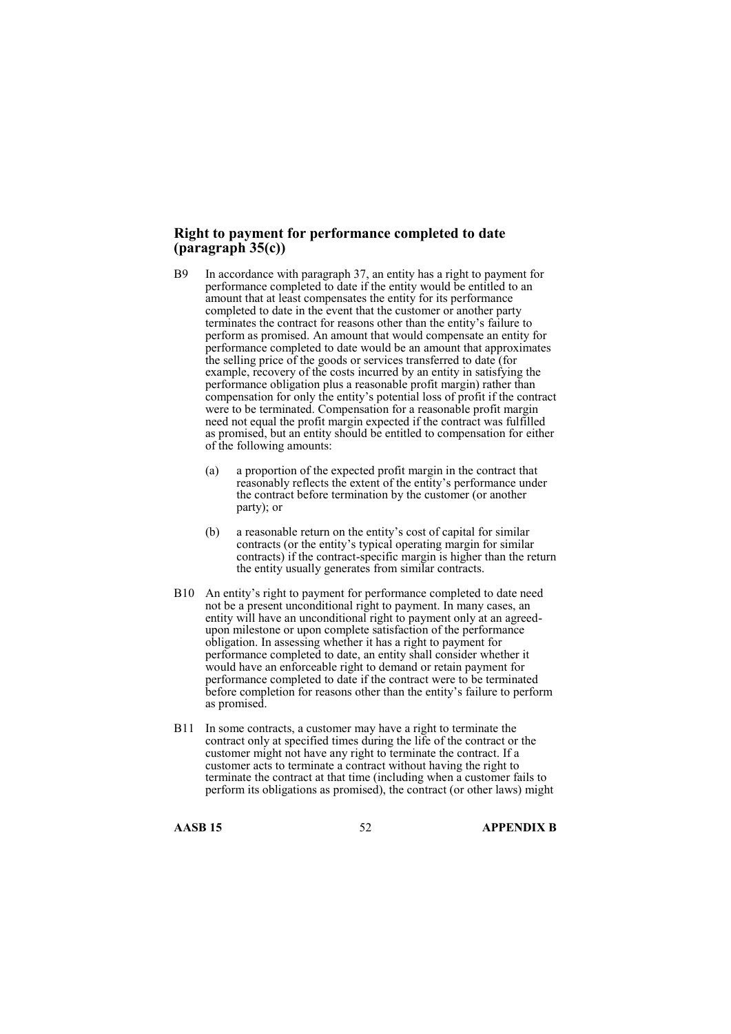#### **Right to payment for performance completed to date (paragraph 35(c))**

- B9 In accordance with paragraph 37, an entity has a right to payment for performance completed to date if the entity would be entitled to an amount that at least compensates the entity for its performance completed to date in the event that the customer or another party terminates the contract for reasons other than the entity's failure to perform as promised. An amount that would compensate an entity for performance completed to date would be an amount that approximates the selling price of the goods or services transferred to date (for example, recovery of the costs incurred by an entity in satisfying the performance obligation plus a reasonable profit margin) rather than compensation for only the entity's potential loss of profit if the contract were to be terminated. Compensation for a reasonable profit margin need not equal the profit margin expected if the contract was fulfilled as promised, but an entity should be entitled to compensation for either of the following amounts:
	- (a) a proportion of the expected profit margin in the contract that reasonably reflects the extent of the entity's performance under the contract before termination by the customer (or another party); or
	- (b) a reasonable return on the entity's cost of capital for similar contracts (or the entity's typical operating margin for similar contracts) if the contract-specific margin is higher than the return the entity usually generates from similar contracts.
- B10 An entity's right to payment for performance completed to date need not be a present unconditional right to payment. In many cases, an entity will have an unconditional right to payment only at an agreedupon milestone or upon complete satisfaction of the performance obligation. In assessing whether it has a right to payment for performance completed to date, an entity shall consider whether it would have an enforceable right to demand or retain payment for performance completed to date if the contract were to be terminated before completion for reasons other than the entity's failure to perform as promised.
- B11 In some contracts, a customer may have a right to terminate the contract only at specified times during the life of the contract or the customer might not have any right to terminate the contract. If a customer acts to terminate a contract without having the right to terminate the contract at that time (including when a customer fails to perform its obligations as promised), the contract (or other laws) might

**AASB 15** 52 **APPENDIX B**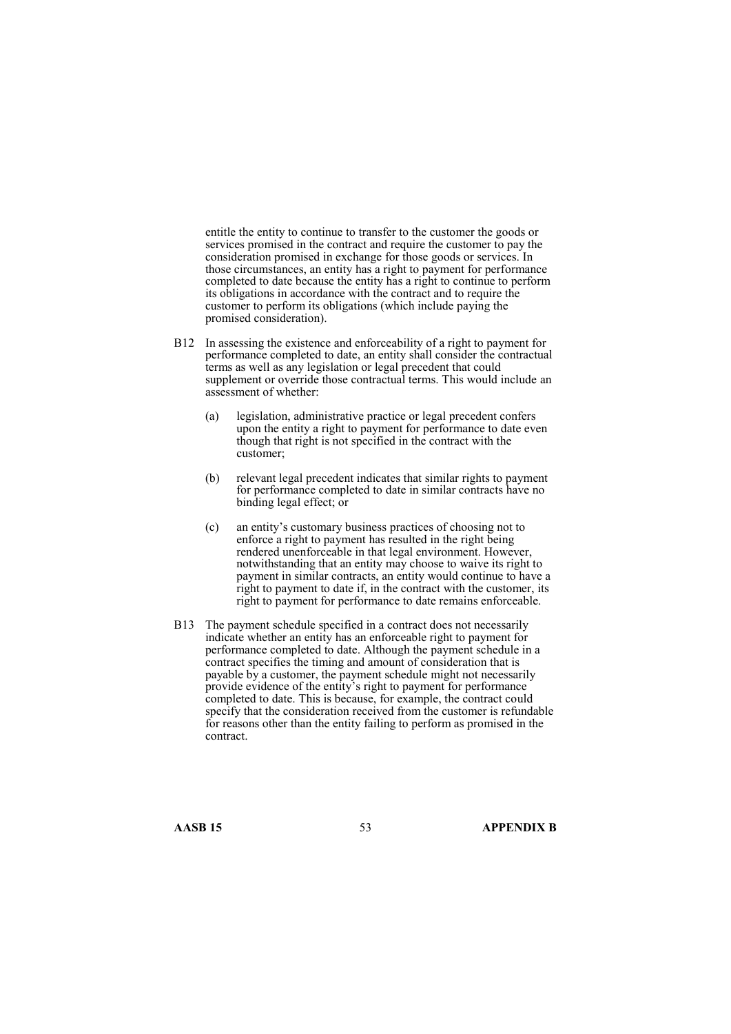entitle the entity to continue to transfer to the customer the goods or services promised in the contract and require the customer to pay the consideration promised in exchange for those goods or services. In those circumstances, an entity has a right to payment for performance completed to date because the entity has a right to continue to perform its obligations in accordance with the contract and to require the customer to perform its obligations (which include paying the promised consideration).

- B12 In assessing the existence and enforceability of a right to payment for performance completed to date, an entity shall consider the contractual terms as well as any legislation or legal precedent that could supplement or override those contractual terms. This would include an assessment of whether:
	- (a) legislation, administrative practice or legal precedent confers upon the entity a right to payment for performance to date even though that right is not specified in the contract with the customer;
	- (b) relevant legal precedent indicates that similar rights to payment for performance completed to date in similar contracts have no binding legal effect; or
	- (c) an entity's customary business practices of choosing not to enforce a right to payment has resulted in the right being rendered unenforceable in that legal environment. However, notwithstanding that an entity may choose to waive its right to payment in similar contracts, an entity would continue to have a right to payment to date if, in the contract with the customer, its right to payment for performance to date remains enforceable.
- B13 The payment schedule specified in a contract does not necessarily indicate whether an entity has an enforceable right to payment for performance completed to date. Although the payment schedule in a contract specifies the timing and amount of consideration that is payable by a customer, the payment schedule might not necessarily provide evidence of the entity's right to payment for performance completed to date. This is because, for example, the contract could specify that the consideration received from the customer is refundable for reasons other than the entity failing to perform as promised in the contract.

**AASB 15** 53 **APPENDIX B**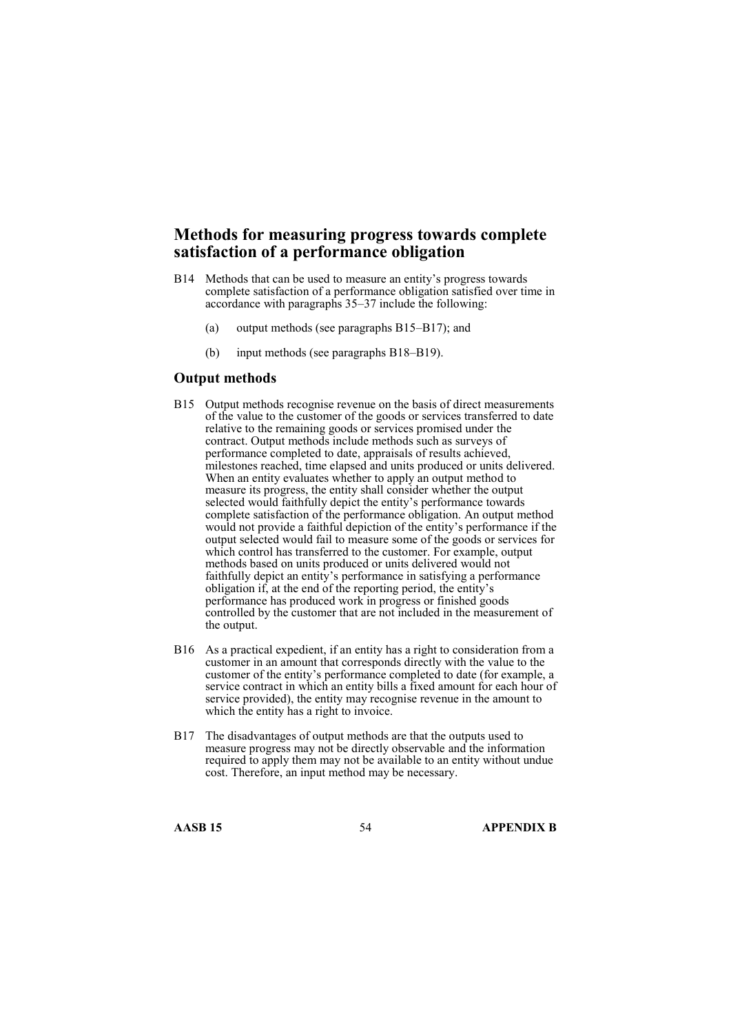## **Methods for measuring progress towards complete satisfaction of a performance obligation**

- B14 Methods that can be used to measure an entity's progress towards complete satisfaction of a performance obligation satisfied over time in accordance with paragraphs 35–37 include the following:
	- (a) output methods (see paragraphs B15–B17); and
	- (b) input methods (see paragraphs B18–B19).

#### **Output methods**

- B15 Output methods recognise revenue on the basis of direct measurements of the value to the customer of the goods or services transferred to date relative to the remaining goods or services promised under the contract. Output methods include methods such as surveys of performance completed to date, appraisals of results achieved, milestones reached, time elapsed and units produced or units delivered. When an entity evaluates whether to apply an output method to measure its progress, the entity shall consider whether the output selected would faithfully depict the entity's performance towards complete satisfaction of the performance obligation. An output method would not provide a faithful depiction of the entity's performance if the output selected would fail to measure some of the goods or services for which control has transferred to the customer. For example, output methods based on units produced or units delivered would not faithfully depict an entity's performance in satisfying a performance obligation if, at the end of the reporting period, the entity's performance has produced work in progress or finished goods controlled by the customer that are not included in the measurement of the output.
- B16 As a practical expedient, if an entity has a right to consideration from a customer in an amount that corresponds directly with the value to the customer of the entity's performance completed to date (for example, a service contract in which an entity bills a fixed amount for each hour of service provided), the entity may recognise revenue in the amount to which the entity has a right to invoice.
- B17 The disadvantages of output methods are that the outputs used to measure progress may not be directly observable and the information required to apply them may not be available to an entity without undue cost. Therefore, an input method may be necessary.

**AASB 15** 54 **APPENDIX B**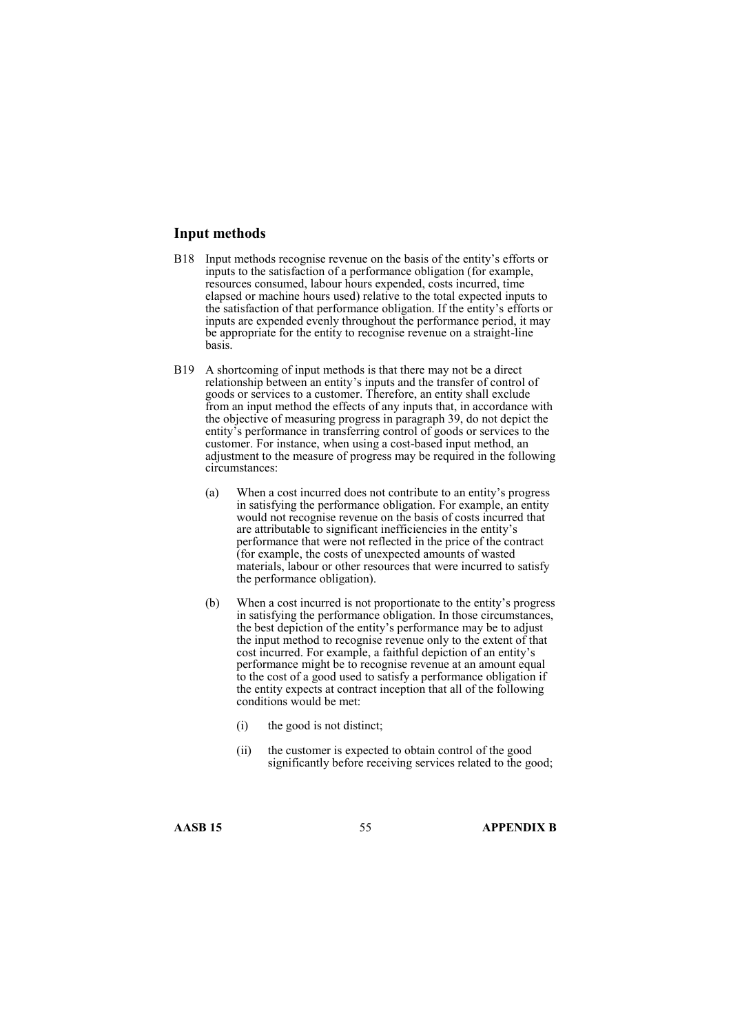#### **Input methods**

- B18 Input methods recognise revenue on the basis of the entity's efforts or inputs to the satisfaction of a performance obligation (for example, resources consumed, labour hours expended, costs incurred, time elapsed or machine hours used) relative to the total expected inputs to the satisfaction of that performance obligation. If the entity's efforts or inputs are expended evenly throughout the performance period, it may be appropriate for the entity to recognise revenue on a straight-line basis.
- B19 A shortcoming of input methods is that there may not be a direct relationship between an entity's inputs and the transfer of control of goods or services to a customer. Therefore, an entity shall exclude from an input method the effects of any inputs that, in accordance with the objective of measuring progress in paragraph 39, do not depict the entity's performance in transferring control of goods or services to the customer. For instance, when using a cost-based input method, an adjustment to the measure of progress may be required in the following circumstances:
	- (a) When a cost incurred does not contribute to an entity's progress in satisfying the performance obligation. For example, an entity would not recognise revenue on the basis of costs incurred that are attributable to significant inefficiencies in the entity's performance that were not reflected in the price of the contract (for example, the costs of unexpected amounts of wasted materials, labour or other resources that were incurred to satisfy the performance obligation).
	- (b) When a cost incurred is not proportionate to the entity's progress in satisfying the performance obligation. In those circumstances, the best depiction of the entity's performance may be to adjust the input method to recognise revenue only to the extent of that cost incurred. For example, a faithful depiction of an entity's performance might be to recognise revenue at an amount equal to the cost of a good used to satisfy a performance obligation if the entity expects at contract inception that all of the following conditions would be met:
		- (i) the good is not distinct;
		- (ii) the customer is expected to obtain control of the good significantly before receiving services related to the good;

**AASB 15** 55 **APPENDIX B**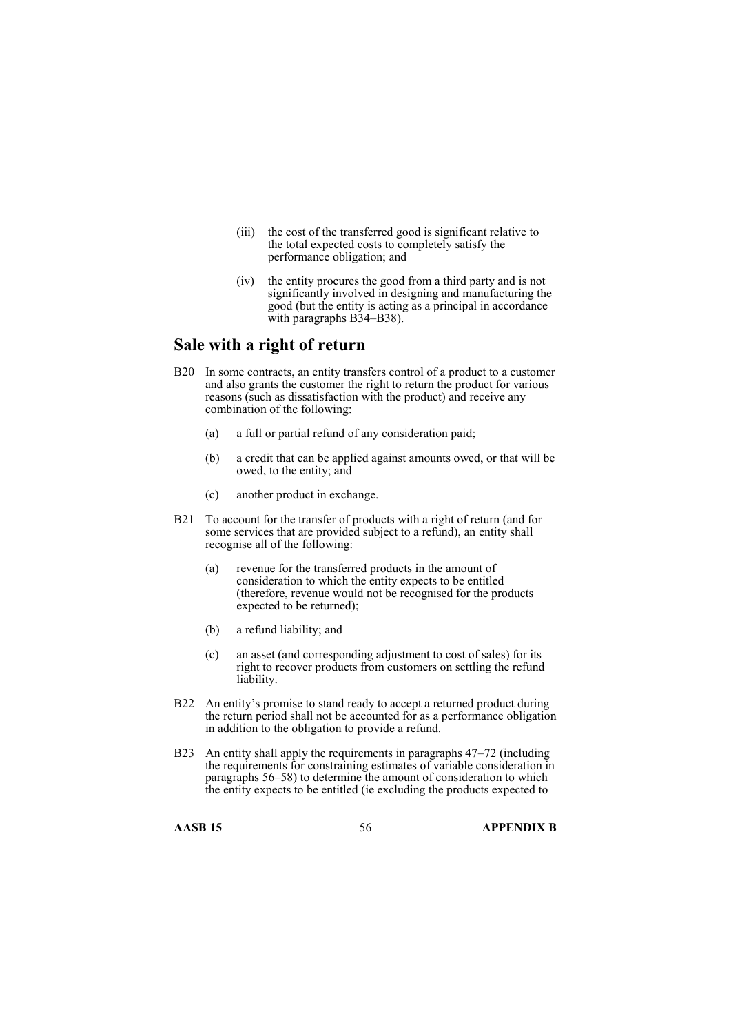- (iii) the cost of the transferred good is significant relative to the total expected costs to completely satisfy the performance obligation; and
- (iv) the entity procures the good from a third party and is not significantly involved in designing and manufacturing the good (but the entity is acting as a principal in accordance with paragraphs B34–B38).

## **Sale with a right of return**

- B20 In some contracts, an entity transfers control of a product to a customer and also grants the customer the right to return the product for various reasons (such as dissatisfaction with the product) and receive any combination of the following:
	- (a) a full or partial refund of any consideration paid;
	- (b) a credit that can be applied against amounts owed, or that will be owed, to the entity; and
	- (c) another product in exchange.
- B21 To account for the transfer of products with a right of return (and for some services that are provided subject to a refund), an entity shall recognise all of the following:
	- (a) revenue for the transferred products in the amount of consideration to which the entity expects to be entitled (therefore, revenue would not be recognised for the products expected to be returned);
	- (b) a refund liability; and
	- (c) an asset (and corresponding adjustment to cost of sales) for its right to recover products from customers on settling the refund liability.
- B22 An entity's promise to stand ready to accept a returned product during the return period shall not be accounted for as a performance obligation in addition to the obligation to provide a refund.
- B23 An entity shall apply the requirements in paragraphs 47–72 (including the requirements for constraining estimates of variable consideration in paragraphs 56–58) to determine the amount of consideration to which the entity expects to be entitled (ie excluding the products expected to

**AASB 15** 56 **APPENDIX B**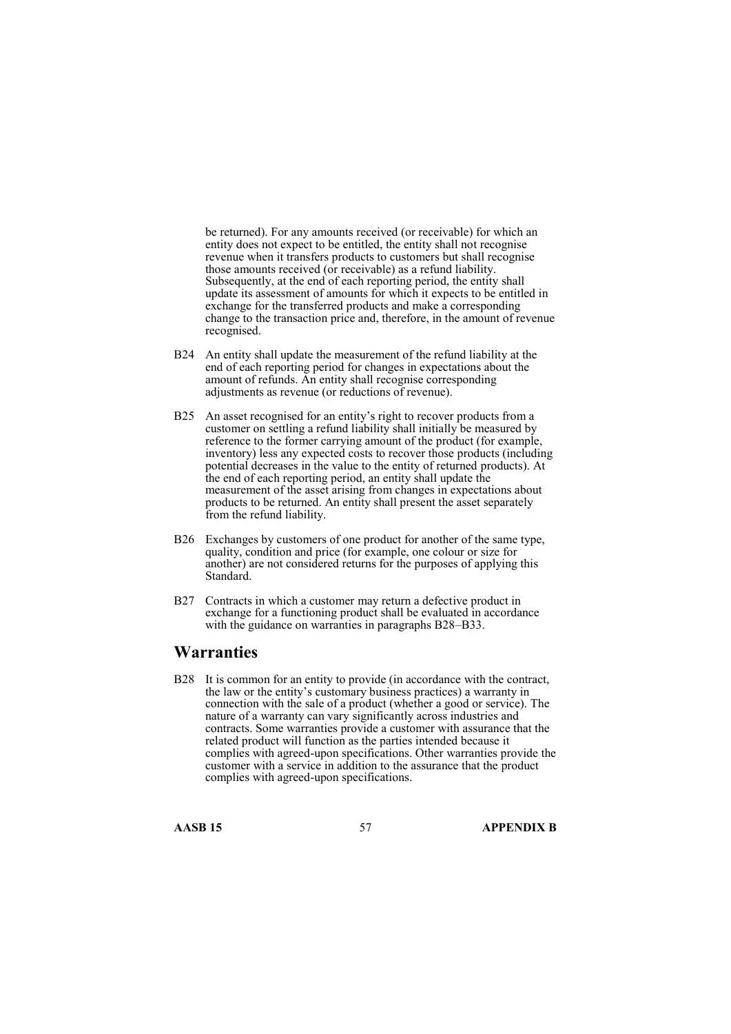be returned). For any amounts received (or receivable) for which an entity does not expect to be entitled, the entity shall not recognise revenue when it transfers products to customers but shall recognise those amounts received (or receivable) as a refund liability. Subsequently, at the end of each reporting period, the entity shall update its assessment of amounts for which it expects to be entitled in exchange for the transferred products and make a corresponding change to the transaction price and, therefore, in the amount of revenue recognised.

- B24 An entity shall update the measurement of the refund liability at the end of each reporting period for changes in expectations about the amount of refunds. An entity shall recognise corresponding adjustments as revenue (or reductions of revenue).
- B25 An asset recognised for an entity's right to recover products from a customer on settling a refund liability shall initially be measured by reference to the former carrying amount of the product (for example, inventory) less any expected costs to recover those products (including potential decreases in the value to the entity of returned products). At the end of each reporting period, an entity shall update the measurement of the asset arising from changes in expectations about products to be returned. An entity shall present the asset separately from the refund liability.
- B26 Exchanges by customers of one product for another of the same type, quality, condition and price (for example, one colour or size for another) are not considered returns for the purposes of applying this Standard.
- B27 Contracts in which a customer may return a defective product in exchange for a functioning product shall be evaluated in accordance with the guidance on warranties in paragraphs B28–B33.

## **Warranties**

B28 It is common for an entity to provide (in accordance with the contract, the law or the entity's customary business practices) a warranty in connection with the sale of a product (whether a good or service). The nature of a warranty can vary significantly across industries and contracts. Some warranties provide a customer with assurance that the related product will function as the parties intended because it complies with agreed-upon specifications. Other warranties provide the customer with a service in addition to the assurance that the product complies with agreed-upon specifications.

**AASB 15** 57 **APPENDIX B**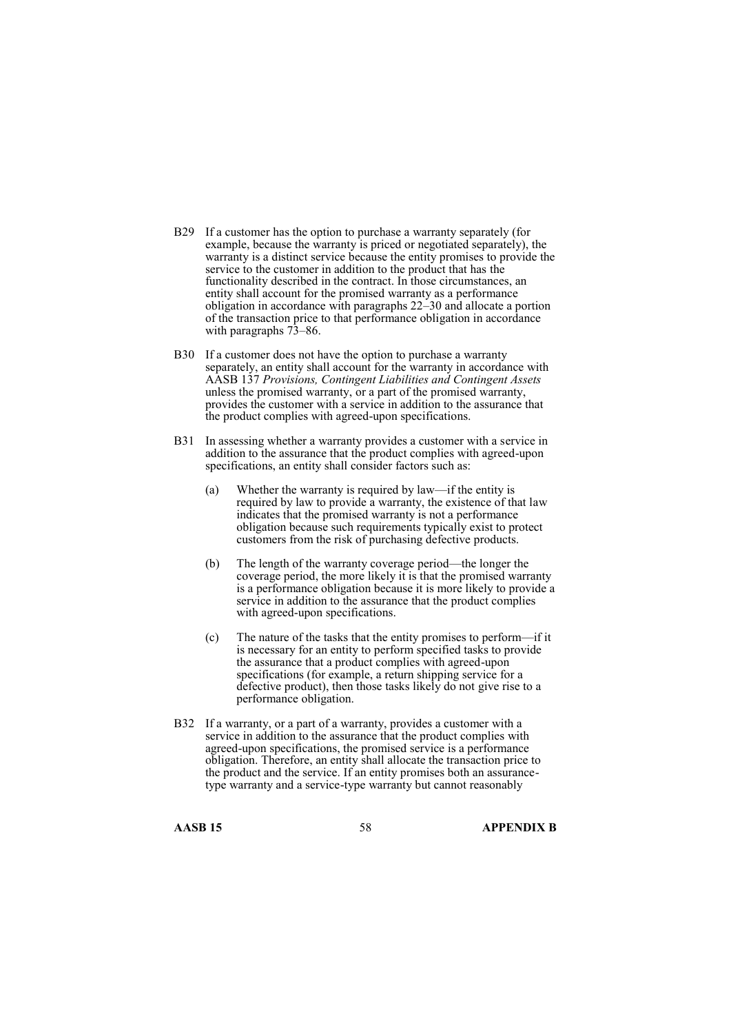- B29 If a customer has the option to purchase a warranty separately (for example, because the warranty is priced or negotiated separately), the warranty is a distinct service because the entity promises to provide the service to the customer in addition to the product that has the functionality described in the contract. In those circumstances, an entity shall account for the promised warranty as a performance obligation in accordance with paragraphs 22–30 and allocate a portion of the transaction price to that performance obligation in accordance with paragraphs  $7\overline{3}$ –86.
- B30 If a customer does not have the option to purchase a warranty separately, an entity shall account for the warranty in accordance with AASB 137 *Provisions, Contingent Liabilities and Contingent Assets* unless the promised warranty, or a part of the promised warranty, provides the customer with a service in addition to the assurance that the product complies with agreed-upon specifications.
- B31 In assessing whether a warranty provides a customer with a service in addition to the assurance that the product complies with agreed-upon specifications, an entity shall consider factors such as:
	- (a) Whether the warranty is required by law—if the entity is required by law to provide a warranty, the existence of that law indicates that the promised warranty is not a performance obligation because such requirements typically exist to protect customers from the risk of purchasing defective products.
	- (b) The length of the warranty coverage period—the longer the coverage period, the more likely it is that the promised warranty is a performance obligation because it is more likely to provide a service in addition to the assurance that the product complies with agreed-upon specifications.
	- (c) The nature of the tasks that the entity promises to perform—if it is necessary for an entity to perform specified tasks to provide the assurance that a product complies with agreed-upon specifications (for example, a return shipping service for a defective product), then those tasks likely do not give rise to a performance obligation.
- B32 If a warranty, or a part of a warranty, provides a customer with a service in addition to the assurance that the product complies with agreed-upon specifications, the promised service is a performance obligation. Therefore, an entity shall allocate the transaction price to the product and the service. If an entity promises both an assurancetype warranty and a service-type warranty but cannot reasonably

**AASB 15** 58 **APPENDIX B**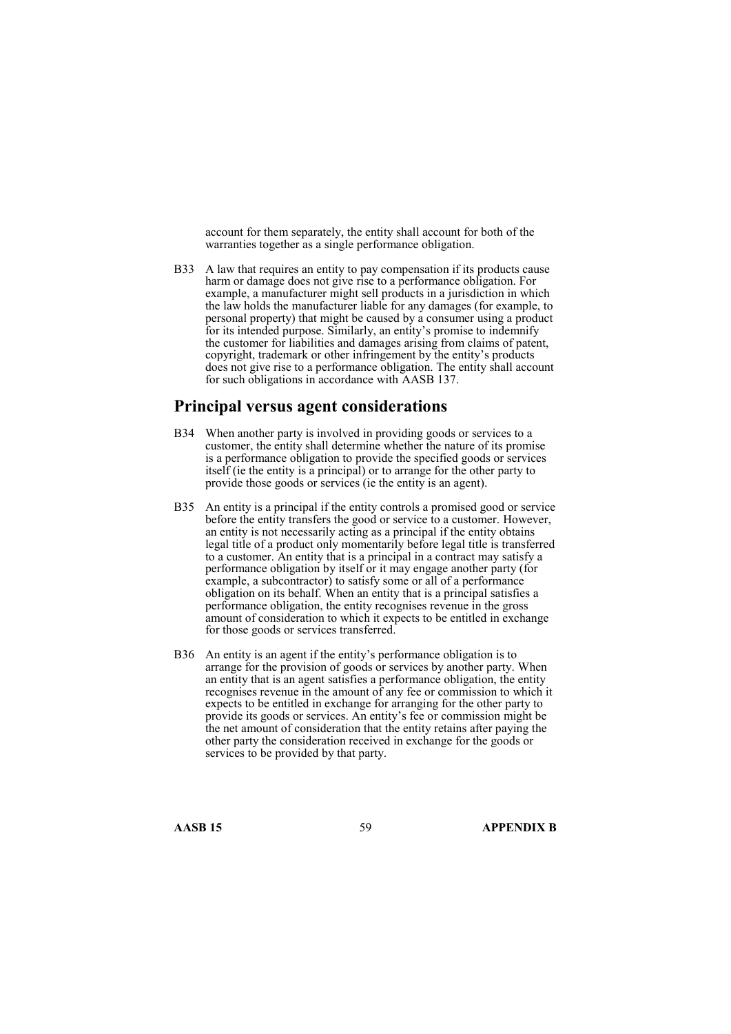account for them separately, the entity shall account for both of the warranties together as a single performance obligation.

B33 A law that requires an entity to pay compensation if its products cause harm or damage does not give rise to a performance obligation. For example, a manufacturer might sell products in a jurisdiction in which the law holds the manufacturer liable for any damages (for example, to personal property) that might be caused by a consumer using a product for its intended purpose. Similarly, an entity's promise to indemnify the customer for liabilities and damages arising from claims of patent, copyright, trademark or other infringement by the entity's products does not give rise to a performance obligation. The entity shall account for such obligations in accordance with AASB 137.

# **Principal versus agent considerations**

- B34 When another party is involved in providing goods or services to a customer, the entity shall determine whether the nature of its promise is a performance obligation to provide the specified goods or services itself (ie the entity is a principal) or to arrange for the other party to provide those goods or services (ie the entity is an agent).
- B35 An entity is a principal if the entity controls a promised good or service before the entity transfers the good or service to a customer. However, an entity is not necessarily acting as a principal if the entity obtains legal title of a product only momentarily before legal title is transferred to a customer. An entity that is a principal in a contract may satisfy a performance obligation by itself or it may engage another party (for example, a subcontractor) to satisfy some or all of a performance obligation on its behalf. When an entity that is a principal satisfies a performance obligation, the entity recognises revenue in the gross amount of consideration to which it expects to be entitled in exchange for those goods or services transferred.
- B36 An entity is an agent if the entity's performance obligation is to arrange for the provision of goods or services by another party. When an entity that is an agent satisfies a performance obligation, the entity recognises revenue in the amount of any fee or commission to which it expects to be entitled in exchange for arranging for the other party to provide its goods or services. An entity's fee or commission might be the net amount of consideration that the entity retains after paying the other party the consideration received in exchange for the goods or services to be provided by that party.

**AASB 15** 59 **APPENDIX B**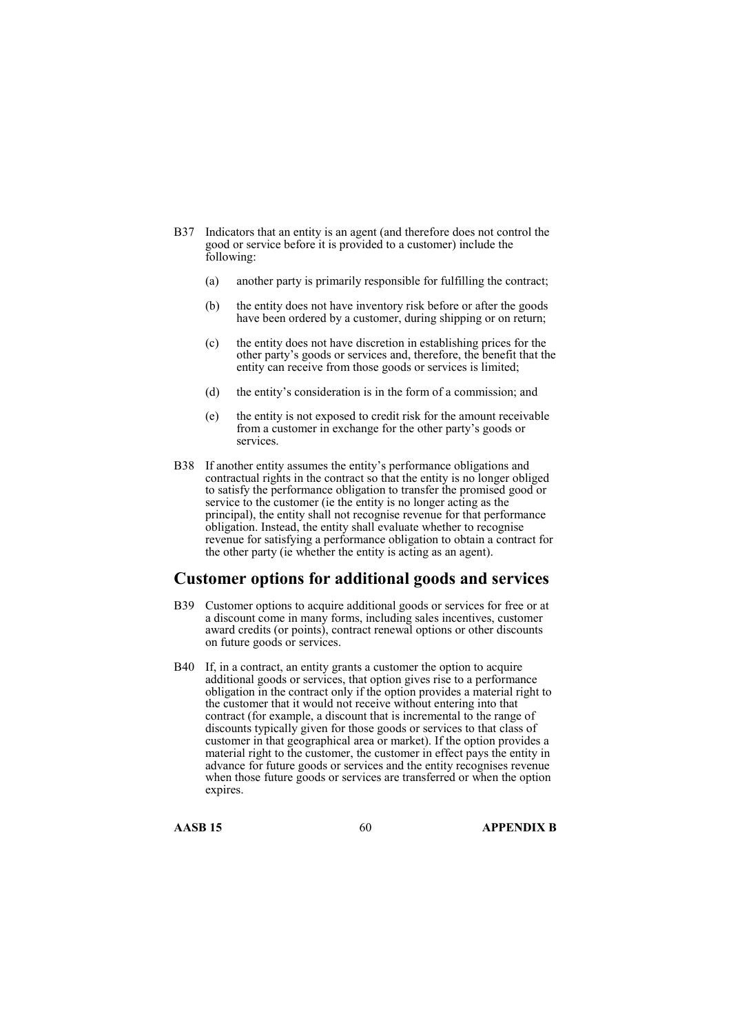- B37 Indicators that an entity is an agent (and therefore does not control the good or service before it is provided to a customer) include the following:
	- (a) another party is primarily responsible for fulfilling the contract;
	- (b) the entity does not have inventory risk before or after the goods have been ordered by a customer, during shipping or on return;
	- (c) the entity does not have discretion in establishing prices for the other party's goods or services and, therefore, the benefit that the entity can receive from those goods or services is limited;
	- (d) the entity's consideration is in the form of a commission; and
	- (e) the entity is not exposed to credit risk for the amount receivable from a customer in exchange for the other party's goods or services.
- B38 If another entity assumes the entity's performance obligations and contractual rights in the contract so that the entity is no longer obliged to satisfy the performance obligation to transfer the promised good or service to the customer (ie the entity is no longer acting as the principal), the entity shall not recognise revenue for that performance obligation. Instead, the entity shall evaluate whether to recognise revenue for satisfying a performance obligation to obtain a contract for the other party (ie whether the entity is acting as an agent).

## **Customer options for additional goods and services**

- B39 Customer options to acquire additional goods or services for free or at a discount come in many forms, including sales incentives, customer award credits (or points), contract renewal options or other discounts on future goods or services.
- B40 If, in a contract, an entity grants a customer the option to acquire additional goods or services, that option gives rise to a performance obligation in the contract only if the option provides a material right to the customer that it would not receive without entering into that contract (for example, a discount that is incremental to the range of discounts typically given for those goods or services to that class of customer in that geographical area or market). If the option provides a material right to the customer, the customer in effect pays the entity in advance for future goods or services and the entity recognises revenue when those future goods or services are transferred or when the option expires.

**AASB 15** 60 **APPENDIX B**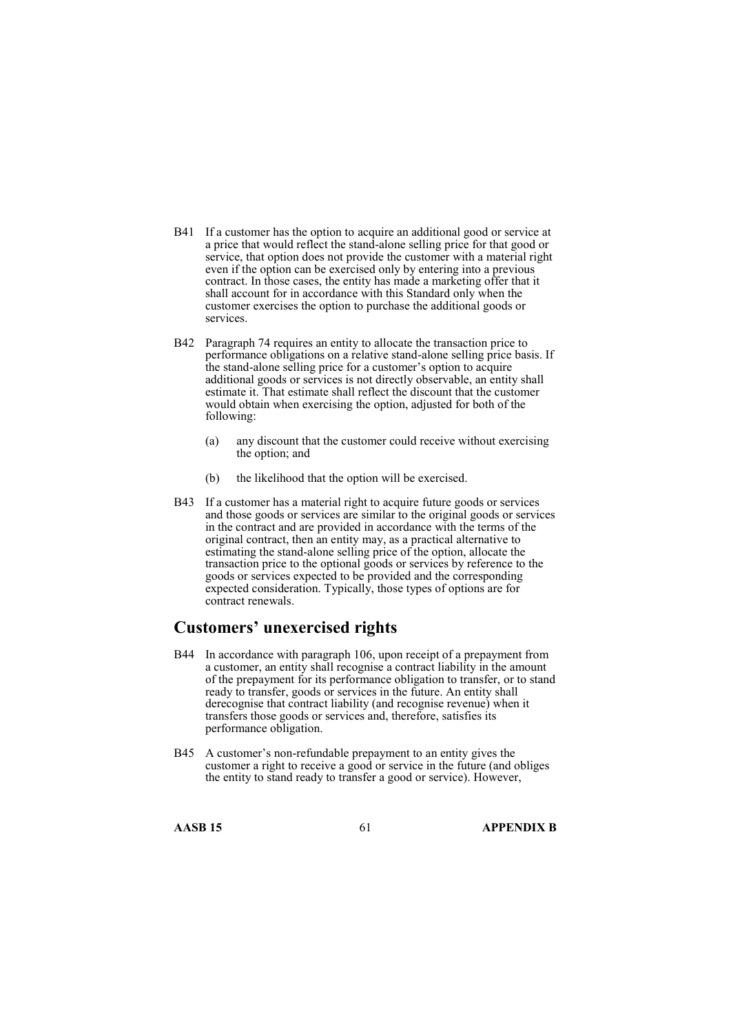- B41 If a customer has the option to acquire an additional good or service at a price that would reflect the stand-alone selling price for that good or service, that option does not provide the customer with a material right even if the option can be exercised only by entering into a previous contract. In those cases, the entity has made a marketing offer that it shall account for in accordance with this Standard only when the customer exercises the option to purchase the additional goods or services.
- B42 Paragraph 74 requires an entity to allocate the transaction price to performance obligations on a relative stand-alone selling price basis. If the stand-alone selling price for a customer's option to acquire additional goods or services is not directly observable, an entity shall estimate it. That estimate shall reflect the discount that the customer would obtain when exercising the option, adjusted for both of the following:
	- (a) any discount that the customer could receive without exercising the option; and
	- (b) the likelihood that the option will be exercised.
- B43 If a customer has a material right to acquire future goods or services and those goods or services are similar to the original goods or services in the contract and are provided in accordance with the terms of the original contract, then an entity may, as a practical alternative to estimating the stand-alone selling price of the option, allocate the transaction price to the optional goods or services by reference to the goods or services expected to be provided and the corresponding expected consideration. Typically, those types of options are for contract renewals.

# **Customers' unexercised rights**

- B44 In accordance with paragraph 106, upon receipt of a prepayment from a customer, an entity shall recognise a contract liability in the amount of the prepayment for its performance obligation to transfer, or to stand ready to transfer, goods or services in the future. An entity shall derecognise that contract liability (and recognise revenue) when it transfers those goods or services and, therefore, satisfies its performance obligation.
- B45 A customer's non-refundable prepayment to an entity gives the customer a right to receive a good or service in the future (and obliges the entity to stand ready to transfer a good or service). However,

**AASB 15** 61 **APPENDIX B**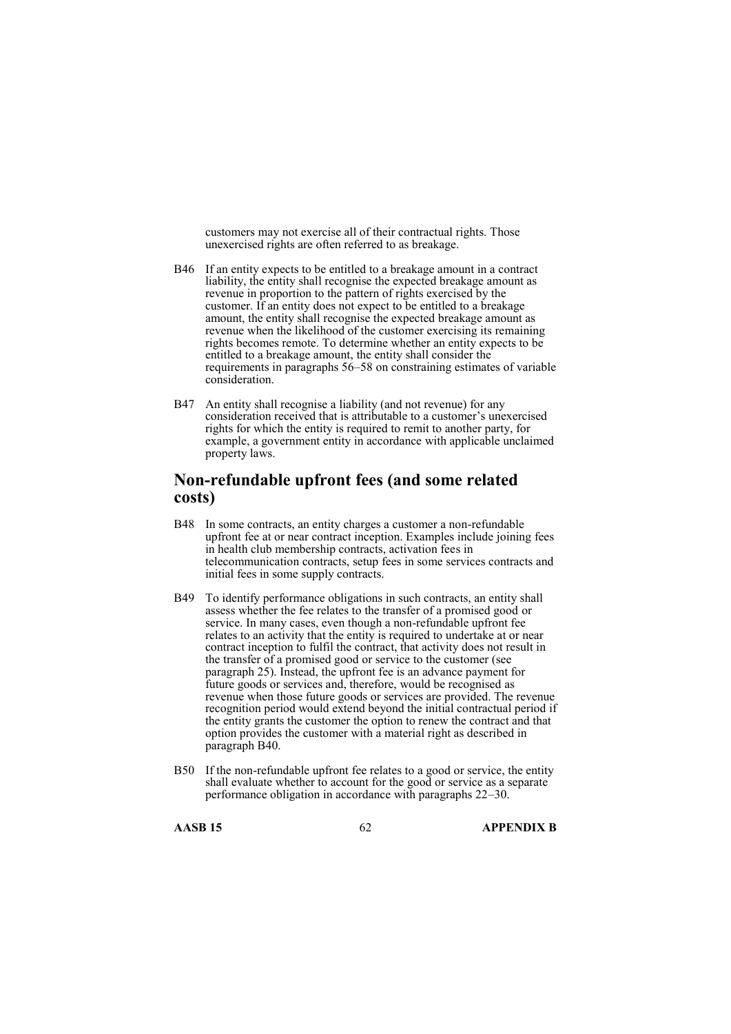customers may not exercise all of their contractual rights. Those unexercised rights are often referred to as breakage.

- B46 If an entity expects to be entitled to a breakage amount in a contract liability, the entity shall recognise the expected breakage amount as revenue in proportion to the pattern of rights exercised by the customer. If an entity does not expect to be entitled to a breakage amount, the entity shall recognise the expected breakage amount as revenue when the likelihood of the customer exercising its remaining rights becomes remote. To determine whether an entity expects to be entitled to a breakage amount, the entity shall consider the requirements in paragraphs 56–58 on constraining estimates of variable consideration.
- B47 An entity shall recognise a liability (and not revenue) for any consideration received that is attributable to a customer's unexercised rights for which the entity is required to remit to another party, for example, a government entity in accordance with applicable unclaimed property laws.

## **Non-refundable upfront fees (and some related costs)**

- B48 In some contracts, an entity charges a customer a non-refundable upfront fee at or near contract inception. Examples include joining fees in health club membership contracts, activation fees in telecommunication contracts, setup fees in some services contracts and initial fees in some supply contracts.
- B49 To identify performance obligations in such contracts, an entity shall assess whether the fee relates to the transfer of a promised good or service. In many cases, even though a non-refundable upfront fee relates to an activity that the entity is required to undertake at or near contract inception to fulfil the contract, that activity does not result in the transfer of a promised good or service to the customer (see paragraph 25). Instead, the upfront fee is an advance payment for future goods or services and, therefore, would be recognised as revenue when those future goods or services are provided. The revenue recognition period would extend beyond the initial contractual period if the entity grants the customer the option to renew the contract and that option provides the customer with a material right as described in paragraph B40.
- B50 If the non-refundable upfront fee relates to a good or service, the entity shall evaluate whether to account for the good or service as a separate performance obligation in accordance with paragraphs 22–30.

**AASB 15** 62 **APPENDIX B**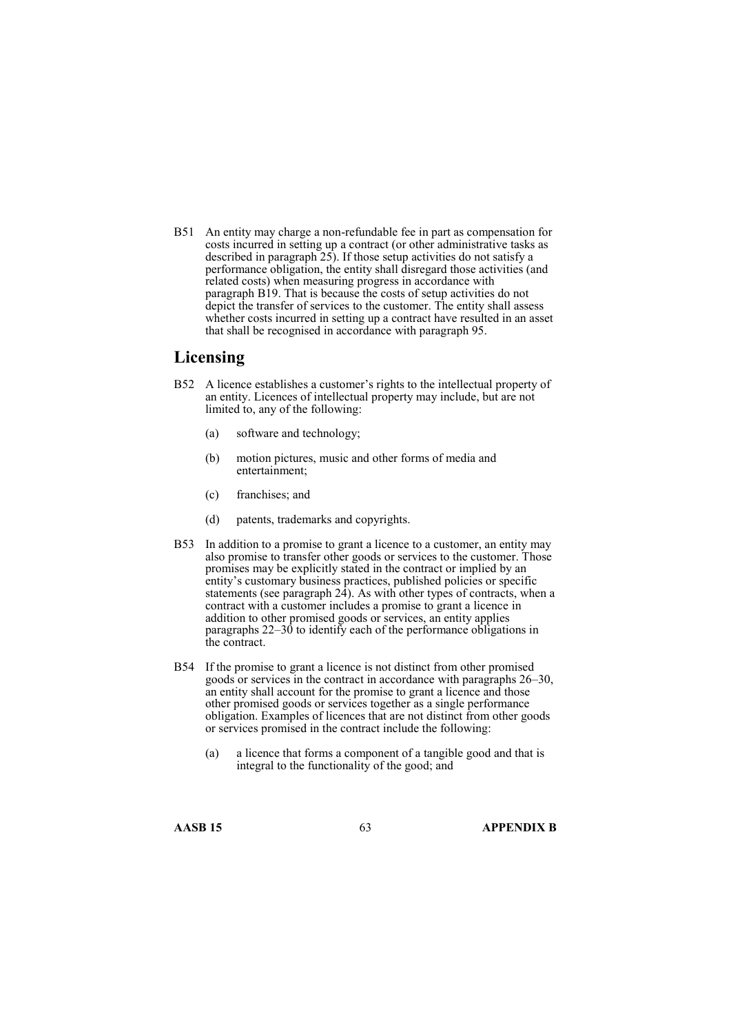B51 An entity may charge a non-refundable fee in part as compensation for costs incurred in setting up a contract (or other administrative tasks as described in paragraph 25). If those setup activities do not satisfy a performance obligation, the entity shall disregard those activities (and related costs) when measuring progress in accordance with paragraph B19. That is because the costs of setup activities do not depict the transfer of services to the customer. The entity shall assess whether costs incurred in setting up a contract have resulted in an asset that shall be recognised in accordance with paragraph 95.

## **Licensing**

- B52 A licence establishes a customer's rights to the intellectual property of an entity. Licences of intellectual property may include, but are not limited to, any of the following:
	- (a) software and technology;
	- (b) motion pictures, music and other forms of media and entertainment;
	- (c) franchises; and
	- (d) patents, trademarks and copyrights.
- B53 In addition to a promise to grant a licence to a customer, an entity may also promise to transfer other goods or services to the customer. Those promises may be explicitly stated in the contract or implied by an entity's customary business practices, published policies or specific statements (see paragraph 24). As with other types of contracts, when a contract with a customer includes a promise to grant a licence in addition to other promised goods or services, an entity applies paragraphs 22–30 to identify each of the performance obligations in the contract.
- B54 If the promise to grant a licence is not distinct from other promised goods or services in the contract in accordance with paragraphs 26–30, an entity shall account for the promise to grant a licence and those other promised goods or services together as a single performance obligation. Examples of licences that are not distinct from other goods or services promised in the contract include the following:
	- (a) a licence that forms a component of a tangible good and that is integral to the functionality of the good; and

**AASB 15** 63 **APPENDIX B**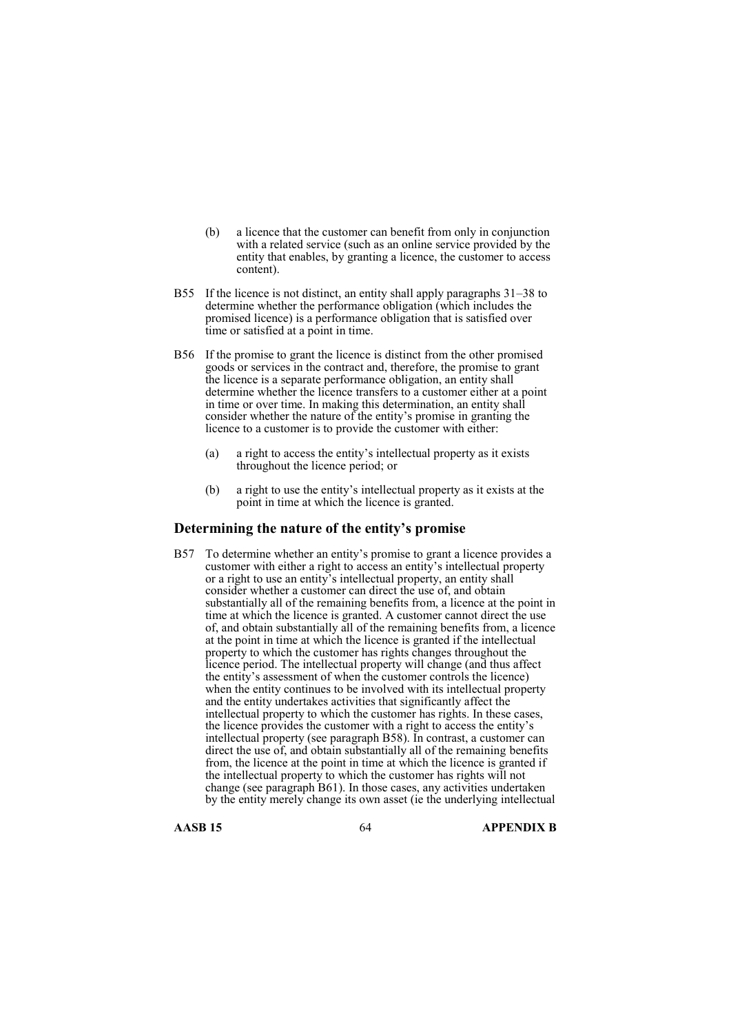- (b) a licence that the customer can benefit from only in conjunction with a related service (such as an online service provided by the entity that enables, by granting a licence, the customer to access content).
- B55 If the licence is not distinct, an entity shall apply paragraphs 31–38 to determine whether the performance obligation (which includes the promised licence) is a performance obligation that is satisfied over time or satisfied at a point in time.
- B56 If the promise to grant the licence is distinct from the other promised goods or services in the contract and, therefore, the promise to grant the licence is a separate performance obligation, an entity shall determine whether the licence transfers to a customer either at a point in time or over time. In making this determination, an entity shall consider whether the nature of the entity's promise in granting the licence to a customer is to provide the customer with either:
	- (a) a right to access the entity's intellectual property as it exists throughout the licence period; or
	- (b) a right to use the entity's intellectual property as it exists at the point in time at which the licence is granted.

#### **Determining the nature of the entity's promise**

B57 To determine whether an entity's promise to grant a licence provides a customer with either a right to access an entity's intellectual property or a right to use an entity's intellectual property, an entity shall consider whether a customer can direct the use of, and obtain substantially all of the remaining benefits from, a licence at the point in time at which the licence is granted. A customer cannot direct the use of, and obtain substantially all of the remaining benefits from, a licence at the point in time at which the licence is granted if the intellectual property to which the customer has rights changes throughout the licence period. The intellectual property will change (and thus affect the entity's assessment of when the customer controls the licence) when the entity continues to be involved with its intellectual property and the entity undertakes activities that significantly affect the intellectual property to which the customer has rights. In these cases, the licence provides the customer with a right to access the entity's intellectual property (see paragraph B58). In contrast, a customer can direct the use of, and obtain substantially all of the remaining benefits from, the licence at the point in time at which the licence is granted if the intellectual property to which the customer has rights will not change (see paragraph B61). In those cases, any activities undertaken by the entity merely change its own asset (ie the underlying intellectual

**AASB 15** 64 **APPENDIX B**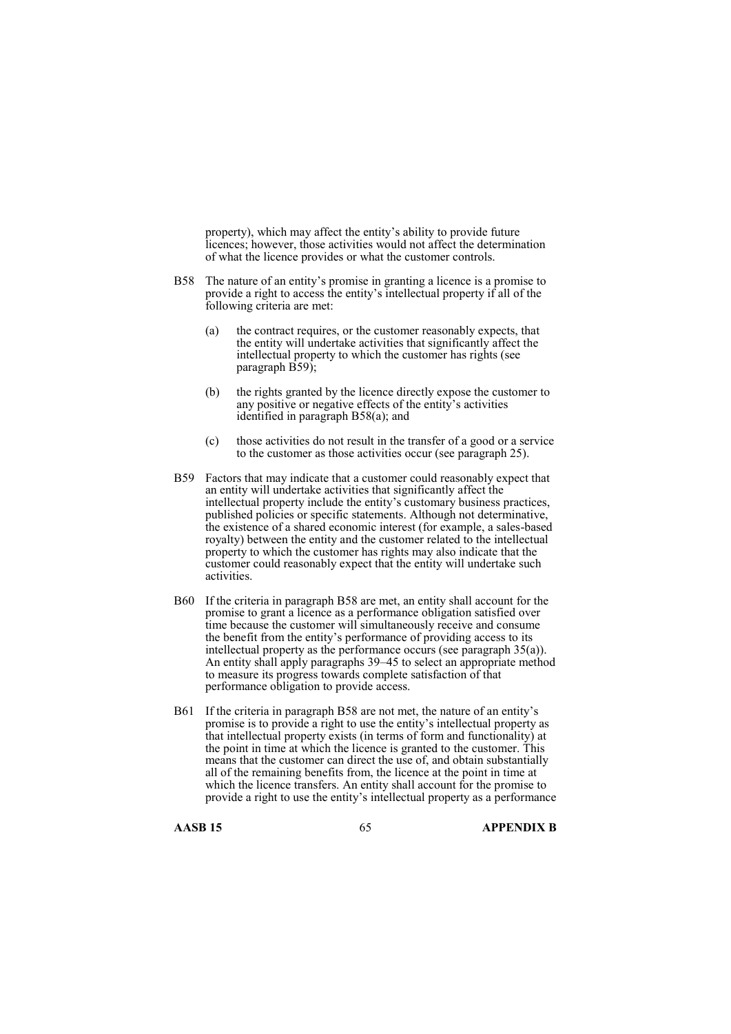property), which may affect the entity's ability to provide future licences; however, those activities would not affect the determination of what the licence provides or what the customer controls.

- B58 The nature of an entity's promise in granting a licence is a promise to provide a right to access the entity's intellectual property if all of the following criteria are met:
	- (a) the contract requires, or the customer reasonably expects, that the entity will undertake activities that significantly affect the intellectual property to which the customer has rights (see paragraph B59);
	- (b) the rights granted by the licence directly expose the customer to any positive or negative effects of the entity's activities identified in paragraph B58(a); and
	- (c) those activities do not result in the transfer of a good or a service to the customer as those activities occur (see paragraph 25).
- B59 Factors that may indicate that a customer could reasonably expect that an entity will undertake activities that significantly affect the intellectual property include the entity's customary business practices, published policies or specific statements. Although not determinative, the existence of a shared economic interest (for example, a sales-based royalty) between the entity and the customer related to the intellectual property to which the customer has rights may also indicate that the customer could reasonably expect that the entity will undertake such activities.
- B60 If the criteria in paragraph B58 are met, an entity shall account for the promise to grant a licence as a performance obligation satisfied over time because the customer will simultaneously receive and consume the benefit from the entity's performance of providing access to its intellectual property as the performance occurs (see paragraph 35(a)). An entity shall apply paragraphs 39–45 to select an appropriate method to measure its progress towards complete satisfaction of that performance obligation to provide access.
- B61 If the criteria in paragraph B58 are not met, the nature of an entity's promise is to provide a right to use the entity's intellectual property as that intellectual property exists (in terms of form and functionality) at the point in time at which the licence is granted to the customer. This means that the customer can direct the use of, and obtain substantially all of the remaining benefits from, the licence at the point in time at which the licence transfers. An entity shall account for the promise to provide a right to use the entity's intellectual property as a performance

**AASB 15** 65 **APPENDIX B**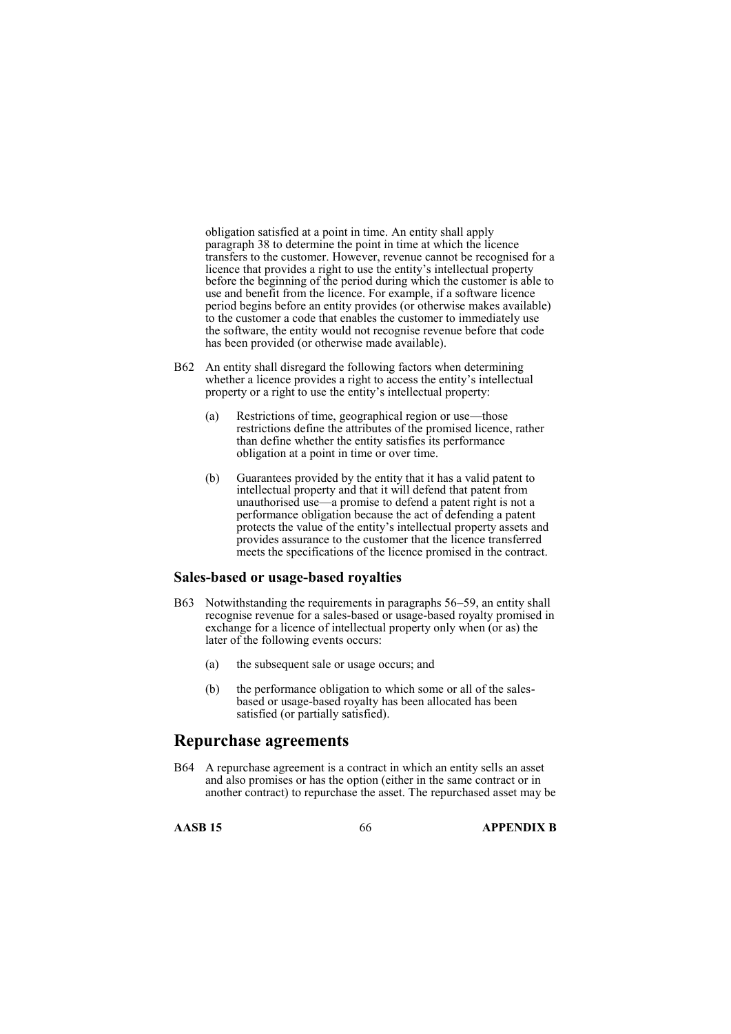obligation satisfied at a point in time. An entity shall apply paragraph 38 to determine the point in time at which the licence transfers to the customer. However, revenue cannot be recognised for a licence that provides a right to use the entity's intellectual property before the beginning of the period during which the customer is able to use and benefit from the licence. For example, if a software licence period begins before an entity provides (or otherwise makes available) to the customer a code that enables the customer to immediately use the software, the entity would not recognise revenue before that code has been provided (or otherwise made available).

- B62 An entity shall disregard the following factors when determining whether a licence provides a right to access the entity's intellectual property or a right to use the entity's intellectual property:
	- (a) Restrictions of time, geographical region or use—those restrictions define the attributes of the promised licence, rather than define whether the entity satisfies its performance obligation at a point in time or over time.
	- (b) Guarantees provided by the entity that it has a valid patent to intellectual property and that it will defend that patent from unauthorised use—a promise to defend a patent right is not a performance obligation because the act of defending a patent protects the value of the entity's intellectual property assets and provides assurance to the customer that the licence transferred meets the specifications of the licence promised in the contract.

#### **Sales-based or usage-based royalties**

- B63 Notwithstanding the requirements in paragraphs 56–59, an entity shall recognise revenue for a sales-based or usage-based royalty promised in exchange for a licence of intellectual property only when (or as) the later of the following events occurs:
	- (a) the subsequent sale or usage occurs; and
	- (b) the performance obligation to which some or all of the salesbased or usage-based royalty has been allocated has been satisfied (or partially satisfied).

#### **Repurchase agreements**

B64 A repurchase agreement is a contract in which an entity sells an asset and also promises or has the option (either in the same contract or in another contract) to repurchase the asset. The repurchased asset may be

**AASB 15** 66 **APPENDIX B**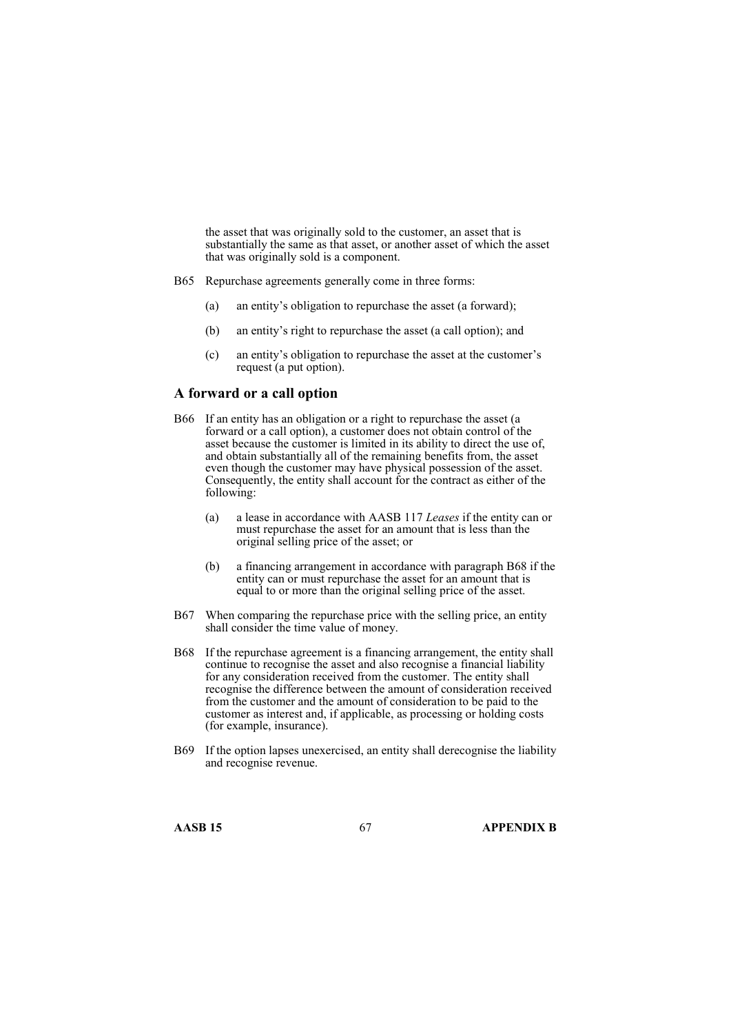the asset that was originally sold to the customer, an asset that is substantially the same as that asset, or another asset of which the asset that was originally sold is a component.

- B65 Repurchase agreements generally come in three forms:
	- (a) an entity's obligation to repurchase the asset (a forward);
	- (b) an entity's right to repurchase the asset (a call option); and
	- (c) an entity's obligation to repurchase the asset at the customer's request (a put option).

#### **A forward or a call option**

- B66 If an entity has an obligation or a right to repurchase the asset (a forward or a call option), a customer does not obtain control of the asset because the customer is limited in its ability to direct the use of, and obtain substantially all of the remaining benefits from, the asset even though the customer may have physical possession of the asset. Consequently, the entity shall account for the contract as either of the following:
	- (a) a lease in accordance with AASB 117 *Leases* if the entity can or must repurchase the asset for an amount that is less than the original selling price of the asset; or
	- (b) a financing arrangement in accordance with paragraph B68 if the entity can or must repurchase the asset for an amount that is equal to or more than the original selling price of the asset.
- B67 When comparing the repurchase price with the selling price, an entity shall consider the time value of money.
- B68 If the repurchase agreement is a financing arrangement, the entity shall continue to recognise the asset and also recognise a financial liability for any consideration received from the customer. The entity shall recognise the difference between the amount of consideration received from the customer and the amount of consideration to be paid to the customer as interest and, if applicable, as processing or holding costs (for example, insurance).
- B69 If the option lapses unexercised, an entity shall derecognise the liability and recognise revenue.

**AASB 15** 67 **APPENDIX B**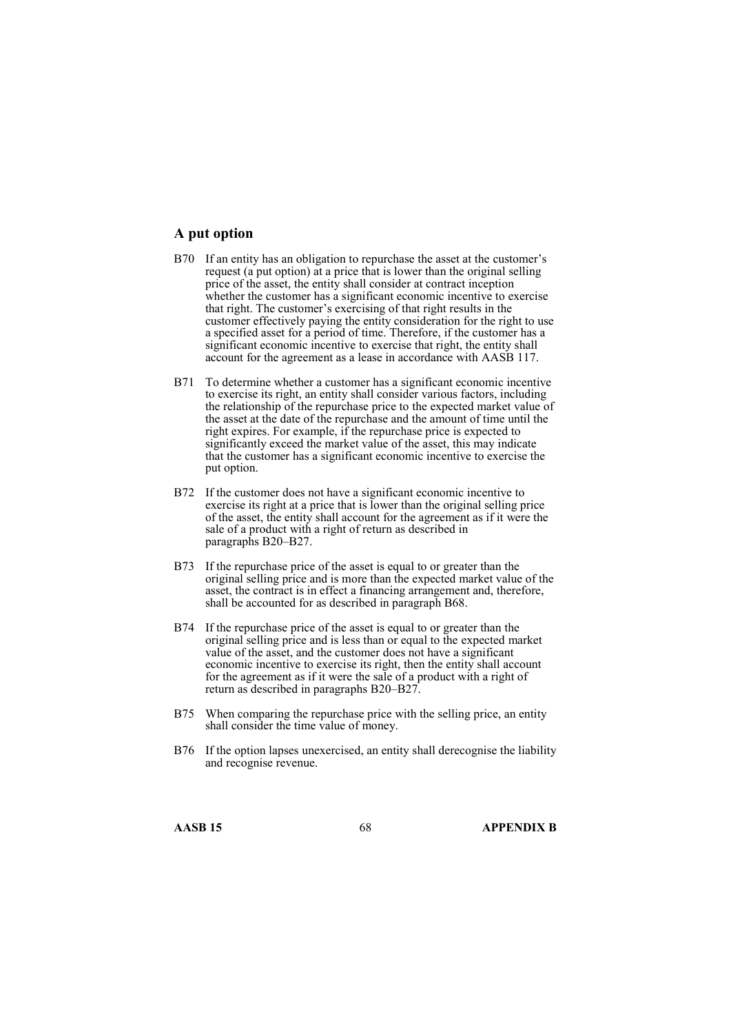## **A put option**

- B70 If an entity has an obligation to repurchase the asset at the customer's request (a put option) at a price that is lower than the original selling price of the asset, the entity shall consider at contract inception whether the customer has a significant economic incentive to exercise that right. The customer's exercising of that right results in the customer effectively paying the entity consideration for the right to use a specified asset for a period of time. Therefore, if the customer has a significant economic incentive to exercise that right, the entity shall account for the agreement as a lease in accordance with AASB 117.
- B71 To determine whether a customer has a significant economic incentive to exercise its right, an entity shall consider various factors, including the relationship of the repurchase price to the expected market value of the asset at the date of the repurchase and the amount of time until the right expires. For example, if the repurchase price is expected to significantly exceed the market value of the asset, this may indicate that the customer has a significant economic incentive to exercise the put option.
- B72 If the customer does not have a significant economic incentive to exercise its right at a price that is lower than the original selling price of the asset, the entity shall account for the agreement as if it were the sale of a product with a right of return as described in paragraphs B20–B27.
- B73 If the repurchase price of the asset is equal to or greater than the original selling price and is more than the expected market value of the asset, the contract is in effect a financing arrangement and, therefore, shall be accounted for as described in paragraph B68.
- B74 If the repurchase price of the asset is equal to or greater than the original selling price and is less than or equal to the expected market value of the asset, and the customer does not have a significant economic incentive to exercise its right, then the entity shall account for the agreement as if it were the sale of a product with a right of return as described in paragraphs B20–B27.
- B75 When comparing the repurchase price with the selling price, an entity shall consider the time value of money.
- B76 If the option lapses unexercised, an entity shall derecognise the liability and recognise revenue.

**AASB 15** 68 **APPENDIX B**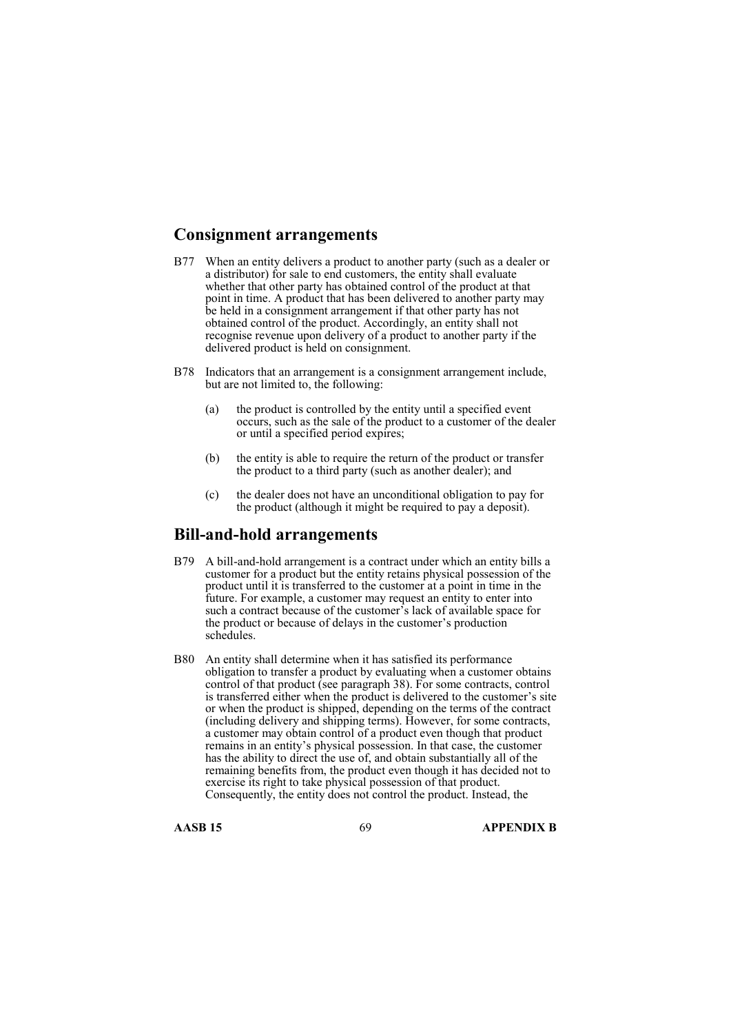# **Consignment arrangements**

- B77 When an entity delivers a product to another party (such as a dealer or a distributor) for sale to end customers, the entity shall evaluate whether that other party has obtained control of the product at that point in time. A product that has been delivered to another party may be held in a consignment arrangement if that other party has not obtained control of the product. Accordingly, an entity shall not recognise revenue upon delivery of a product to another party if the delivered product is held on consignment.
- B78 Indicators that an arrangement is a consignment arrangement include, but are not limited to, the following:
	- (a) the product is controlled by the entity until a specified event occurs, such as the sale of the product to a customer of the dealer or until a specified period expires;
	- (b) the entity is able to require the return of the product or transfer the product to a third party (such as another dealer); and
	- (c) the dealer does not have an unconditional obligation to pay for the product (although it might be required to pay a deposit).

# **Bill-and-hold arrangements**

- B79 A bill-and-hold arrangement is a contract under which an entity bills a customer for a product but the entity retains physical possession of the product until it is transferred to the customer at a point in time in the future. For example, a customer may request an entity to enter into such a contract because of the customer's lack of available space for the product or because of delays in the customer's production schedules.
- B80 An entity shall determine when it has satisfied its performance obligation to transfer a product by evaluating when a customer obtains control of that product (see paragraph 38). For some contracts, control is transferred either when the product is delivered to the customer's site or when the product is shipped, depending on the terms of the contract (including delivery and shipping terms). However, for some contracts, a customer may obtain control of a product even though that product remains in an entity's physical possession. In that case, the customer has the ability to direct the use of, and obtain substantially all of the remaining benefits from, the product even though it has decided not to exercise its right to take physical possession of that product. Consequently, the entity does not control the product. Instead, the

**AASB 15** 69 **APPENDIX B**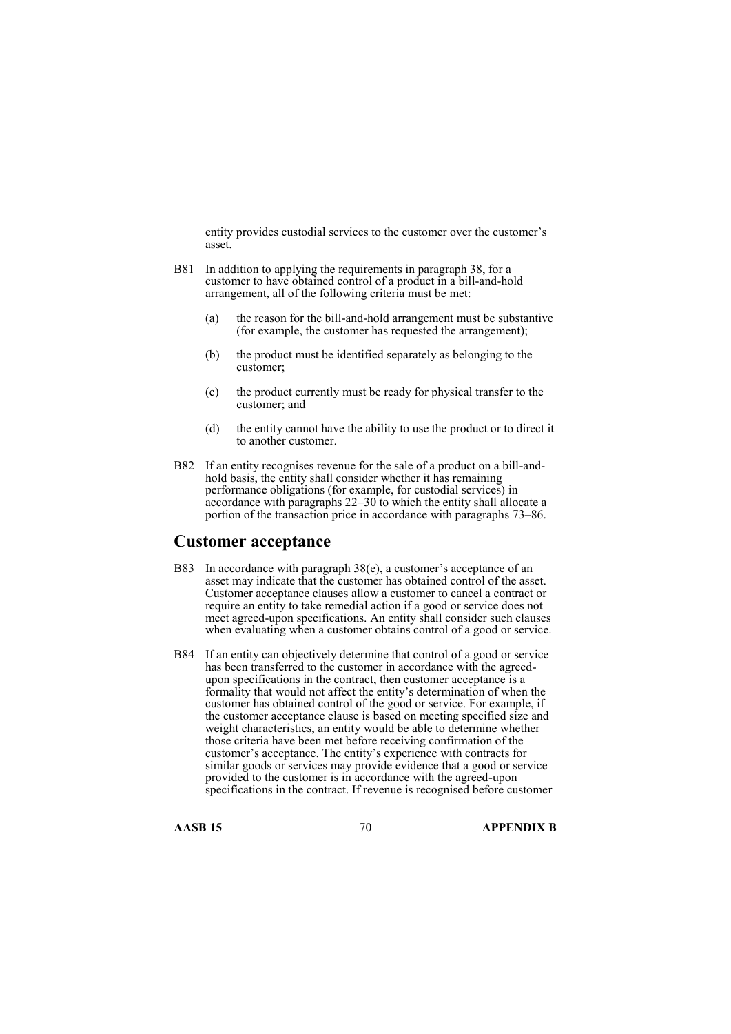entity provides custodial services to the customer over the customer's asset.

- B81 In addition to applying the requirements in paragraph 38, for a customer to have obtained control of a product in a bill-and-hold arrangement, all of the following criteria must be met:
	- (a) the reason for the bill-and-hold arrangement must be substantive (for example, the customer has requested the arrangement);
	- (b) the product must be identified separately as belonging to the customer;
	- (c) the product currently must be ready for physical transfer to the customer; and
	- (d) the entity cannot have the ability to use the product or to direct it to another customer.
- B82 If an entity recognises revenue for the sale of a product on a bill-andhold basis, the entity shall consider whether it has remaining performance obligations (for example, for custodial services) in accordance with paragraphs 22–30 to which the entity shall allocate a portion of the transaction price in accordance with paragraphs 73–86.

## **Customer acceptance**

- B83 In accordance with paragraph 38(e), a customer's acceptance of an asset may indicate that the customer has obtained control of the asset. Customer acceptance clauses allow a customer to cancel a contract or require an entity to take remedial action if a good or service does not meet agreed-upon specifications. An entity shall consider such clauses when evaluating when a customer obtains control of a good or service.
- B84 If an entity can objectively determine that control of a good or service has been transferred to the customer in accordance with the agreedupon specifications in the contract, then customer acceptance is a formality that would not affect the entity's determination of when the customer has obtained control of the good or service. For example, if the customer acceptance clause is based on meeting specified size and weight characteristics, an entity would be able to determine whether those criteria have been met before receiving confirmation of the customer's acceptance. The entity's experience with contracts for similar goods or services may provide evidence that a good or service provided to the customer is in accordance with the agreed-upon specifications in the contract. If revenue is recognised before customer

**AASB 15** 70 **APPENDIX B**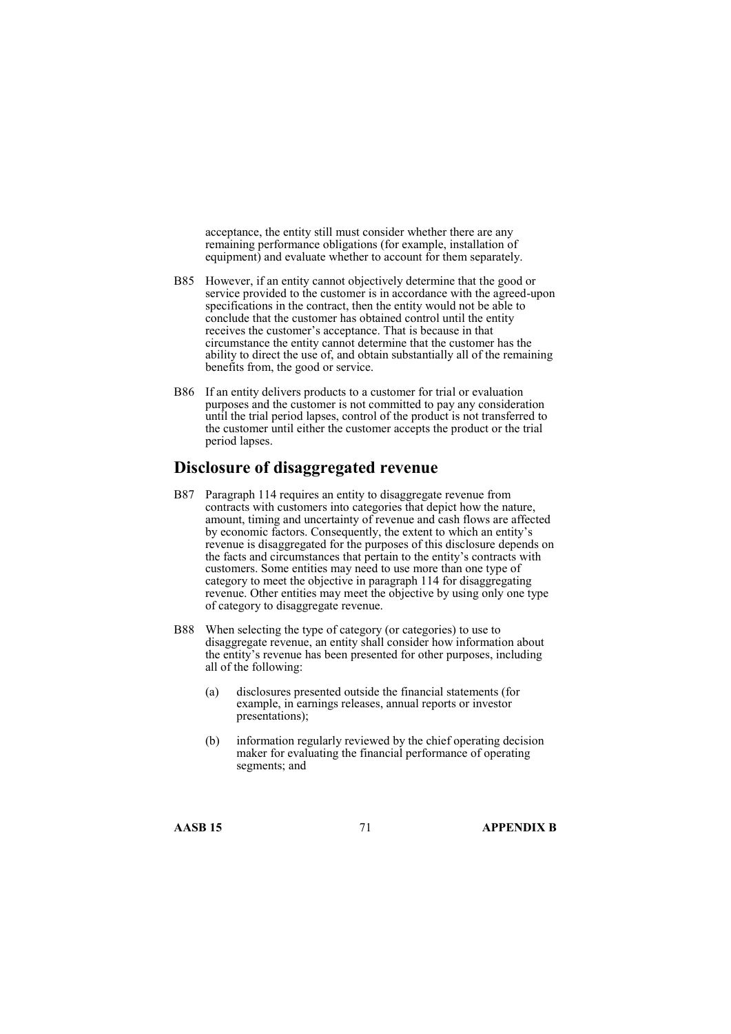acceptance, the entity still must consider whether there are any remaining performance obligations (for example, installation of equipment) and evaluate whether to account for them separately.

- B85 However, if an entity cannot objectively determine that the good or service provided to the customer is in accordance with the agreed-upon specifications in the contract, then the entity would not be able to conclude that the customer has obtained control until the entity receives the customer's acceptance. That is because in that circumstance the entity cannot determine that the customer has the ability to direct the use of, and obtain substantially all of the remaining benefits from, the good or service.
- B86 If an entity delivers products to a customer for trial or evaluation purposes and the customer is not committed to pay any consideration until the trial period lapses, control of the product is not transferred to the customer until either the customer accepts the product or the trial period lapses.

# **Disclosure of disaggregated revenue**

- B87 Paragraph 114 requires an entity to disaggregate revenue from contracts with customers into categories that depict how the nature, amount, timing and uncertainty of revenue and cash flows are affected by economic factors. Consequently, the extent to which an entity's revenue is disaggregated for the purposes of this disclosure depends on the facts and circumstances that pertain to the entity's contracts with customers. Some entities may need to use more than one type of category to meet the objective in paragraph 114 for disaggregating revenue. Other entities may meet the objective by using only one type of category to disaggregate revenue.
- B88 When selecting the type of category (or categories) to use to disaggregate revenue, an entity shall consider how information about the entity's revenue has been presented for other purposes, including all of the following:
	- (a) disclosures presented outside the financial statements (for example, in earnings releases, annual reports or investor presentations);
	- (b) information regularly reviewed by the chief operating decision maker for evaluating the financial performance of operating segments; and

**AASB 15** 71 **APPENDIX B**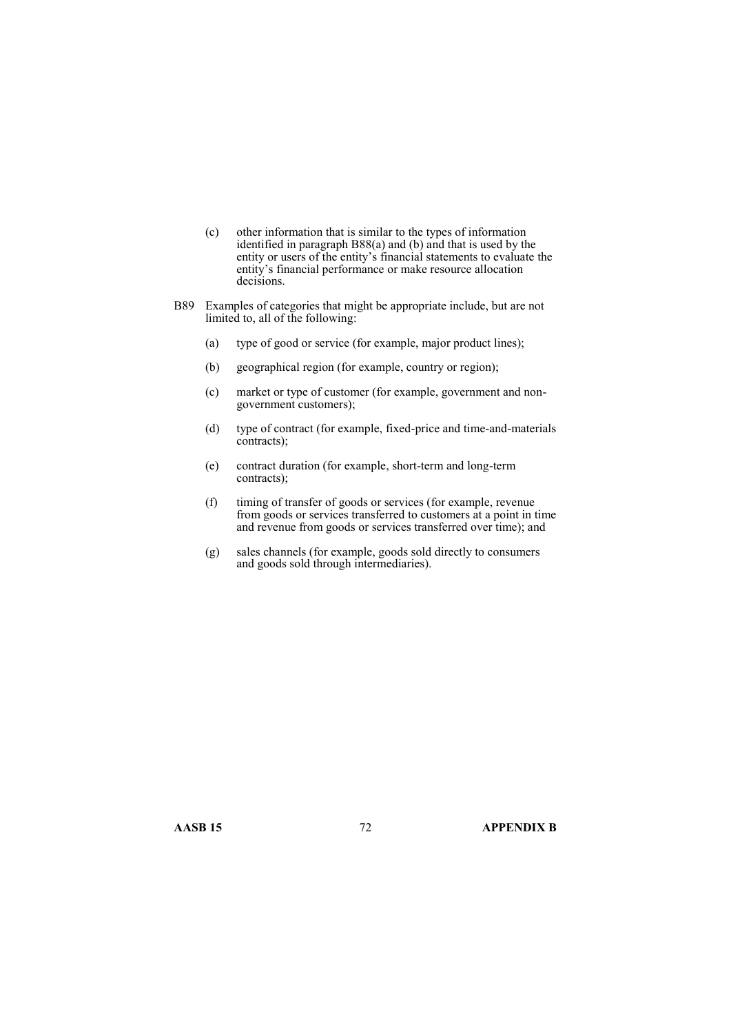- (c) other information that is similar to the types of information identified in paragraph B88(a) and (b) and that is used by the entity or users of the entity's financial statements to evaluate the entity's financial performance or make resource allocation decisions.
- B89 Examples of categories that might be appropriate include, but are not limited to, all of the following:
	- (a) type of good or service (for example, major product lines);
	- (b) geographical region (for example, country or region);
	- (c) market or type of customer (for example, government and nongovernment customers);
	- (d) type of contract (for example, fixed-price and time-and-materials contracts);
	- (e) contract duration (for example, short-term and long-term contracts);
	- (f) timing of transfer of goods or services (for example, revenue from goods or services transferred to customers at a point in time and revenue from goods or services transferred over time); and
	- (g) sales channels (for example, goods sold directly to consumers and goods sold through intermediaries).

**AASB 15** 72 **APPENDIX B**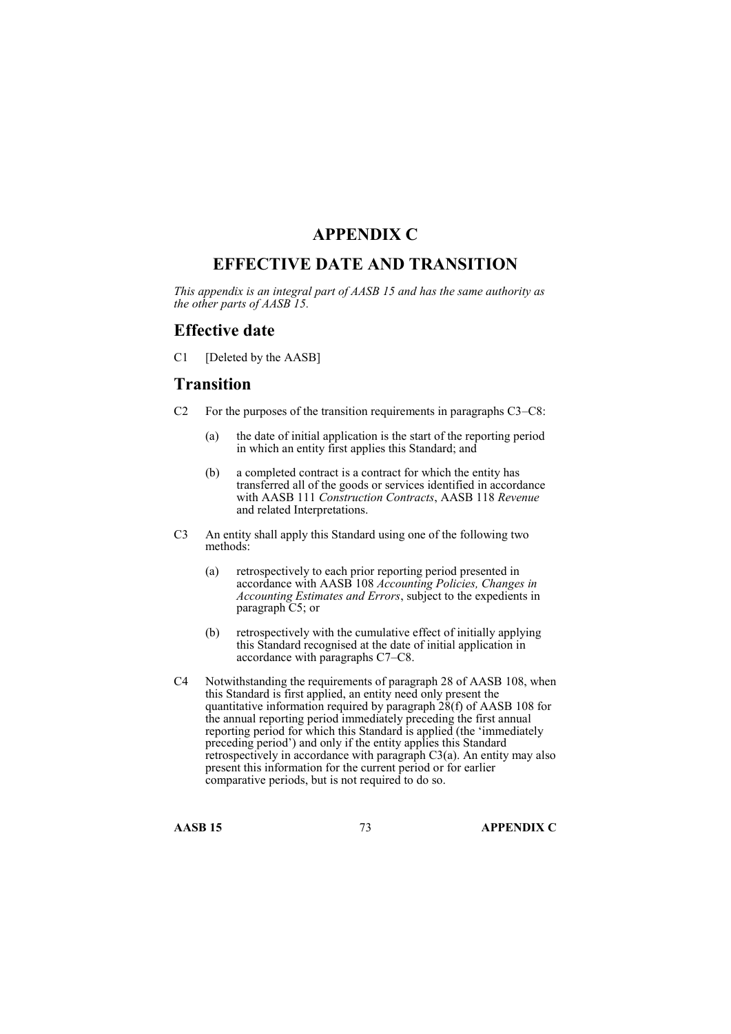## **APPENDIX C**

# **EFFECTIVE DATE AND TRANSITION**

*This appendix is an integral part of AASB 15 and has the same authority as the other parts of AASB 15.* 

### **Effective date**

C1 [Deleted by the AASB]

## **Transition**

- C2 For the purposes of the transition requirements in paragraphs C3–C8:
	- (a) the date of initial application is the start of the reporting period in which an entity first applies this Standard; and
	- (b) a completed contract is a contract for which the entity has transferred all of the goods or services identified in accordance with AASB 111 *Construction Contracts*, AASB 118 *Revenue* and related Interpretations.
- C3 An entity shall apply this Standard using one of the following two methods:
	- (a) retrospectively to each prior reporting period presented in accordance with AASB 108 *Accounting Policies, Changes in Accounting Estimates and Errors*, subject to the expedients in paragraph C5; or
	- (b) retrospectively with the cumulative effect of initially applying this Standard recognised at the date of initial application in accordance with paragraphs C7–C8.
- C4 Notwithstanding the requirements of paragraph 28 of AASB 108, when this Standard is first applied, an entity need only present the quantitative information required by paragraph 28(f) of AASB 108 for the annual reporting period immediately preceding the first annual reporting period for which this Standard is applied (the 'immediately preceding period') and only if the entity applies this Standard retrospectively in accordance with paragraph C3(a). An entity may also present this information for the current period or for earlier comparative periods, but is not required to do so.

**AASB 15** 73 **APPENDIX C**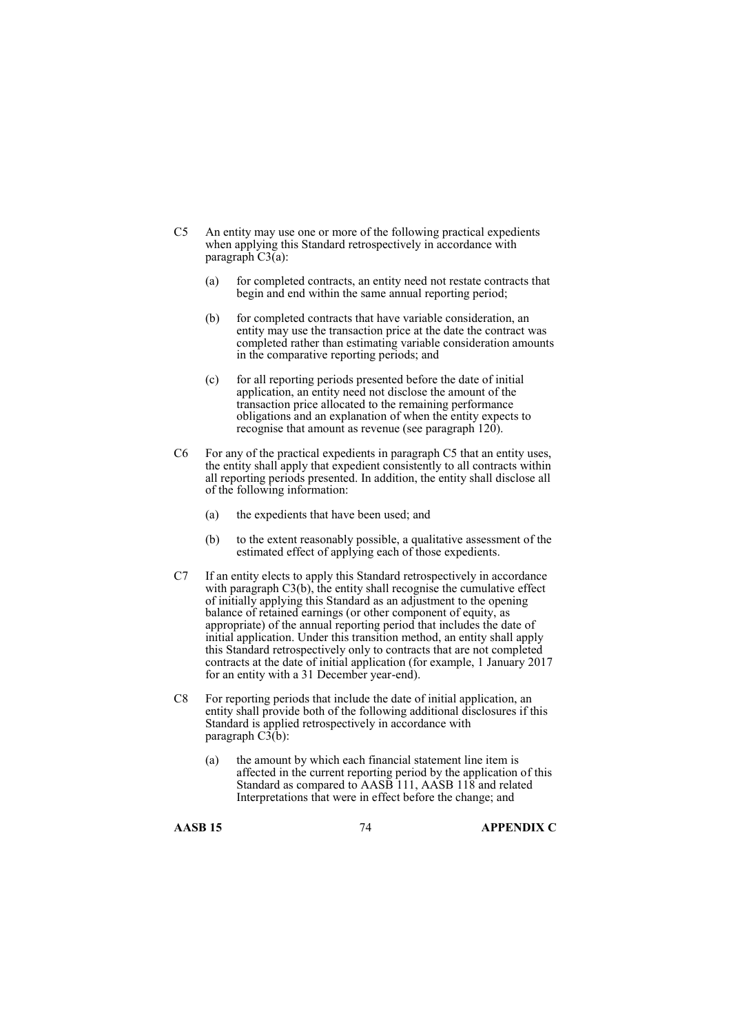- C5 An entity may use one or more of the following practical expedients when applying this Standard retrospectively in accordance with paragraph C3(a):
	- (a) for completed contracts, an entity need not restate contracts that begin and end within the same annual reporting period;
	- (b) for completed contracts that have variable consideration, an entity may use the transaction price at the date the contract was completed rather than estimating variable consideration amounts in the comparative reporting periods; and
	- (c) for all reporting periods presented before the date of initial application, an entity need not disclose the amount of the transaction price allocated to the remaining performance obligations and an explanation of when the entity expects to recognise that amount as revenue (see paragraph 120).
- C6 For any of the practical expedients in paragraph C5 that an entity uses, the entity shall apply that expedient consistently to all contracts within all reporting periods presented. In addition, the entity shall disclose all of the following information:
	- (a) the expedients that have been used; and
	- (b) to the extent reasonably possible, a qualitative assessment of the estimated effect of applying each of those expedients.
- C7 If an entity elects to apply this Standard retrospectively in accordance with paragraph C3(b), the entity shall recognise the cumulative effect of initially applying this Standard as an adjustment to the opening balance of retained earnings (or other component of equity, as appropriate) of the annual reporting period that includes the date of initial application. Under this transition method, an entity shall apply this Standard retrospectively only to contracts that are not completed contracts at the date of initial application (for example, 1 January 2017 for an entity with a 31 December year-end).
- C8 For reporting periods that include the date of initial application, an entity shall provide both of the following additional disclosures if this Standard is applied retrospectively in accordance with paragraph C3(b):
	- (a) the amount by which each financial statement line item is affected in the current reporting period by the application of this Standard as compared to AASB 111, AASB 118 and related Interpretations that were in effect before the change; and

**AASB 15** 74 **APPENDIX C**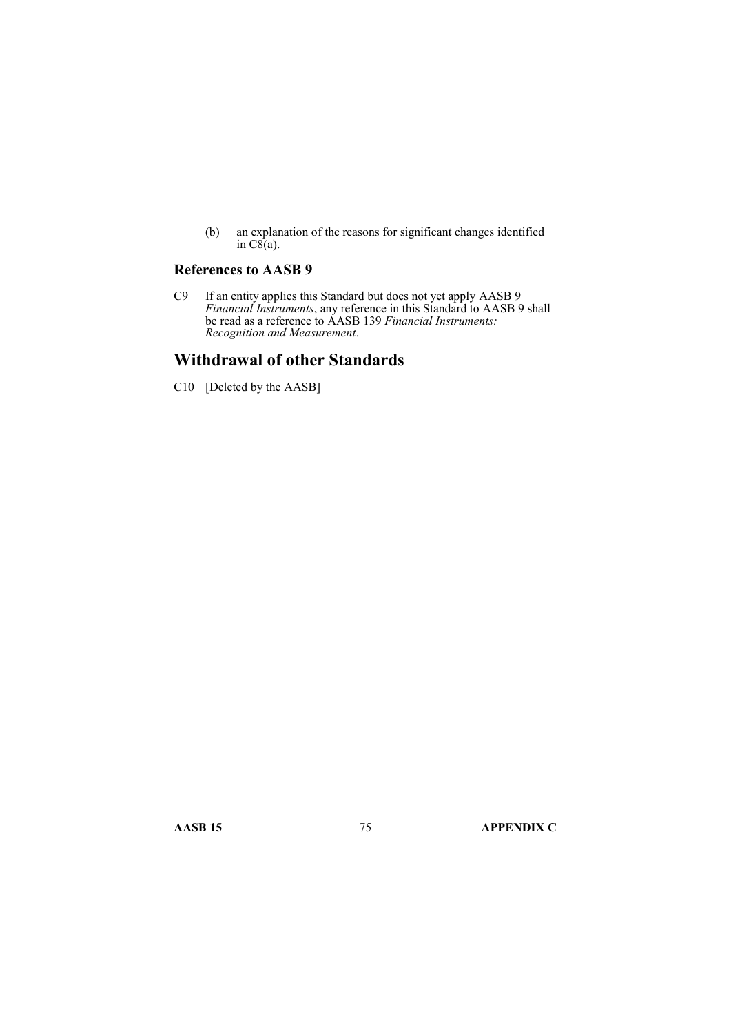(b) an explanation of the reasons for significant changes identified in  $C8(a)$ .

### **References to AASB 9**

C9 If an entity applies this Standard but does not yet apply AASB 9 *Financial Instruments*, any reference in this Standard to AASB 9 shall be read as a reference to AASB 139 *Financial Instruments: Recognition and Measurement*.

# **Withdrawal of other Standards**

C10 [Deleted by the AASB]

**AASB 15** 75 **APPENDIX C**